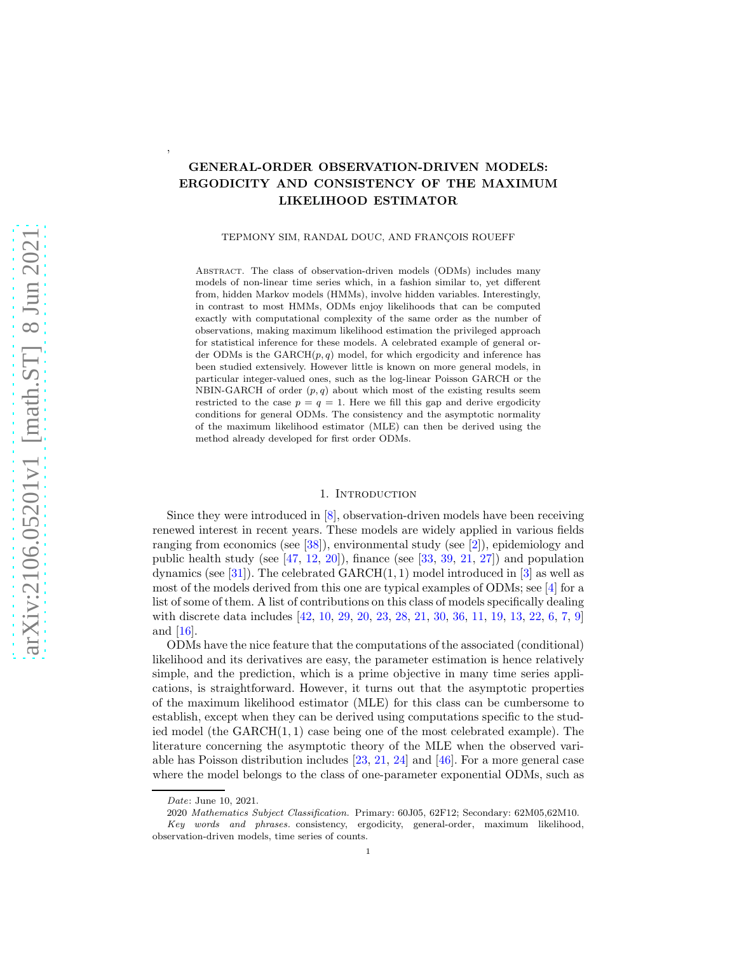# GENERAL-ORDER OBSERVATION-DRIVEN MODELS: ERGODICITY AND CONSISTENCY OF THE MAXIMUM LIKELIHOOD ESTIMATOR

TEPMONY SIM, RANDAL DOUC, AND FRANÇOIS ROUEFF

Abstract. The class of observation-driven models (ODMs) includes many models of non-linear time series which, in a fashion similar to, yet different from, hidden Markov models (HMMs), involve hidden variables. Interestingly, in contrast to most HMMs, ODMs enjoy likelihoods that can be computed exactly with computational complexity of the same order as the number of observations, making maximum likelihood estimation the privileged approach for statistical inference for these models. A celebrated example of general order ODMs is the  $GARCH(p, q)$  model, for which ergodicity and inference has been studied extensively. However little is known on more general models, in particular integer-valued ones, such as the log-linear Poisson GARCH or the NBIN-GARCH of order  $(p, q)$  about which most of the existing results seem restricted to the case  $p = q = 1$ . Here we fill this gap and derive ergodicity conditions for general ODMs. The consistency and the asymptotic normality of the maximum likelihood estimator (MLE) can then be derived using the method already developed for first order ODMs.

#### 1. INTRODUCTION

Since they were introduced in [\[8\]](#page-35-0), observation-driven models have been receiving renewed interest in recent years. These models are widely applied in various fields ranging from economics (see [\[38](#page-37-0)]), environmental study (see [\[2\]](#page-35-1)), epidemiology and public health study (see  $[47, 12, 20]$  $[47, 12, 20]$  $[47, 12, 20]$  $[47, 12, 20]$  $[47, 12, 20]$ ), finance (see  $[33, 39, 21, 27]$  $[33, 39, 21, 27]$  $[33, 39, 21, 27]$  $[33, 39, 21, 27]$  $[33, 39, 21, 27]$  $[33, 39, 21, 27]$ ) and population dynamics (see [\[31](#page-36-4)]). The celebrated  $GARCH(1, 1)$  model introduced in [\[3\]](#page-35-2) as well as most of the models derived from this one are typical examples of ODMs; see [\[4\]](#page-35-3) for a list of some of them. A list of contributions on this class of models specifically dealing with discrete data includes [\[42](#page-37-4), [10,](#page-35-4) [29,](#page-36-5) [20,](#page-36-1) [23,](#page-36-6) [28,](#page-36-7) [21](#page-36-2), [30](#page-36-8), [36](#page-37-5), [11](#page-35-5), [19,](#page-36-9) [13,](#page-36-10) [22,](#page-36-11) [6,](#page-35-6) [7,](#page-35-7) [9\]](#page-35-8) and [\[16\]](#page-36-12).

ODMs have the nice feature that the computations of the associated (conditional) likelihood and its derivatives are easy, the parameter estimation is hence relatively simple, and the prediction, which is a prime objective in many time series applications, is straightforward. However, it turns out that the asymptotic properties of the maximum likelihood estimator (MLE) for this class can be cumbersome to establish, except when they can be derived using computations specific to the studied model (the GARCH(1, 1) case being one of the most celebrated example). The literature concerning the asymptotic theory of the MLE when the observed variable has Poisson distribution includes [\[23,](#page-36-6) [21](#page-36-2), [24\]](#page-36-13) and [\[46\]](#page-37-6). For a more general case where the model belongs to the class of one-parameter exponential ODMs, such as

,

Date: June 10, 2021.

<sup>2020</sup> Mathematics Subject Classification. Primary: 60J05, 62F12; Secondary: 62M05,62M10. Key words and phrases. consistency, ergodicity, general-order, maximum likelihood, observation-driven models, time series of counts.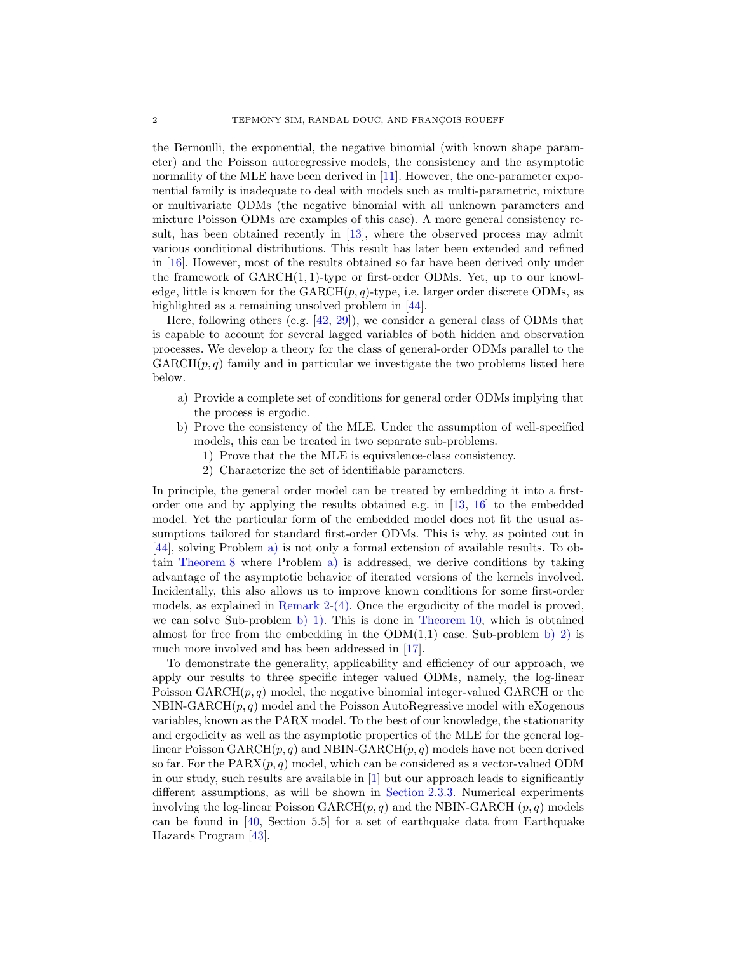the Bernoulli, the exponential, the negative binomial (with known shape parameter) and the Poisson autoregressive models, the consistency and the asymptotic normality of the MLE have been derived in [\[11](#page-35-5)]. However, the one-parameter exponential family is inadequate to deal with models such as multi-parametric, mixture or multivariate ODMs (the negative binomial with all unknown parameters and mixture Poisson ODMs are examples of this case). A more general consistency result, has been obtained recently in [\[13](#page-36-10)], where the observed process may admit various conditional distributions. This result has later been extended and refined in [\[16](#page-36-12)]. However, most of the results obtained so far have been derived only under the framework of  $GARCH(1, 1)$ -type or first-order ODMs. Yet, up to our knowledge, little is known for the  $GARCH(p,q)-type$ , i.e. larger order discrete ODMs, as highlighted as a remaining unsolved problem in [\[44\]](#page-37-7).

Here, following others (e.g.  $[42, 29]$  $[42, 29]$  $[42, 29]$ ), we consider a general class of ODMs that is capable to account for several lagged variables of both hidden and observation processes. We develop a theory for the class of general-order ODMs parallel to the  $GARCH(p, q)$  family and in particular we investigate the two problems listed here below.

- <span id="page-1-0"></span>a) Provide a complete set of conditions for general order ODMs implying that the process is ergodic.
- <span id="page-1-2"></span><span id="page-1-1"></span>b) Prove the consistency of the MLE. Under the assumption of well-specified models, this can be treated in two separate sub-problems.
	- 1) Prove that the the MLE is equivalence-class consistency.
	- 2) Characterize the set of identifiable parameters.

<span id="page-1-3"></span>In principle, the general order model can be treated by embedding it into a firstorder one and by applying the results obtained e.g. in [\[13,](#page-36-10) [16\]](#page-36-12) to the embedded model. Yet the particular form of the embedded model does not fit the usual assumptions tailored for standard first-order ODMs. This is why, as pointed out in [\[44\]](#page-37-7), solving Problem [a\)](#page-1-0) is not only a formal extension of available results. To obtain [Theorem 8](#page-16-0) where Problem [a\)](#page-1-0) is addressed, we derive conditions by taking advantage of the asymptotic behavior of iterated versions of the kernels involved. Incidentally, this also allows us to improve known conditions for some first-order models, as explained in [Remark 2](#page-7-0)[-\(4\).](#page-7-1) Once the ergodicity of the model is proved, we can solve Sub-problem [b\)](#page-1-1) [1\).](#page-1-2) This is done in [Theorem 10,](#page-17-0) which is obtained almost for free from the embedding in the  $ODM(1,1)$  case. Sub-problem [b\)](#page-1-1) [2\)](#page-1-3) is much more involved and has been addressed in [\[17\]](#page-36-14).

To demonstrate the generality, applicability and efficiency of our approach, we apply our results to three specific integer valued ODMs, namely, the log-linear Poisson  $GARCH(p, q)$  model, the negative binomial integer-valued  $GARCH$  or the NBIN-GARCH $(p, q)$  model and the Poisson AutoRegressive model with eXogenous variables, known as the PARX model. To the best of our knowledge, the stationarity and ergodicity as well as the asymptotic properties of the MLE for the general loglinear Poisson  $GARCH(p, q)$  and NBIN-GARCH $(p, q)$  models have not been derived so far. For the  $\text{PARX}(p,q)$  model, which can be considered as a vector-valued ODM in our study, such results are available in [\[1](#page-35-9)] but our approach leads to significantly different assumptions, as will be shown in [Section 2.3.3.](#page-8-0) Numerical experiments involving the log-linear Poisson GARCH $(p, q)$  and the NBIN-GARCH  $(p, q)$  models can be found in [\[40,](#page-37-8) Section 5.5] for a set of earthquake data from Earthquake Hazards Program [\[43](#page-37-9)].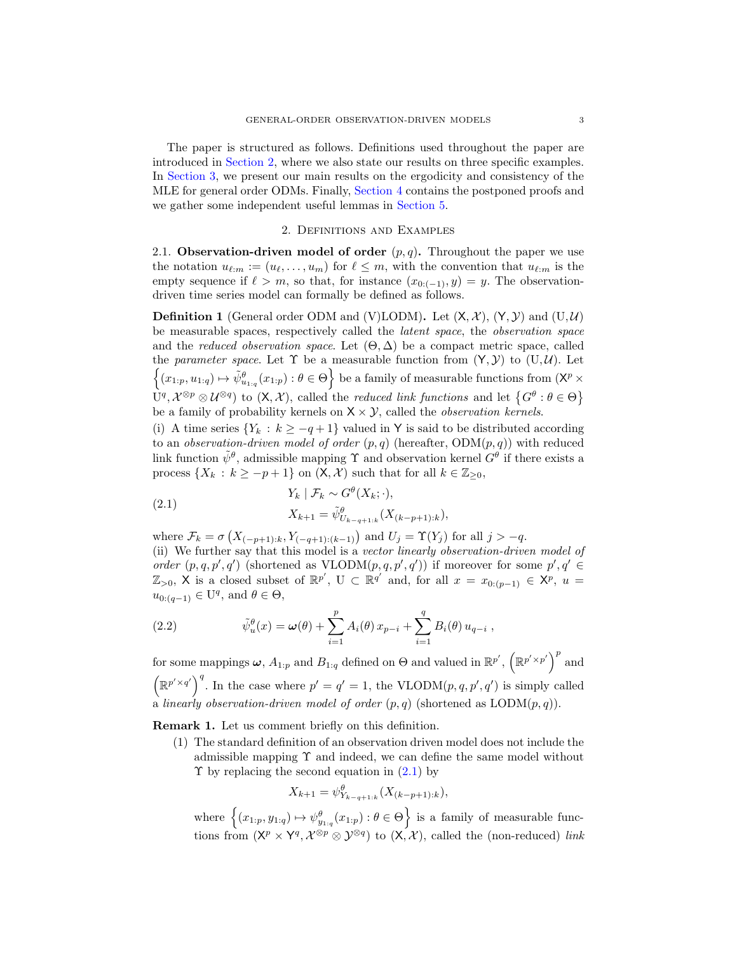The paper is structured as follows. Definitions used throughout the paper are introduced in [Section 2,](#page-2-0) where we also state our results on three specific examples. In [Section 3,](#page-12-0) we present our main results on the ergodicity and consistency of the MLE for general order ODMs. Finally, [Section 4](#page-17-1) contains the postponed proofs and we gather some independent useful lemmas in [Section 5.](#page-34-0)

## 2. Definitions and Examples

<span id="page-2-0"></span>2.1. Observation-driven model of order  $(p, q)$ . Throughout the paper we use the notation  $u_{\ell,m} := (u_{\ell}, \ldots, u_m)$  for  $\ell \leq m$ , with the convention that  $u_{\ell,m}$  is the empty sequence if  $\ell > m$ , so that, for instance  $(x_{0:(-1)}, y) = y$ . The observationdriven time series model can formally be defined as follows.

<span id="page-2-3"></span>**Definition 1** (General order ODM and (V)LODM). Let  $(X, \mathcal{X})$ ,  $(Y, \mathcal{Y})$  and  $(U, \mathcal{U})$ be measurable spaces, respectively called the *latent space*, the *observation space* and the *reduced observation space*. Let  $(\Theta, \Delta)$  be a compact metric space, called the *parameter space*. Let  $\Upsilon$  be a measurable function from  $(Y, Y)$  to  $(U, U)$ . Let  $\{(x_1, p, u_{1:q}) \mapsto \tilde{\psi}_{u_{1:q}}^{\theta}(x_{1:p}) : \theta \in \Theta\}$  be a family of measurable functions from  $(X^p \times$  $U^q, \mathcal{X}^{\otimes p} \otimes \mathcal{U}^{\otimes q}$  to  $(X, \mathcal{X})$ , called the *reduced link functions* and let  $\{G^{\theta} : \theta \in \Theta\}$ be a family of probability kernels on  $X \times Y$ , called the *observation kernels*.

(i) A time series  ${Y_k : k \ge -q + 1}$  valued in Y is said to be distributed according to an *observation-driven model of order*  $(p, q)$  (hereafter,  $ODM(p, q)$ ) with reduced link function  $\tilde{\psi}^{\theta}$ , admissible mapping  $\Upsilon$  and observation kernel  $G^{\theta}$  if there exists a process  $\{X_k : k \ge -p+1\}$  on  $(X, X)$  such that for all  $k \in \mathbb{Z}_{\ge 0}$ ,

<span id="page-2-1"></span>(2.1) 
$$
Y_k | \mathcal{F}_k \sim G^{\theta}(X_k; \cdot),
$$

$$
X_{k+1} = \tilde{\psi}^{\theta}_{U_{k-q+1:k}}(X_{(k-p+1):k}),
$$

where  $\mathcal{F}_k = \sigma\left(X_{(-p+1):k}, Y_{(-q+1):(k-1)}\right)$  and  $U_j = \Upsilon(Y_j)$  for all  $j > -q$ . (ii) We further say that this model is a *vector linearly observation-driven model of order*  $(p, q, p', q')$  (shortened as  $VLODM(p, q, p', q'))$  if moreover for some  $p', q' \in$  $\mathbb{Z}_{>0}$ , X is a closed subset of  $\mathbb{R}^{p'}$ , U  $\subset \mathbb{R}^{q'}$  and, for all  $x = x_{0:(p-1)} \in \mathsf{X}^p$ ,  $u =$  $u_{0:(q-1)} \in U^q$ , and  $\theta \in \Theta$ ,

<span id="page-2-2"></span>(2.2) 
$$
\tilde{\psi}_u^{\theta}(x) = \omega(\theta) + \sum_{i=1}^p A_i(\theta) x_{p-i} + \sum_{i=1}^q B_i(\theta) u_{q-i},
$$

for some mappings  $\omega$ ,  $A_{1:p}$  and  $B_{1:q}$  defined on  $\Theta$  and valued in  $\mathbb{R}^{p'}$ ,  $(\mathbb{R}^{p' \times p'})^p$  and  $(\mathbb{R}^{p' \times q'})^q$ . In the case where  $p' = q' = 1$ , the VLODM $(p, q, p', q')$  is simply called a *linearly observation-driven model of order* (p, q) (shortened as LODM(p, q)).

Remark 1. Let us comment briefly on this definition.

(1) The standard definition of an observation driven model does not include the admissible mapping  $\Upsilon$  and indeed, we can define the same model without  $\Upsilon$  by replacing the second equation in  $(2.1)$  by

$$
X_{k+1} = \psi_{Y_{k-q+1:k}}^{\theta}(X_{(k-p+1):k}),
$$

where  $\{(x_{1:p}, y_{1:q}) \mapsto \psi_{y_{1:q}}^{\theta}(x_{1:p}) : \theta \in \Theta\}$  is a family of measurable functions from  $(X^p \times Y^q, \mathcal{X}^{\otimes p} \otimes \mathcal{Y}^{\otimes q})$  to  $(X, \mathcal{X})$ , called the (non-reduced) *link*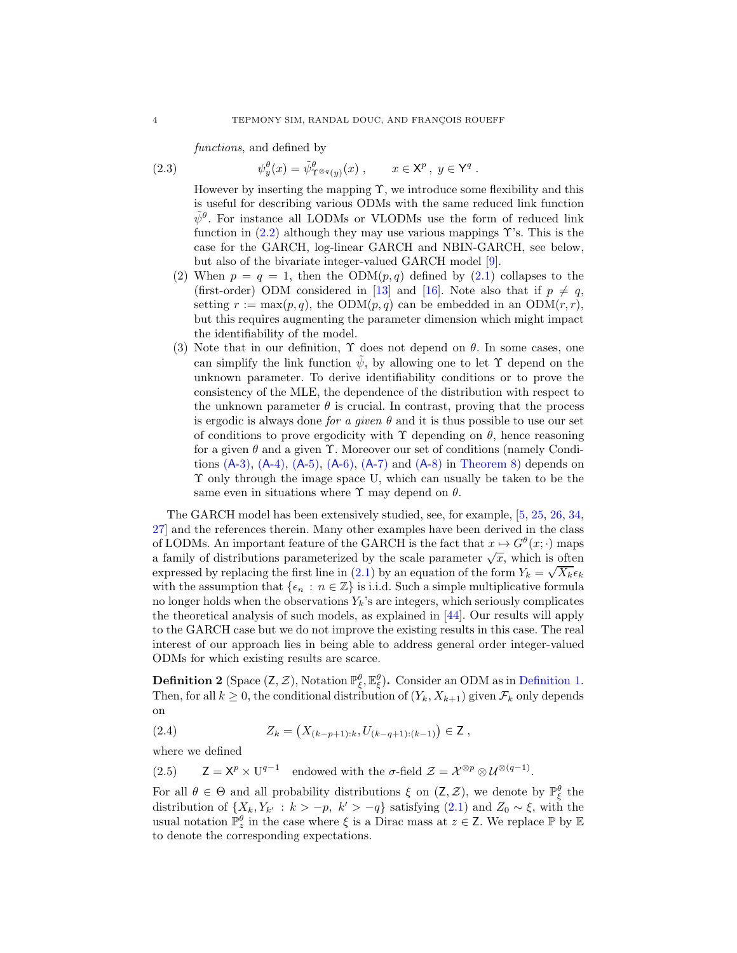*functions*, and defined by

(2.3) 
$$
\psi_y^{\theta}(x) = \tilde{\psi}_{\Upsilon^{\otimes q}(y)}^{\theta}(x) , \qquad x \in \mathsf{X}^p, \ y \in \mathsf{Y}^q .
$$

However by inserting the mapping  $\Upsilon$ , we introduce some flexibility and this is useful for describing various ODMs with the same reduced link function  $\tilde{\psi}^{\theta}$ . For instance all LODMs or VLODMs use the form of reduced link function in  $(2.2)$  although they may use various mappings  $\Upsilon$ 's. This is the case for the GARCH, log-linear GARCH and NBIN-GARCH, see below, but also of the bivariate integer-valued GARCH model [\[9](#page-35-8)].

- (2) When  $p = q = 1$ , then the ODM $(p, q)$  defined by  $(2.1)$  collapses to the (first-order) ODM considered in [\[13\]](#page-36-10) and [\[16\]](#page-36-12). Note also that if  $p \neq q$ , setting  $r := \max(p, q)$ , the ODM $(p, q)$  can be embedded in an ODM $(r, r)$ , but this requires augmenting the parameter dimension which might impact the identifiability of the model.
- (3) Note that in our definition,  $\Upsilon$  does not depend on  $\theta$ . In some cases, one can simplify the link function  $\tilde{\psi}$ , by allowing one to let  $\Upsilon$  depend on the unknown parameter. To derive identifiability conditions or to prove the consistency of the MLE, the dependence of the distribution with respect to the unknown parameter  $\theta$  is crucial. In contrast, proving that the process is ergodic is always done *for a given*  $\theta$  and it is thus possible to use our set of conditions to prove ergodicity with  $\Upsilon$  depending on  $\theta$ , hence reasoning for a given  $\theta$  and a given  $\Upsilon$ . Moreover our set of conditions (namely Conditions  $(A-3)$ ,  $(A-4)$ ,  $(A-5)$ ,  $(A-6)$ ,  $(A-7)$  $(A-7)$  and  $(A-8)$  $(A-8)$  in [Theorem 8\)](#page-16-0) depends on Υ only through the image space U, which can usually be taken to be the same even in situations where  $\Upsilon$  may depend on  $\theta$ .

The GARCH model has been extensively studied, see, for example, [\[5](#page-35-10), [25,](#page-36-15) [26](#page-36-16), [34,](#page-37-10) [27\]](#page-36-3) and the references therein. Many other examples have been derived in the class of LODMs. An important feature of the GARCH is the fact that  $x \mapsto G^{\theta}(x; \cdot)$  maps a family of distributions parameterized by the scale parameter  $\sqrt{x}$ , which is often expressed by replacing the first line in [\(2.1\)](#page-2-1) by an equation of the form  $Y_k = \sqrt{X_k} \epsilon_k$ with the assumption that  $\{\epsilon_n : n \in \mathbb{Z}\}\$ is i.i.d. Such a simple multiplicative formula no longer holds when the observations  $Y_k$ 's are integers, which seriously complicates the theoretical analysis of such models, as explained in [\[44\]](#page-37-7). Our results will apply to the GARCH case but we do not improve the existing results in this case. The real interest of our approach lies in being able to address general order integer-valued ODMs for which existing results are scarce.

**Definition 2** (Space  $(Z, \mathcal{Z})$ , Notation  $\mathbb{P}_{\xi}^{\theta}$ ,  $\mathbb{E}_{\xi}^{\theta}$ ). Consider an ODM as in [Definition 1.](#page-2-3) Then, for all  $k \geq 0$ , the conditional distribution of  $(Y_k, X_{k+1})$  given  $\mathcal{F}_k$  only depends on

<span id="page-3-0"></span>(2.4) 
$$
Z_k = (X_{(k-p+1):k}, U_{(k-q+1):(k-1)}) \in \mathsf{Z},
$$

where we defined

(2.5)  $\mathsf{Z} = \mathsf{X}^p \times \mathsf{U}^{q-1}$  endowed with the  $\sigma$ -field  $\mathcal{Z} = \mathsf{X}^{\otimes p} \otimes \mathsf{U}^{\otimes (q-1)}$ .

For all  $\theta \in \Theta$  and all probability distributions  $\xi$  on  $(Z, \mathcal{Z})$ , we denote by  $\mathbb{P}_{\xi}^{\theta}$  the distribution of  $\{X_k, Y_{k'} : k > -p, k' > -q\}$  satisfying  $(2.1)$  and  $Z_0 \sim \xi$ , with the usual notation  $\mathbb{P}_z^{\theta}$  in the case where  $\xi$  is a Dirac mass at  $z \in \mathsf{Z}$ . We replace  $\mathbb{P}$  by  $\mathbb{E}$ to denote the corresponding expectations.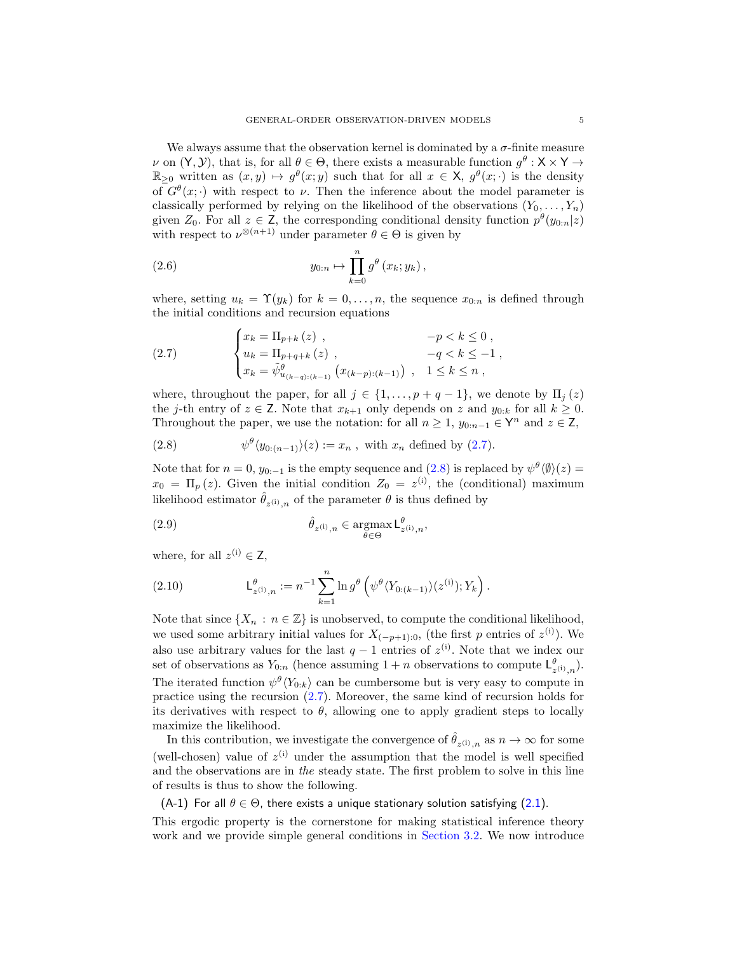We always assume that the observation kernel is dominated by a  $\sigma$ -finite measure  $\nu$  on  $(Y, Y)$ , that is, for all  $\theta \in \Theta$ , there exists a measurable function  $g^{\theta} : X \times Y \to Y$  $\mathbb{R}_{\geq 0}$  written as  $(x, y) \mapsto g^{\theta}(x, y)$  such that for all  $x \in X$ ,  $g^{\theta}(x, \cdot)$  is the density of  $G^{\theta}(x; \cdot)$  with respect to  $\nu$ . Then the inference about the model parameter is classically performed by relying on the likelihood of the observations  $(Y_0, \ldots, Y_n)$ given  $Z_0$ . For all  $z \in \mathbb{Z}$ , the corresponding conditional density function  $p^{\theta}(y_{0:n}|z)$ with respect to  $\nu^{\otimes (n+1)}$  under parameter  $\theta \in \Theta$  is given by

(2.6) 
$$
y_{0:n} \mapsto \prod_{k=0}^{n} g^{\theta}(x_k; y_k),
$$

where, setting  $u_k = \Upsilon(y_k)$  for  $k = 0, \ldots, n$ , the sequence  $x_{0:n}$  is defined through the initial conditions and recursion equations

<span id="page-4-0"></span>(2.7) 
$$
\begin{cases} x_k = \Pi_{p+k} (z) , & -p < k \leq 0 ,\\ u_k = \Pi_{p+q+k} (z) , & -q < k \leq -1 ,\\ x_k = \tilde{\psi}^{\theta}_{u_{(k-q):(k-1)}} (x_{(k-p):(k-1)}) , & 1 \leq k \leq n , \end{cases}
$$

where, throughout the paper, for all  $j \in \{1, \ldots, p+q-1\}$ , we denote by  $\Pi_j(z)$ the j-th entry of  $z \in \mathsf{Z}$ . Note that  $x_{k+1}$  only depends on z and  $y_{0:k}$  for all  $k \geq 0$ . Throughout the paper, we use the notation: for all  $n \geq 1$ ,  $y_{0:n-1} \in \mathsf{Y}^n$  and  $z \in \mathsf{Z}$ ,

<span id="page-4-1"></span>(2.8) 
$$
\psi^{\theta}(y_{0:(n-1)})(z) := x_n, \text{ with } x_n \text{ defined by (2.7)}.
$$

Note that for  $n = 0$ ,  $y_{0:-1}$  is the empty sequence and  $(2.8)$  is replaced by  $\psi^{\theta}(\psi)(z) =$  $x_0 = \Pi_p(z)$ . Given the initial condition  $Z_0 = z^{(i)}$ , the (conditional) maximum likelihood estimator  $\hat{\theta}_{z^{(i)},n}$  of the parameter  $\theta$  is thus defined by

<span id="page-4-3"></span>(2.9) 
$$
\hat{\theta}_{z^{(i)},n} \in \underset{\theta \in \Theta}{\operatorname{argmax}} \mathsf{L}_{z^{(i)},n}^{\theta},
$$

where, for all  $z^{(i)} \in \mathsf{Z}$ ,

<span id="page-4-4"></span>(2.10) 
$$
L_{z^{(i)},n}^{\theta} := n^{-1} \sum_{k=1}^{n} \ln g^{\theta} \left( \psi^{\theta} \langle Y_{0:(k-1)} \rangle(z^{(i)}); Y_k \right).
$$

Note that since  $\{X_n : n \in \mathbb{Z}\}\$ is unobserved, to compute the conditional likelihood, we used some arbitrary initial values for  $X_{(-p+1):0}$ , (the first p entries of  $z^{(i)}$ ). We also use arbitrary values for the last  $q-1$  entries of  $z^{(i)}$ . Note that we index our set of observations as  $Y_{0:n}$  (hence assuming  $1+n$  observations to compute  $L^{\theta}_{z^{(i)},n}$ ). The iterated function  $\psi^{\theta}(Y_{0:k})$  can be cumbersome but is very easy to compute in practice using the recursion [\(2.7\)](#page-4-0). Moreover, the same kind of recursion holds for its derivatives with respect to  $\theta$ , allowing one to apply gradient steps to locally maximize the likelihood.

In this contribution, we investigate the convergence of  $\hat{\theta}_{z^{(i)},n}$  as  $n \to \infty$  for some (well-chosen) value of  $z^{(i)}$  under the assumption that the model is well specified and the observations are in *the* steady state. The first problem to solve in this line of results is thus to show the following.

<span id="page-4-2"></span>(A-1) For all  $\theta \in \Theta$ , there exists a unique stationary solution satisfying [\(2.1\)](#page-2-1).

This ergodic property is the cornerstone for making statistical inference theory work and we provide simple general conditions in [Section 3.2.](#page-13-0) We now introduce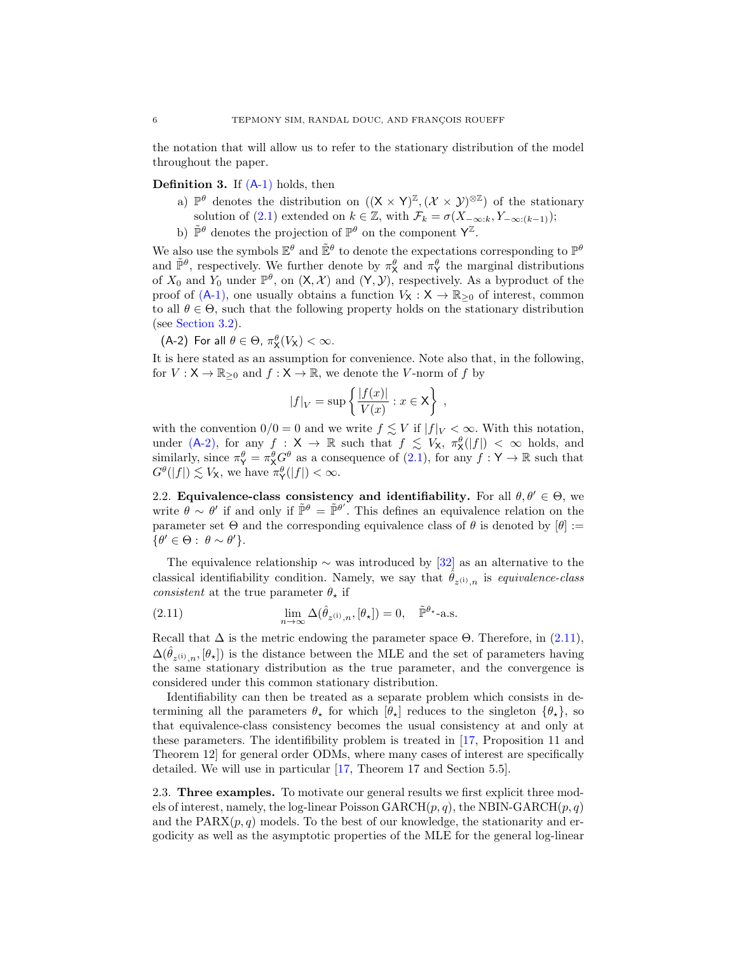the notation that will allow us to refer to the stationary distribution of the model throughout the paper.

## <span id="page-5-2"></span>**Definition 3.** If  $(A-1)$  $(A-1)$  holds, then

- a)  $\mathbb{P}^{\theta}$  denotes the distribution on  $((X \times Y)^{\mathbb{Z}}, (\mathcal{X} \times \mathcal{Y})^{\otimes \mathbb{Z}})$  of the stationary solution of [\(2.1\)](#page-2-1) extended on  $k \in \mathbb{Z}$ , with  $\mathcal{F}_k = \sigma(X_{-\infty:k}, Y_{-\infty:(k-1)})$ ;
- b)  $\tilde{\mathbb{P}}^{\theta}$  denotes the projection of  $\mathbb{P}^{\theta}$  on the component  $\mathsf{Y}^{\mathbb{Z}}$ .

We also use the symbols  $\mathbb{E}^{\theta}$  and  $\tilde{\mathbb{E}}^{\theta}$  to denote the expectations corresponding to  $\mathbb{P}^{\theta}$ and  $\tilde{\mathbb{P}}^{\theta}$ , respectively. We further denote by  $\pi_X^{\theta}$  and  $\pi_Y^{\theta}$  the marginal distributions of  $X_0$  and  $Y_0$  under  $\mathbb{P}^{\theta}$ , on  $(X, \mathcal{X})$  and  $(Y, \mathcal{Y})$ , respectively. As a byproduct of the proof of  $(A-1)$ , one usually obtains a function  $V_X : X \to \mathbb{R}_{\geq 0}$  of interest, common to all  $\theta \in \Theta$ , such that the following property holds on the stationary distribution (see [Section 3.2\)](#page-13-0).

<span id="page-5-0"></span>(A-2) For all  $\theta \in \Theta$ ,  $\pi_X^{\theta}(V_X) < \infty$ .

It is here stated as an assumption for convenience. Note also that, in the following, for  $V : \mathsf{X} \to \mathbb{R}_{\geq 0}$  and  $f : \mathsf{X} \to \mathbb{R}$ , we denote the V-norm of f by

$$
|f|_V = \sup \left\{ \frac{|f(x)|}{V(x)} : x \in \mathsf{X} \right\},\,
$$

with the convention  $0/0 = 0$  and we write  $f \leq V$  if  $|f|_V < \infty$ . With this notation, under  $(A-2)$ , for any  $f : X \to \mathbb{R}$  such that  $f \lesssim V_X$ ,  $\pi_X^{\theta}(|f|) < \infty$  holds, and similarly, since  $\pi_Y^{\theta} = \pi_X^{\theta} G^{\theta}$  as a consequence of  $(2.1)$ , for any  $f : Y \to \mathbb{R}$  such that  $G^{\theta}(|f|) \lesssim V_{\mathsf{X}},$  we have  $\pi_{\mathsf{Y}}^{\theta}(|f|) < \infty$ .

2.2. Equivalence-class consistency and identifiability. For all  $\theta, \theta' \in \Theta$ , we write  $\theta \sim \theta'$  if and only if  $\tilde{\mathbb{P}}^{\theta} = \tilde{\mathbb{P}}^{\theta'}$ . This defines an equivalence relation on the parameter set  $\Theta$  and the corresponding equivalence class of  $\theta$  is denoted by  $[\theta] :=$  $\{\theta' \in \Theta: \ \theta \sim \theta'\}.$ 

The equivalence relationship  $\sim$  was introduced by [\[32](#page-37-11)] as an alternative to the classical identifiability condition. Namely, we say that  $\hat{\theta}_{z^{(i)},n}$  is *equivalence-class consistent* at the true parameter  $\theta_{\star}$  if

<span id="page-5-1"></span>(2.11) 
$$
\lim_{n \to \infty} \Delta(\hat{\theta}_{z^{(i)},n}, [\theta_\star]) = 0, \quad \tilde{\mathbb{P}}^{\theta_\star} \text{-a.s.}
$$

Recall that  $\Delta$  is the metric endowing the parameter space  $\Theta$ . Therefore, in [\(2.11\)](#page-5-1),  $\Delta(\hat{\theta}_{z^{(i)},n}, [\theta_\star])$  is the distance between the MLE and the set of parameters having the same stationary distribution as the true parameter, and the convergence is considered under this common stationary distribution.

Identifiability can then be treated as a separate problem which consists in determining all the parameters  $\theta_{\star}$  for which  $[\theta_{\star}]$  reduces to the singleton  $\{\theta_{\star}\}\$ , so that equivalence-class consistency becomes the usual consistency at and only at these parameters. The identifibility problem is treated in [\[17,](#page-36-14) Proposition 11 and Theorem 12] for general order ODMs, where many cases of interest are specifically detailed. We will use in particular [\[17,](#page-36-14) Theorem 17 and Section 5.5].

2.3. Three examples. To motivate our general results we first explicit three models of interest, namely, the log-linear Poisson  $\text{GARCH}(p, q)$ , the NBIN-GARCH $(p, q)$ and the  $PARX(p, q)$  models. To the best of our knowledge, the stationarity and ergodicity as well as the asymptotic properties of the MLE for the general log-linear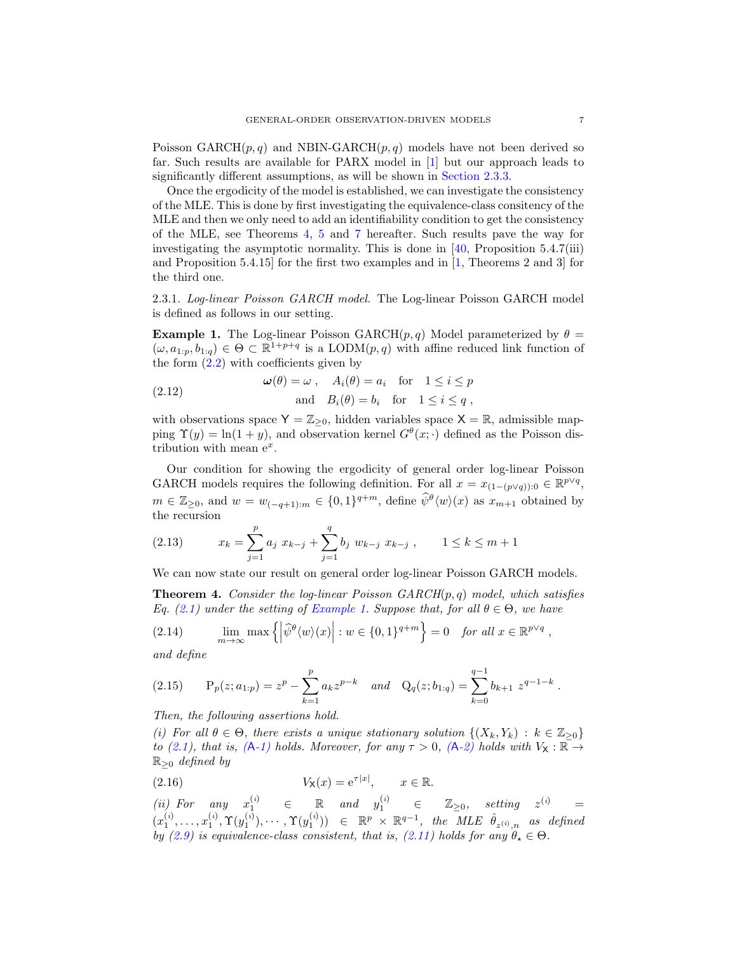Poisson  $GARCH(p, q)$  and NBIN-GARCH $(p, q)$  models have not been derived so far. Such results are available for PARX model in [\[1\]](#page-35-9) but our approach leads to significantly different assumptions, as will be shown in [Section 2.3.3.](#page-8-0)

Once the ergodicity of the model is established, we can investigate the consistency of the MLE. This is done by first investigating the equivalence-class consitency of the MLE and then we only need to add an identifiability condition to get the consistency of the MLE, see Theorems [4,](#page-6-0) [5](#page-8-1) and [7](#page-10-0) hereafter. Such results pave the way for investigating the asymptotic normality. This is done in  $[40,$  Proposition 5.4.7(iii) and Proposition 5.4.15] for the first two examples and in [\[1](#page-35-9), Theorems 2 and 3] for the third one.

2.3.1. *Log-linear Poisson GARCH model.* The Log-linear Poisson GARCH model is defined as follows in our setting.

<span id="page-6-1"></span>**Example 1.** The Log-linear Poisson GARCH $(p, q)$  Model parameterized by  $\theta =$  $(\omega, a_{1:p}, b_{1:q}) \in \Theta \subset \mathbb{R}^{1+p+q}$  is a LODM $(p, q)$  with affine reduced link function of the form  $(2.2)$  with coefficients given by

<span id="page-6-5"></span>(2.12) 
$$
\omega(\theta) = \omega, \quad A_i(\theta) = a_i \quad \text{for} \quad 1 \le i \le p
$$

$$
\text{and} \quad B_i(\theta) = b_i \quad \text{for} \quad 1 \le i \le q,
$$

with observations space  $Y = \mathbb{Z}_{\geq 0}$ , hidden variables space  $X = \mathbb{R}$ , admissible mapping  $\Upsilon(y) = \ln(1+y)$ , and observation kernel  $G^{\theta}(x; \cdot)$  defined as the Poisson distribution with mean  $e^x$ .

Our condition for showing the ergodicity of general order log-linear Poisson GARCH models requires the following definition. For all  $x = x_{(1-(p\vee q)) : 0} \in \mathbb{R}^{p\vee q}$ ,  $m \in \mathbb{Z}_{\geq 0}$ , and  $w = w_{(-q+1):m} \in \{0,1\}^{q+m}$ , define  $\widehat{\psi}^{\theta}(w)(x)$  as  $x_{m+1}$  obtained by the recursion

<span id="page-6-4"></span>(2.13) 
$$
x_k = \sum_{j=1}^p a_j \ x_{k-j} + \sum_{j=1}^q b_j \ w_{k-j} \ x_{k-j} \ , \qquad 1 \leq k \leq m+1
$$

We can now state our result on general order log-linear Poisson GARCH models.

<span id="page-6-0"></span>Theorem 4. *Consider the log-linear Poisson GARCH*(p, q) *model, which satisfies Eq.* [\(2.1\)](#page-2-1) *under the setting of [Example 1.](#page-6-1) Suppose that, for all*  $\theta \in \Theta$ *, we have* 

<span id="page-6-3"></span>(2.14) 
$$
\lim_{m \to \infty} \max \left\{ \left| \widehat{\psi}^{\theta} \langle w \rangle(x) \right| : w \in \{0, 1\}^{q+m} \right\} = 0 \text{ for all } x \in \mathbb{R}^{p \vee q},
$$

*and define*

<span id="page-6-2"></span>
$$
(2.15) \tPp(z; a1:p) = zp - \sum_{k=1}^{p} a_k z^{p-k} \t and \tQq(z; b1:q) = \sum_{k=0}^{q-1} b_{k+1} z^{q-1-k}.
$$

<span id="page-6-6"></span>*Then, the following assertions hold.*

*(i)* For all  $\theta \in \Theta$ , there exists a unique stationary solution  $\{(X_k, Y_k) : k \in \mathbb{Z}_{\geq 0}\}\$ *to* [\(2.1\)](#page-2-1), that is,  $(A-1)$  $(A-1)$  holds. Moreover, for any  $\tau > 0$ ,  $(A-2)$  $(A-2)$  holds with  $V_{\mathsf{X}} : \mathbb{R} \to$ R≥<sup>0</sup> *defined by*

<span id="page-6-7"></span>(2.16) 
$$
V_{\mathsf{X}}(x) = e^{\tau |x|}, \qquad x \in \mathbb{R}.
$$

 $(i)$  *For* any  $x_1^{(i)}$  ∈ ℝ and  $y_1^{(i)}$  ∈ ℤ<sub>≥0</sub>, setting  $z^{(i)}$  =  $(x_1^{(i)}, \ldots, x_1^{(i)}, \Upsilon(y_1^{(i)}), \cdots, \Upsilon(y_1^{(i)})) \in \mathbb{R}^p \times \mathbb{R}^{q-1}, \text{ the MLE } \hat{\theta}_{z^{(i)},n} \text{ as defined}$ *by* [\(2.9\)](#page-4-3) *is equivalence-class consistent, that is,* [\(2.11\)](#page-5-1) *holds for any*  $\hat{\theta}_* \in \Theta$ .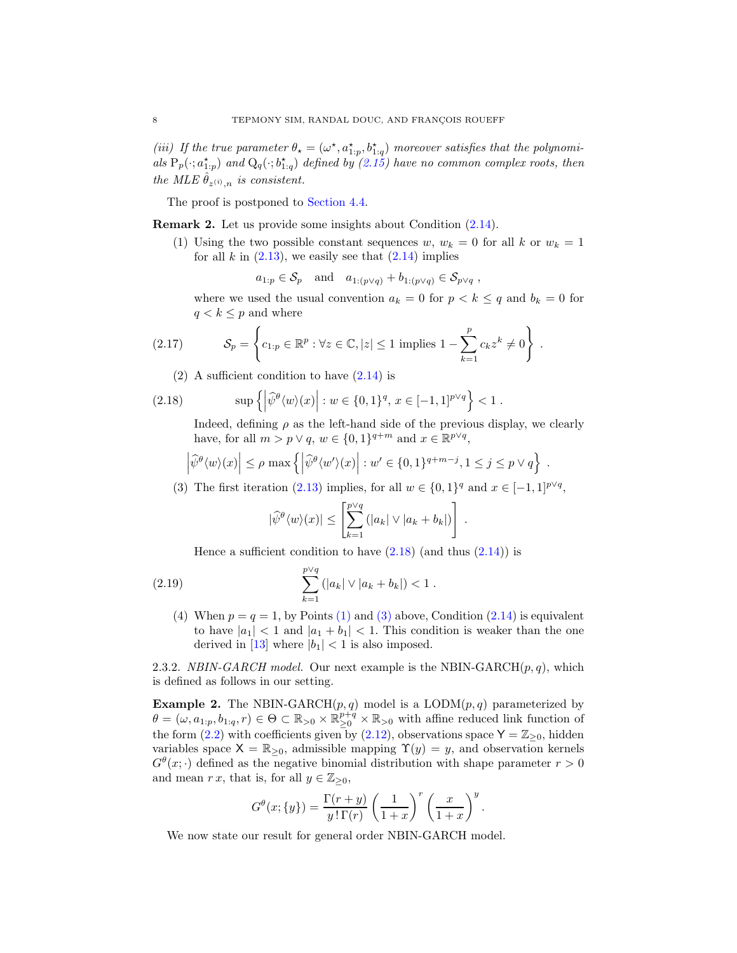<span id="page-7-7"></span>(*iii*) If the true parameter  $\theta_{\star} = (\omega^{\star}, a^{\star}_{1:p}, b^{\star}_{1:q})$  moreover satisfies that the polynomials  $P_p(\cdot; a_{1:p}^{\star})$  and  $Q_q(\cdot; b_{1:q}^{\star})$  defined by  $(2.15)$  have no common complex roots, then *the MLE*  $\hat{\theta}_{z^{(i)},n}$  *is consistent.* 

The proof is postponed to [Section 4.4.](#page-25-0)

<span id="page-7-3"></span><span id="page-7-0"></span>Remark 2. Let us provide some insights about Condition [\(2.14\)](#page-6-3).

(1) Using the two possible constant sequences w,  $w_k = 0$  for all k or  $w_k = 1$ for all k in  $(2.13)$ , we easily see that  $(2.14)$  implies

$$
a_{1:p} \in S_p
$$
 and  $a_{1:(p\vee q)} + b_{1:(p\vee q)} \in S_{p\vee q}$ ,

where we used the usual convention  $a_k = 0$  for  $p < k \leq q$  and  $b_k = 0$  for  $q < k \leq p$  and where

<span id="page-7-6"></span>(2.17) 
$$
\mathcal{S}_p = \left\{c_{1:p} \in \mathbb{R}^p : \forall z \in \mathbb{C}, |z| \le 1 \text{ implies } 1 - \sum_{k=1}^p c_k z^k \ne 0 \right\}.
$$

(2) A sufficient condition to have  $(2.14)$  is

(2.18) 
$$
\sup \left\{ \left| \widehat{\psi}^{\theta} \langle w \rangle(x) \right| : w \in \{0, 1\}^q, x \in [-1, 1]^{p \vee q} \right\} < 1.
$$

<span id="page-7-2"></span>Indeed, defining  $\rho$  as the left-hand side of the previous display, we clearly have, for all  $m > p \vee q$ ,  $w \in \{0, 1\}^{q+m}$  and  $x \in \mathbb{R}^{p \vee q}$ ,

$$
\left|\widehat{\psi}^{\theta}\langle w\rangle(x)\right| \leq \rho \max\left\{\left|\widehat{\psi}^{\theta}\langle w'\rangle(x)\right|: w' \in \{0,1\}^{q+m-j}, 1 \leq j \leq p \vee q\right\}.
$$

<span id="page-7-4"></span>(3) The first iteration [\(2.13\)](#page-6-4) implies, for all  $w \in \{0,1\}^q$  and  $x \in [-1,1]^{p \vee q}$ ,

$$
|\widehat{\psi}^{\theta}\langle w\rangle(x)| \leq \left[\sum_{k=1}^{p\vee q} (|a_k| \vee |a_k + b_k|)\right].
$$

Hence a sufficient condition to have  $(2.18)$  (and thus  $(2.14)$ ) is

(2.19) 
$$
\sum_{k=1}^{p\vee q} (|a_k| \vee |a_k + b_k|) < 1.
$$

<span id="page-7-1"></span>(4) When  $p = q = 1$ , by Points [\(1\)](#page-7-3) and [\(3\)](#page-7-4) above, Condition [\(2.14\)](#page-6-3) is equivalent to have  $|a_1| < 1$  and  $|a_1 + b_1| < 1$ . This condition is weaker than the one derived in [\[13\]](#page-36-10) where  $|b_1| < 1$  is also imposed.

2.3.2. *NBIN-GARCH model.* Our next example is the NBIN-GARCH $(p, q)$ , which is defined as follows in our setting.

<span id="page-7-5"></span>**Example 2.** The NBIN-GARCH $(p, q)$  model is a LODM $(p, q)$  parameterized by  $\theta = (\omega, a_{1:p}, b_{1:q}, r) \in \Theta \subset \mathbb{R}_{>0} \times \mathbb{R}_{\geq 0}^{p+q} \times \mathbb{R}_{>0}$  with affine reduced link function of the form [\(2.2\)](#page-2-2) with coefficients given by [\(2.12\)](#page-6-5), observations space  $Y = \mathbb{Z}_{\geq 0}$ , hidden variables space  $X = \mathbb{R}_{\geq 0}$ , admissible mapping  $\Upsilon(y) = y$ , and observation kernels  $G^{\theta}(x; \cdot)$  defined as the negative binomial distribution with shape parameter  $r > 0$ and mean r x, that is, for all  $y \in \mathbb{Z}_{\geq 0}$ ,

$$
G^{\theta}(x; \{y\}) = \frac{\Gamma(r+y)}{y\,! \Gamma(r)} \left(\frac{1}{1+x}\right)^r \left(\frac{x}{1+x}\right)^y.
$$

We now state our result for general order NBIN-GARCH model.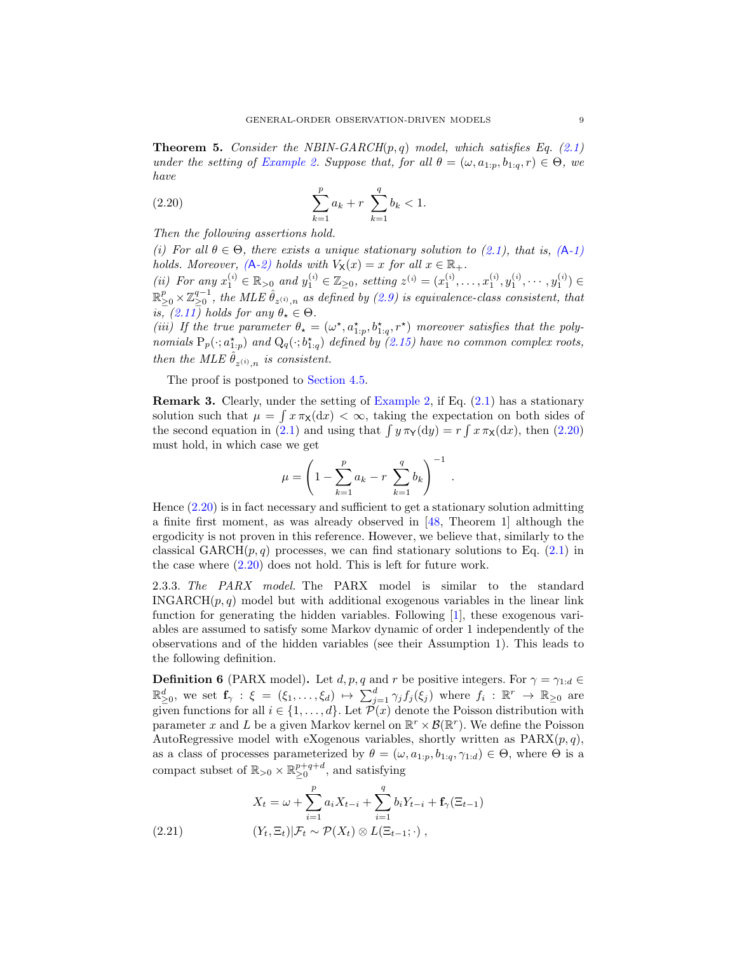<span id="page-8-1"></span>Theorem 5. *Consider the NBIN-GARCH*(p, q) *model, which satisfies Eq. [\(2.1\)](#page-2-1) under the setting of [Example 2.](#page-7-5) Suppose that, for all*  $\theta = (\omega, a_{1:n}, b_{1:q}, r) \in \Theta$ , we *have*

<span id="page-8-2"></span>(2.20) 
$$
\sum_{k=1}^{p} a_k + r \sum_{k=1}^{q} b_k < 1.
$$

<span id="page-8-4"></span>*Then the following assertions hold.*

*(i)* For all  $\theta \in \Theta$ *, there exists a unique stationary solution to [\(2.1\)](#page-2-1), that is,* (A[-1\)](#page-4-2) *holds. Moreover,*  $(A-2)$  $(A-2)$  *holds with*  $V_X(x) = x$  *for all*  $x \in \mathbb{R}_+$ *.* 

<span id="page-8-5"></span>*(ii)* For any  $x_1^{(i)} \in \mathbb{R}_{\geq 0}$  and  $y_1^{(i)} \in \mathbb{Z}_{\geq 0}$ , setting  $z^{(i)} = (x_1^{(i)}, \ldots, x_1^{(i)}, y_1^{(i)}, \ldots, y_1^{(i)}) \in$  $\mathbb{R}_{\geq 0}^p\times\mathbb{Z}_{\geq 0}^{q-1}$ , the MLE  $\hat{\theta}_{z^{(i)},n}$  as defined by  $(2.9)$  is equivalence-class consistent, that  $is, (2.11)$  $is, (2.11)$ *holds for any*  $\theta_{\star} \in \Theta$ .

<span id="page-8-6"></span>(*iii*) If the true parameter  $\theta_{\star} = (\omega^{\star}, a^{\star}_{1:p}, b^{\star}_{1:q}, r^{\star})$  moreover satisfies that the poly*nomials*  $P_p(\cdot; a_{1:p}^*)$  *and*  $Q_q(\cdot; b_{1:q}^*)$  *defined by* [\(2.15\)](#page-6-2) *have no common complex roots, then the MLE*  $\hat{\theta}_{z^{(i)},n}$  *is consistent.* 

The proof is postponed to [Section 4.5.](#page-28-0)

**Remark 3.** Clearly, under the setting of [Example 2,](#page-7-5) if Eq.  $(2.1)$  has a stationary solution such that  $\mu = \int x \pi_X(\mathrm{d}x) < \infty$ , taking the expectation on both sides of the second equation in [\(2.1\)](#page-2-1) and using that  $\int y \pi_Y(dy) = r \int x \pi_X(dx)$ , then [\(2.20\)](#page-8-2) must hold, in which case we get

$$
\mu = \left(1 - \sum_{k=1}^{p} a_k - r \sum_{k=1}^{q} b_k\right)^{-1}
$$

.

Hence [\(2.20\)](#page-8-2) is in fact necessary and sufficient to get a stationary solution admitting a finite first moment, as was already observed in [\[48,](#page-37-12) Theorem 1] although the ergodicity is not proven in this reference. However, we believe that, similarly to the classical GARCH $(p, q)$  processes, we can find stationary solutions to Eq. [\(2.1\)](#page-2-1) in the case where [\(2.20\)](#page-8-2) does not hold. This is left for future work.

<span id="page-8-0"></span>2.3.3. *The PARX model.* The PARX model is similar to the standard INGARCH $(p, q)$  model but with additional exogenous variables in the linear link function for generating the hidden variables. Following [\[1\]](#page-35-9), these exogenous variables are assumed to satisfy some Markov dynamic of order 1 independently of the observations and of the hidden variables (see their Assumption 1). This leads to the following definition.

<span id="page-8-3"></span>**Definition 6** (PARX model). Let  $d, p, q$  and r be positive integers. For  $\gamma = \gamma_{1:d} \in$  $\mathbb{R}_{\geq 0}^d$ , we set  $\mathbf{f}_{\gamma}$  :  $\xi = (\xi_1, \ldots, \xi_d) \mapsto \sum_{j=1}^d \gamma_j f_j(\xi_j)$  where  $f_i : \mathbb{R}^r \to \mathbb{R}_{\geq 0}$  are given functions for all  $i \in \{1, ..., d\}$ . Let  $\mathcal{P}(x)$  denote the Poisson distribution with parameter x and L be a given Markov kernel on  $\mathbb{R}^r \times \mathcal{B}(\mathbb{R}^r)$ . We define the Poisson AutoRegressive model with eXogenous variables, shortly written as  $PARX(p, q)$ , as a class of processes parameterized by  $\theta = (\omega, a_{1:p}, b_{1:q}, \gamma_{1:d}) \in \Theta$ , where  $\Theta$  is a compact subset of  $\mathbb{R}_{>0} \times \mathbb{R}_{\geq 0}^{p+q+d}$ , and satisfying

<span id="page-8-7"></span>(2.21) 
$$
X_{t} = \omega + \sum_{i=1}^{p} a_{i} X_{t-i} + \sum_{i=1}^{q} b_{i} Y_{t-i} + \mathbf{f}_{\gamma} (\Xi_{t-1})
$$

$$
(Y_{t}, \Xi_{t}) | \mathcal{F}_{t} \sim \mathcal{P}(X_{t}) \otimes L(\Xi_{t-1}; \cdot) ,
$$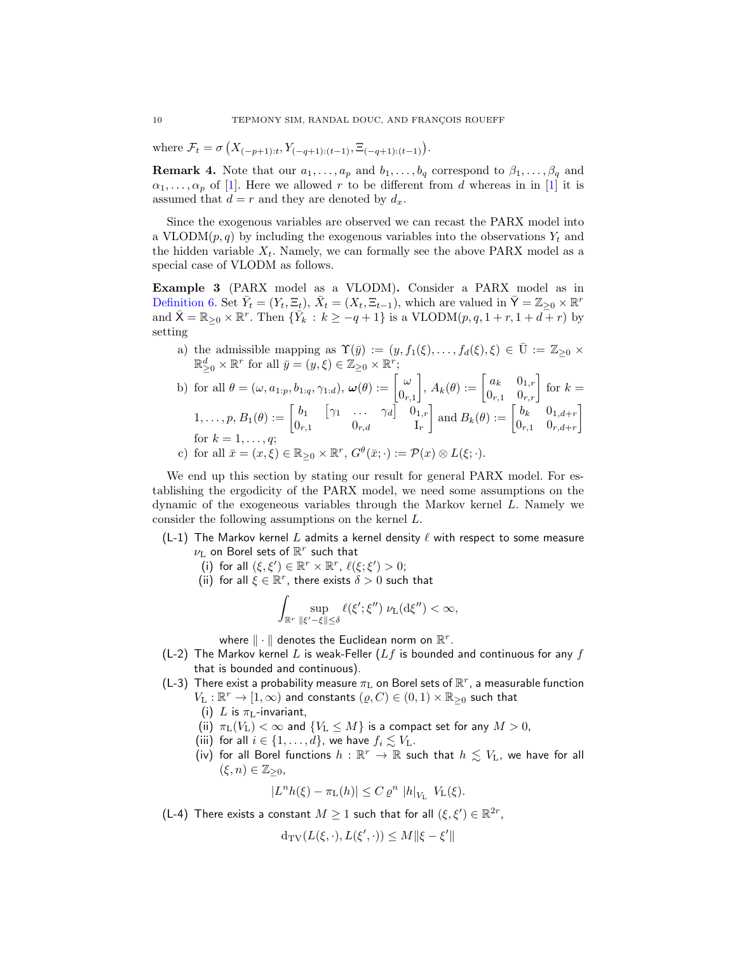where  $\mathcal{F}_t = \sigma\left(X_{(-p+1):t}, Y_{(-q+1):(t-1)}, \Xi_{(-q+1):(t-1)}\right)$ .

**Remark 4.** Note that our  $a_1, \ldots, a_p$  and  $b_1, \ldots, b_q$  correspond to  $\beta_1, \ldots, \beta_q$  and  $\alpha_1, \ldots, \alpha_p$  of [\[1\]](#page-35-9). Here we allowed r to be different from d whereas in in [\[1](#page-35-9)] it is assumed that  $d = r$  and they are denoted by  $d_x$ .

Since the exogenous variables are observed we can recast the PARX model into a VLODM $(p, q)$  by including the exogenous variables into the observations  $Y_t$  and the hidden variable  $X_t$ . Namely, we can formally see the above PARX model as a special case of VLODM as follows.

<span id="page-9-2"></span>Example 3 (PARX model as a VLODM). Consider a PARX model as in [Definition 6.](#page-8-3) Set  $\bar{Y}_t = (Y_t, \Xi_t)$ ,  $\bar{X}_t = (X_t, \Xi_{t-1})$ , which are valued in  $\bar{Y} = \mathbb{Z}_{\geq 0} \times \mathbb{R}^r$ and  $\bar{X} = \mathbb{R}_{\geq 0} \times \mathbb{R}^r$ . Then  $\{\bar{Y}_k : k \geq -q+1\}$  is a VLODM $(p, q, 1 + r, 1 + d + r)$  by setting

a) the admissible mapping as  $\Upsilon(\bar{y}) := (y, f_1(\xi), \ldots, f_d(\xi), \xi) \in \bar{U} := \mathbb{Z}_{\geq 0} \times$  $\mathbb{R}_{\geq 0}^d \times \mathbb{R}^r$  for all  $\bar{y} = (y, \xi) \in \mathbb{Z}_{\geq 0} \times \mathbb{R}^r$ ;

<span id="page-9-6"></span>b) for all 
$$
\theta = (\omega, a_{1:p}, b_{1:q}, \gamma_{1:d}), \omega(\theta) := \begin{bmatrix} \omega \\ 0_{r,1} \end{bmatrix}, A_k(\theta) := \begin{bmatrix} a_k & 0_{1,r} \\ 0_{r,1} & 0_{r,r} \end{bmatrix}
$$
 for  $k = 1, \ldots, p, B_1(\theta) := \begin{bmatrix} b_1 & \begin{bmatrix} \gamma_1 & \cdots & \gamma_d \end{bmatrix} & 0_{1,r} \\ 0_{r,d} & 0_{r,d} \end{bmatrix}$  and  $B_k(\theta) := \begin{bmatrix} b_k & 0_{1,d+r} \\ 0_{r,1} & 0_{r,d+r} \end{bmatrix}$   
for  $k = 1, \ldots, q$ ;  
c) for all  $\bar{x} = (x, \xi) \in \mathbb{R}_{\geq 0} \times \mathbb{R}^r$ ,  $G^{\theta}(\bar{x}; \cdot) := \mathcal{P}(x) \otimes L(\xi; \cdot)$ .

We end up this section by stating our result for general PARX model. For establishing the ergodicity of the PARX model, we need some assumptions on the dynamic of the exogeneous variables through the Markov kernel L. Namely we consider the following assumptions on the kernel L.

- <span id="page-9-10"></span><span id="page-9-7"></span><span id="page-9-0"></span>(L-1) The Markov kernel L admits a kernel density  $\ell$  with respect to some measure  $\nu_{\mathrm{L}}$  on Borel sets of  $\mathbb{R}^r$  such that
	- (i) for all  $(\xi, \xi') \in \mathbb{R}^r \times \mathbb{R}^r$ ,  $\ell(\xi; \xi') > 0$ ;
	- (ii) for all  $\xi \in \mathbb{R}^r$ , there exists  $\delta > 0$  such that

$$
\int_{\mathbb{R}^r} \sup_{\vert \xi' - \xi \vert \vert \leq \delta} \ell(\xi';\xi'') \ \nu_L(d\xi'') < \infty,
$$

where  $\|\cdot\|$  denotes the Euclidean norm on  $\mathbb{R}^r$ .

- <span id="page-9-5"></span>(L-2) The Markov kernel L is weak-Feller ( $Lf$  is bounded and continuous for any f that is bounded and continuous).
- <span id="page-9-9"></span><span id="page-9-8"></span><span id="page-9-4"></span><span id="page-9-1"></span>(L-3) There exist a probability measure  $\pi_{\rm L}$  on Borel sets of  $\mathbb{R}^r$ , a measurable function  $V_{\text{L}}:\mathbb{R}^r\to [1,\infty)$  and constants  $(\varrho,C)\in (0,1)\times \mathbb{R}_{\geq 0}$  such that
	- (i) L is  $\pi_{\text{L}}$ -invariant,
	- (ii)  $\pi_{\text{L}}(V_{\text{L}}) < \infty$  and  $\{V_{\text{L}} \leq M\}$  is a compact set for any  $M > 0$ ,
	- (iii) for all  $i \in \{1, \ldots, d\}$ , we have  $f_i \lesssim V_L$ .
	- (iv) for all Borel functions  $h : \mathbb{R}^r \to \mathbb{R}$  such that  $h \lesssim V_L$ , we have for all  $(\xi, n) \in \mathbb{Z}_{\geq 0}$ ,

$$
|L^n h(\xi) - \pi_{\mathcal{L}}(h)| \leq C \varrho^n |h|_{V_{\mathcal{L}}} V_{\mathcal{L}}(\xi).
$$

<span id="page-9-3"></span>(L-4) There exists a constant  $M \geq 1$  such that for all  $(\xi, \xi') \in \mathbb{R}^{2r}$ ,

$$
\textup{\textsf{d}}_{\textup{\textsf{TV}}}(L(\xi,\cdot),L(\xi',\cdot))\leq M\|\xi-\xi'\|
$$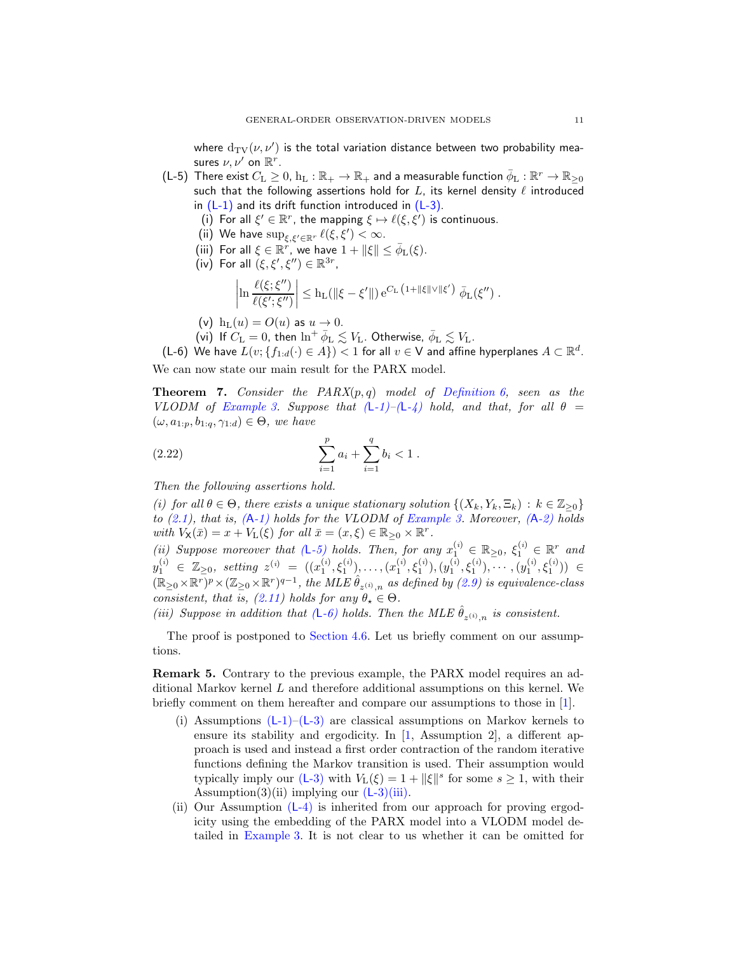where  $\text{d}_{\mathrm{TV}}(\nu, \nu')$  is the total variation distance between two probability measures  $\nu, \nu'$  on  $\mathbb{R}^r$ .

- <span id="page-10-7"></span><span id="page-10-6"></span><span id="page-10-5"></span><span id="page-10-4"></span><span id="page-10-1"></span>(L-5) There exist  $C_{\rm L}\geq 0$ ,  ${\rm h}_{\rm L}:\mathbb{R}_+\to\mathbb{R}_+$  and a measurable function  $\bar\phi_{\rm L}:\mathbb{R}^r\to\mathbb{R}_{\geq 0}$ such that the following assertions hold for  $L$ , its kernel density  $\ell$  introduced in  $(L-1)$  and its drift function introduced in  $(L-3)$ .
	- (i) For all  $\xi' \in \mathbb{R}^r$ , the mapping  $\xi \mapsto \ell(\xi, \xi')$  is continuous.
	- (ii) We have  $\sup_{\xi, \xi' \in \mathbb{R}^r} \ell(\xi, \xi') < \infty$ .
	- (iii) For all  $\xi \in \mathbb{R}^r$ , we have  $1 + ||\xi|| \leq \bar{\phi}_L(\xi)$ .
	- (iv) For all  $(\xi, \xi', \xi'') \in \mathbb{R}^{3r}$ ,

$$
\left|\ln\frac{\ell(\xi;\xi'')}{\ell(\xi';\xi'')}\right|\leq h_L(\|\xi-\xi'\|)\,e^{C_L\,\left(1+\|\xi\|\vee\|\xi'\right)}\,\,\bar{\phi}_L(\xi'')\;.
$$

- (v)  $h_L(u) = O(u)$  as  $u \to 0$ .
- <span id="page-10-8"></span>(vi) If  $C_{\rm L}=0$ , then  $\ln^+ \bar{\phi}_{\rm L} \lesssim V_{\rm L}$ . Otherwise,  $\bar{\phi}_{\rm L} \lesssim V_{\rm L}$ .

<span id="page-10-9"></span><span id="page-10-2"></span>(L-6) We have  $L(v; \{f_{1:d}(\cdot) \in A\}) < 1$  for all  $v \in V$  and affine hyperplanes  $A \subset \mathbb{R}^d$ . We can now state our main result for the PARX model.

<span id="page-10-0"></span>Theorem 7. *Consider the PARX*(p, q) *model of [Definition 6,](#page-8-3) seen as the VLODM of [Example 3.](#page-9-2) Suppose that*  $(L-1)-(L-4)$  $(L-1)-(L-4)$  *hold, and that, for all*  $\theta =$  $(\omega, a_{1:p}, b_{1:q}, \gamma_{1:d}) \in \Theta$ *, we have* 

<span id="page-10-3"></span>(2.22) 
$$
\sum_{i=1}^{p} a_i + \sum_{i=1}^{q} b_i < 1.
$$

<span id="page-10-10"></span>*Then the following assertions hold.*

*(i)* for all  $\theta \in \Theta$ , there exists a unique stationary solution  $\{(X_k, Y_k, \Xi_k) : k \in \mathbb{Z}_{\geq 0}\}\$ *to [\(2.1\)](#page-2-1), that is, (*A*[-1\)](#page-4-2) holds for the VLODM of [Example 3.](#page-9-2) Moreover, (*A*[-2\)](#page-5-0) holds with*  $V_{\mathsf{X}}(\bar{x}) = x + V_{\mathsf{L}}(\xi)$  *for all*  $\bar{x} = (x, \xi) \in \mathbb{R}_{\geq 0} \times \mathbb{R}^r$ *.* 

<span id="page-10-11"></span>(*ii*) Suppose moreover that  $(L-5)$  $(L-5)$  holds. Then, for any  $x_1^{(i)} \in \mathbb{R}_{\geq 0}$ ,  $\xi_1^{(i)} \in \mathbb{R}^r$  and  $y_1^{(i)} \in \mathbb{Z}_{\geq 0}, \text{ setting } z^{(i)} = ((x_1^{(i)}, \xi_1^{(i)}), \dots, (x_1^{(i)}, \xi_1^{(i)}), (y_1^{(i)}, \xi_1^{(i)}), \cdots, (y_1^{(i)}, \xi_1^{(i)})) \in$  $(\mathbb{R}_{\geq 0} \times \mathbb{R}^r)^p \times (\mathbb{Z}_{\geq 0} \times \mathbb{R}^r)^{q-1}$ , the MLE  $\hat{\theta}_{z^{(i)},n}$  as defined by [\(2.9\)](#page-4-3) is equivalence-class *consistent, that is,* [\(2.11\)](#page-5-1) *holds for any*  $\theta_{\star} \in \Theta$ .

<span id="page-10-12"></span>(*iii*) Suppose in addition that  $(L-6)$  $(L-6)$  holds. Then the MLE  $\hat{\theta}_{z^{(i)},n}$  is consistent.

The proof is postponed to [Section 4.6.](#page-30-0) Let us briefly comment on our assumptions.

Remark 5. Contrary to the previous example, the PARX model requires an additional Markov kernel L and therefore additional assumptions on this kernel. We briefly comment on them hereafter and compare our assumptions to those in [\[1\]](#page-35-9).

- (i) Assumptions  $(L-1)-(L-3)$  $(L-1)-(L-3)$  are classical assumptions on Markov kernels to ensure its stability and ergodicity. In  $[1,$  Assumption 2, a different approach is used and instead a first order contraction of the random iterative functions defining the Markov transition is used. Their assumption would typically imply our  $(L-3)$  $(L-3)$  with  $V_L(\xi) = 1 + ||\xi||^s$  for some  $s \ge 1$ , with their Assumption(3)(ii) implying our  $(L-3)(iii)$  $(L-3)(iii)$  $(L-3)(iii)$ .
- (ii) Our Assumption  $(L-4)$  $(L-4)$  is inherited from our approach for proving ergodicity using the embedding of the PARX model into a VLODM model detailed in [Example 3.](#page-9-2) It is not clear to us whether it can be omitted for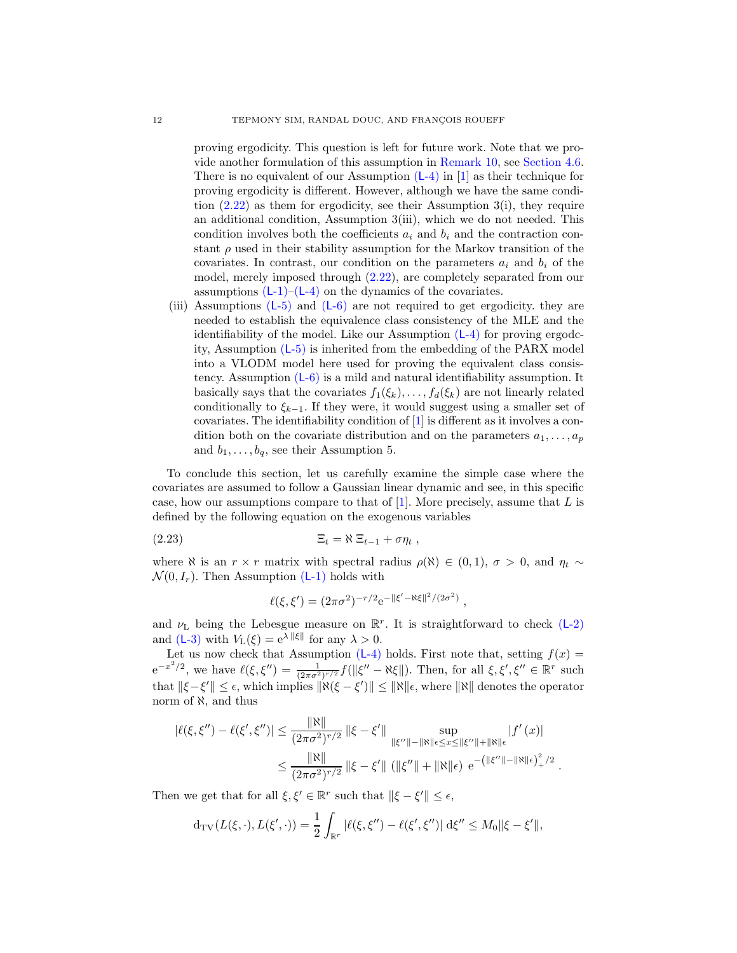proving ergodicity. This question is left for future work. Note that we provide another formulation of this assumption in [Remark 10,](#page-30-1) see [Section 4.6.](#page-30-0) There is no equivalent of our Assumption  $(L-4)$  $(L-4)$  in [\[1](#page-35-9)] as their technique for proving ergodicity is different. However, although we have the same condition  $(2.22)$  as them for ergodicity, see their Assumption 3(i), they require an additional condition, Assumption 3(iii), which we do not needed. This condition involves both the coefficients  $a_i$  and  $b_i$  and the contraction constant  $\rho$  used in their stability assumption for the Markov transition of the covariates. In contrast, our condition on the parameters  $a_i$  and  $b_i$  of the model, merely imposed through [\(2.22\)](#page-10-3), are completely separated from our assumptions  $(L-1)$ – $(L-4)$  $(L-4)$  on the dynamics of the covariates.

(iii) Assumptions  $(L-5)$  $(L-5)$  and  $(L-6)$  $(L-6)$  are not required to get ergodicity. they are needed to establish the equivalence class consistency of the MLE and the identifiability of the model. Like our Assumption (L[-4\)](#page-9-3) for proving ergodcity, Assumption (L[-5\)](#page-10-1) is inherited from the embedding of the PARX model into a VLODM model here used for proving the equivalent class consistency. Assumption (L[-6\)](#page-10-2) is a mild and natural identifiability assumption. It basically says that the covariates  $f_1(\xi_k), \ldots, f_d(\xi_k)$  are not linearly related conditionally to  $\xi_{k-1}$ . If they were, it would suggest using a smaller set of covariates. The identifiability condition of [\[1](#page-35-9)] is different as it involves a condition both on the covariate distribution and on the parameters  $a_1, \ldots, a_p$ and  $b_1, \ldots, b_q$ , see their Assumption 5.

To conclude this section, let us carefully examine the simple case where the covariates are assumed to follow a Gaussian linear dynamic and see, in this specific case, how our assumptions compare to that of  $[1]$ . More precisely, assume that L is defined by the following equation on the exogenous variables

$$
(2.23) \t\t \t\t \Xi_t = \aleph \Xi_{t-1} + \sigma \eta_t ,
$$

where  $\aleph$  is an  $r \times r$  matrix with spectral radius  $\rho(\aleph) \in (0,1)$ ,  $\sigma > 0$ , and  $\eta_t \sim$  $\mathcal{N}(0, I_r)$ . Then Assumption (L[-1\)](#page-9-0) holds with

<span id="page-11-0"></span>
$$
\ell(\xi, \xi') = (2\pi\sigma^2)^{-r/2} e^{-\|\xi' - \aleph \xi\|^2/(2\sigma^2)},
$$

and  $\nu$ <sub>L</sub> being the Lebesgue measure on  $\mathbb{R}^r$ . It is straightforward to check (L[-2\)](#page-9-5) and  $(L-3)$  $(L-3)$  with  $V_L(\xi) = e^{\lambda ||\xi||}$  for any  $\lambda > 0$ .

Let us now check that Assumption (L[-4\)](#page-9-3) holds. First note that, setting  $f(x) =$  $e^{-x^2/2}$ , we have  $\ell(\xi, \xi'') = \frac{1}{(2\pi\sigma^2)^{r/2}} f(||\xi'' - \aleph \xi||)$ . Then, for all  $\xi, \xi', \xi'' \in \mathbb{R}^r$  such that  $\|\xi - \xi'\| \leq \epsilon$ , which implies  $\|\aleph(\xi - \xi')\| \leq \|\aleph\|\epsilon$ , where  $\|\aleph\|$  denotes the operator norm of ℵ, and thus

$$
|\ell(\xi, \xi'') - \ell(\xi', \xi'')| \le \frac{\|\aleph\|}{(2\pi\sigma^2)^{r/2}} \|\xi - \xi'\| \sup_{\|\xi''\| - \|\aleph\| \epsilon \le x \le \|\xi''\| + \|\aleph\| \epsilon} |f'(x)|
$$
  

$$
\le \frac{\|\aleph\|}{(2\pi\sigma^2)^{r/2}} \|\xi - \xi'\| \left(\|\xi''\| + \|\aleph\| \epsilon\right) e^{-\left(\|\xi''\| - \|\aleph\| \epsilon\right)^2 + \gamma^2}.
$$

Then we get that for all  $\xi, \xi' \in \mathbb{R}^r$  such that  $\|\xi - \xi'\| \le \epsilon$ ,

$$
d_{TV}(L(\xi,\cdot),L(\xi',\cdot)) = \frac{1}{2} \int_{\mathbb{R}^r} |\ell(\xi,\xi'') - \ell(\xi',\xi'')| \, d\xi'' \le M_0 \|\xi - \xi'\|,
$$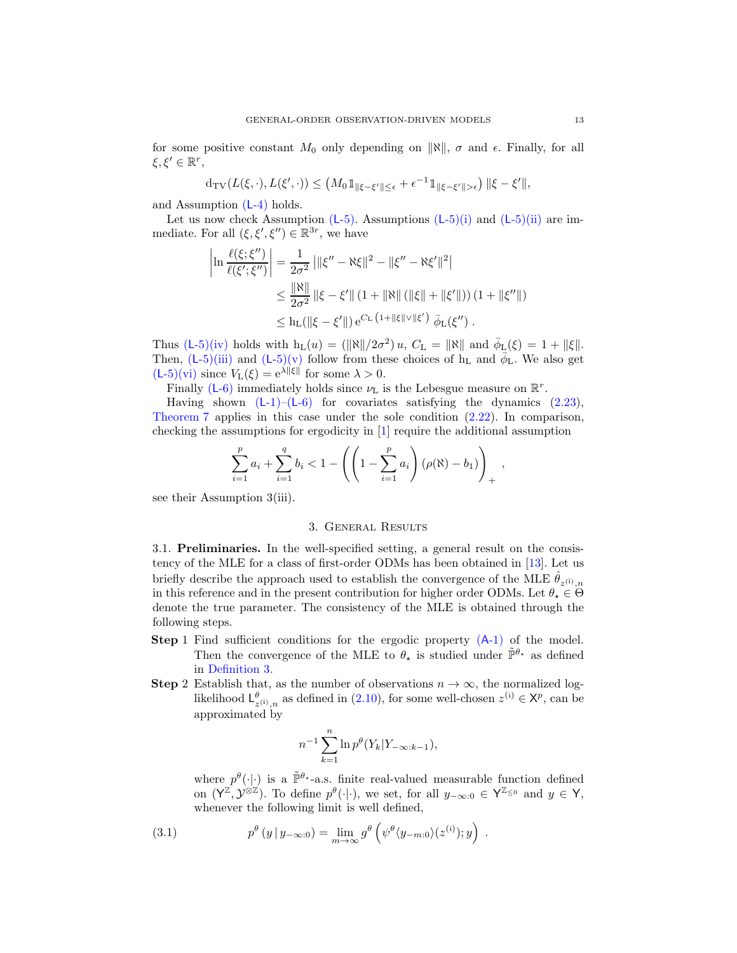for some positive constant  $M_0$  only depending on  $\|\aleph\|$ ,  $\sigma$  and  $\epsilon$ . Finally, for all  $\xi, \xi' \in \mathbb{R}^r$ ,

$$
d_{\mathrm{TV}}(L(\xi,\cdot),L(\xi',\cdot)) \leq (M_0 1_{\|\xi-\xi'\|\leq \epsilon} + \epsilon^{-1} 1_{\|\xi-\xi'\|>\epsilon}) \|\xi-\xi'\|,
$$

and Assumption (L[-4\)](#page-9-3) holds.

Let us now check Assumption  $(L-5)$  $(L-5)$ . Assumptions  $(L-5)(i)$  $(L-5)(i)$  and  $(L-5)(ii)$  $(L-5)(ii)$  are immediate. For all  $(\xi, \xi', \xi'') \in \mathbb{R}^{3r}$ , we have

$$
\left| \ln \frac{\ell(\xi; \xi'')}{\ell(\xi'; \xi'')} \right| = \frac{1}{2\sigma^2} \left| \| \xi'' - \aleph \xi \|^2 - \| \xi'' - \aleph \xi' \|^2 \right|
$$
  
\n
$$
\leq \frac{\|\aleph\|}{2\sigma^2} \left| \|\xi - \xi'\| \left( 1 + \|\aleph\| \left( \|\xi\| + \|\xi'\| \right) \right) \left( 1 + \|\xi''\| \right) \right|
$$
  
\n
$$
\leq \ln \left( \|\xi - \xi'\| \right) e^{C_{\text{L}} \left( 1 + \|\xi\| \vee \|\xi' \right)} \bar{\phi}_{\text{L}}(\xi'')
$$

Thus  $(L-5)(iv)$  $(L-5)(iv)$  $(L-5)(iv)$  holds with  $h_L(u) = (\|\aleph\|/2\sigma^2) u$ ,  $C_L = \|\aleph\|$  and  $\bar{\phi}_L(\xi) = 1 + \|\xi\|$ . Then,  $(L-5)$  $(L-5)$ [\(iii\)](#page-10-7) and  $(L-5)$ [\(v\)](#page-10-8) follow from these choices of  $h<sub>L</sub>$  and  $\bar{\phi}_L$ . We also get  $(L-5)(vi)$  $(L-5)(vi)$  $(L-5)(vi)$  since  $V_L(\xi) = e^{\lambda ||\xi||}$  for some  $\lambda > 0$ .

Finally (L[-6\)](#page-10-2) immediately holds since  $\nu_{\text{L}}$  is the Lebesgue measure on  $\mathbb{R}^r$ .

Having shown  $(L-1)-(L-6)$  $(L-1)-(L-6)$  for covariates satisfying the dynamics  $(2.23)$ , [Theorem 7](#page-10-0) applies in this case under the sole condition [\(2.22\)](#page-10-3). In comparison, checking the assumptions for ergodicity in [\[1](#page-35-9)] require the additional assumption

$$
\sum_{i=1}^p a_i + \sum_{i=1}^q b_i < 1 - \left( \left( 1 - \sum_{i=1}^p a_i \right) (\rho(\aleph) - b_1) \right)_+,
$$

<span id="page-12-0"></span>see their Assumption 3(iii).

#### 3. General Results

<span id="page-12-3"></span>3.1. Preliminaries. In the well-specified setting, a general result on the consistency of the MLE for a class of first-order ODMs has been obtained in [\[13\]](#page-36-10). Let us briefly describe the approach used to establish the convergence of the MLE  $\hat{\theta}_{z^{(i)},n}$ in this reference and in the present contribution for higher order ODMs. Let  $\theta_{\star} \in \Theta$ denote the true parameter. The consistency of the MLE is obtained through the following steps.

- <span id="page-12-1"></span>Step 1 Find sufficient conditions for the ergodic property  $(A-1)$  $(A-1)$  of the model. Then the convergence of the MLE to  $\theta_{\star}$  is studied under  $\tilde{\mathbb{P}}^{\theta_{\star}}$  as defined in [Definition 3.](#page-5-2)
- <span id="page-12-2"></span>**Step 2** Establish that, as the number of observations  $n \to \infty$ , the normalized loglikelihood  $L^{\theta}_{z^{(i)},n}$  as defined in [\(2.10\)](#page-4-4), for some well-chosen  $z^{(i)} \in \mathsf{X}^p$ , can be approximated by

$$
n^{-1} \sum_{k=1}^{n} \ln p^{\theta}(Y_k | Y_{-\infty:k-1}),
$$

<span id="page-12-4"></span>where  $p^{\theta}(\cdot|\cdot)$  is a  $\tilde{\mathbb{P}}^{\theta_*}$ -a.s. finite real-valued measurable function defined on  $(Y^{\mathbb{Z}}, Y^{\otimes \mathbb{Z}})$ . To define  $p^{\theta}(\cdot|\cdot)$ , we set, for all  $y_{-\infty:0} \in Y^{\mathbb{Z}_{\leq 0}}$  and  $y \in Y$ , whenever the following limit is well defined,

(3.1) 
$$
p^{\theta}(y \mid y_{-\infty:0}) = \lim_{m \to \infty} g^{\theta}(\psi^{\theta}(y_{-m:0})(z^{(i)}); y).
$$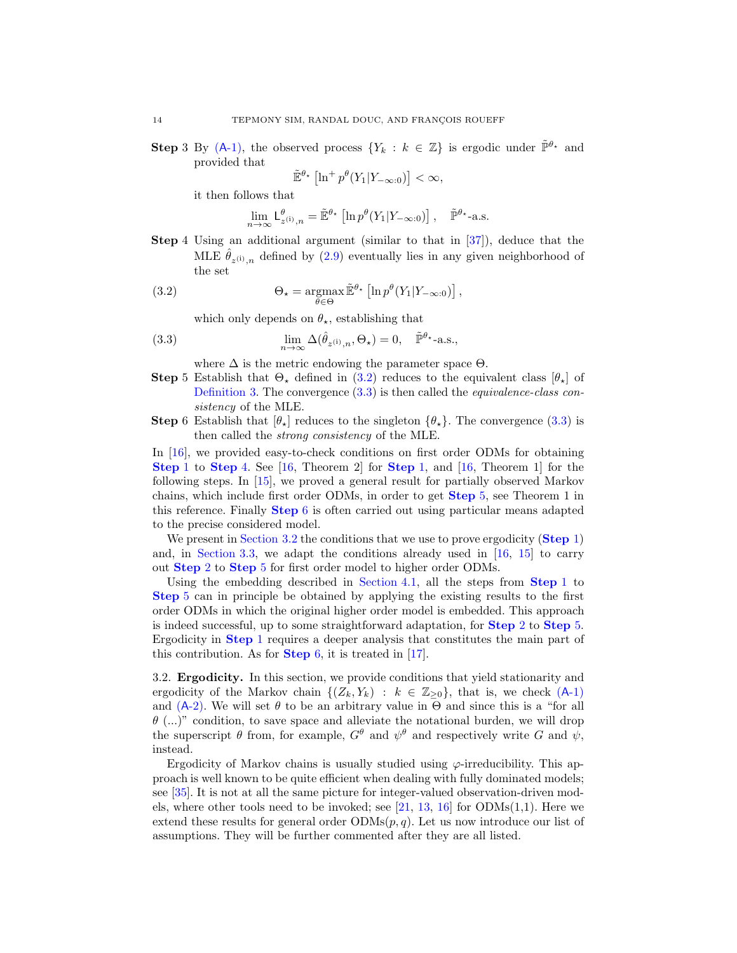**Step 3** By (A[-1\),](#page-4-2) the observed process  $\{Y_k : k \in \mathbb{Z}\}\$ is ergodic under  $\tilde{\mathbb{P}}^{\theta_\star}$  and provided that

$$
\tilde{\mathbb{E}}^{\theta_\star}\left[\ln^+ p^\theta(Y_1|Y_{-\infty:0})\right] < \infty,
$$

it then follows that

<span id="page-13-1"></span>
$$
\lim_{n \to \infty} \mathsf{L}^{\theta}_{z^{(i)},n} = \tilde{\mathbb{E}}^{\theta_{\star}} \left[ \ln p^{\theta}(Y_1 | Y_{-\infty:0}) \right], \quad \tilde{\mathbb{P}}^{\theta_{\star}}\text{-a.s.}
$$

<span id="page-13-3"></span>Step 4 Using an additional argument (similar to that in [\[37](#page-37-13)]), deduce that the MLE  $\hat{\theta}_{z^{(i)},n}$  defined by  $(2.9)$  eventually lies in any given neighborhood of the set

(3.2) 
$$
\Theta_{\star} = \underset{\theta \in \Theta}{\operatorname{argmax}} \tilde{\mathbb{E}}^{\theta_{\star}} \left[ \ln p^{\theta} (Y_1 | Y_{-\infty:0}) \right],
$$

which only depends on  $\theta_{\star}$ , establishing that

(3.3) 
$$
\lim_{n \to \infty} \Delta(\hat{\theta}_{z^{(i)},n}, \Theta_{\star}) = 0, \quad \tilde{\mathbb{P}}^{\theta_{\star}}\text{-a.s.},
$$

<span id="page-13-2"></span>where  $\Delta$  is the metric endowing the parameter space  $\Theta$ .

- <span id="page-13-4"></span>Step 5 Establish that  $\Theta_{\star}$  defined in [\(3.2\)](#page-13-1) reduces to the equivalent class  $[\theta_{\star}]$  of [Definition 3.](#page-5-2) The convergence [\(3.3\)](#page-13-2) is then called the *equivalence-class consistency* of the MLE.
- <span id="page-13-5"></span>**Step** 6 Establish that  $|\theta_{\star}|$  reduces to the singleton  $\{\theta_{\star}\}\$ . The convergence [\(3.3\)](#page-13-2) is then called the *strong consistency* of the MLE.

In [\[16](#page-36-12)], we provided easy-to-check conditions on first order ODMs for obtaining [Step](#page-12-1) 1 to [Step](#page-13-3) 4. See [\[16,](#page-36-12) Theorem 2] for [Step](#page-12-1) 1, and [\[16](#page-36-12), Theorem 1] for the following steps. In [\[15\]](#page-36-17), we proved a general result for partially observed Markov chains, which include first order ODMs, in order to get [Step](#page-13-4) 5, see Theorem 1 in this reference. Finally [Step](#page-13-5) 6 is often carried out using particular means adapted to the precise considered model.

We present in [Section 3.2](#page-13-0) the conditions that we use to prove ergodicity ([Step](#page-12-1) 1) and, in [Section 3.3,](#page-17-2) we adapt the conditions already used in [\[16,](#page-36-12) [15\]](#page-36-17) to carry out [Step](#page-12-2) 2 to [Step](#page-13-4) 5 for first order model to higher order ODMs.

Using the embedding described in [Section 4.1,](#page-17-3) all the steps from  $Step 1$  $Step 1$  to [Step](#page-13-4) 5 can in principle be obtained by applying the existing results to the first order ODMs in which the original higher order model is embedded. This approach is indeed successful, up to some straightforward adaptation, for [Step](#page-12-2) 2 to [Step](#page-13-4) 5. Ergodicity in [Step](#page-12-1) 1 requires a deeper analysis that constitutes the main part of this contribution. As for **[Step](#page-13-5)** 6, it is treated in  $[17]$ .

<span id="page-13-0"></span>3.2. Ergodicity. In this section, we provide conditions that yield stationarity and ergodicity of the Markov chain  $\{(Z_k, Y_k) : k \in \mathbb{Z}_{\geq 0}\}\$ , that is, we check  $(A-1)$  $(A-1)$ and  $(A-2)$ . We will set  $\theta$  to be an arbitrary value in  $\Theta$  and since this is a "for all  $\theta$  (...)" condition, to save space and alleviate the notational burden, we will drop the superscript  $\theta$  from, for example,  $G^{\theta}$  and  $\psi^{\theta}$  and respectively write G and  $\psi$ , instead.

Ergodicity of Markov chains is usually studied using  $\varphi$ -irreducibility. This approach is well known to be quite efficient when dealing with fully dominated models; see [\[35](#page-37-14)]. It is not at all the same picture for integer-valued observation-driven models, where other tools need to be invoked; see  $[21, 13, 16]$  $[21, 13, 16]$  $[21, 13, 16]$  $[21, 13, 16]$  for  $ODMs(1,1)$ . Here we extend these results for general order  $ODMs(p, q)$ . Let us now introduce our list of assumptions. They will be further commented after they are all listed.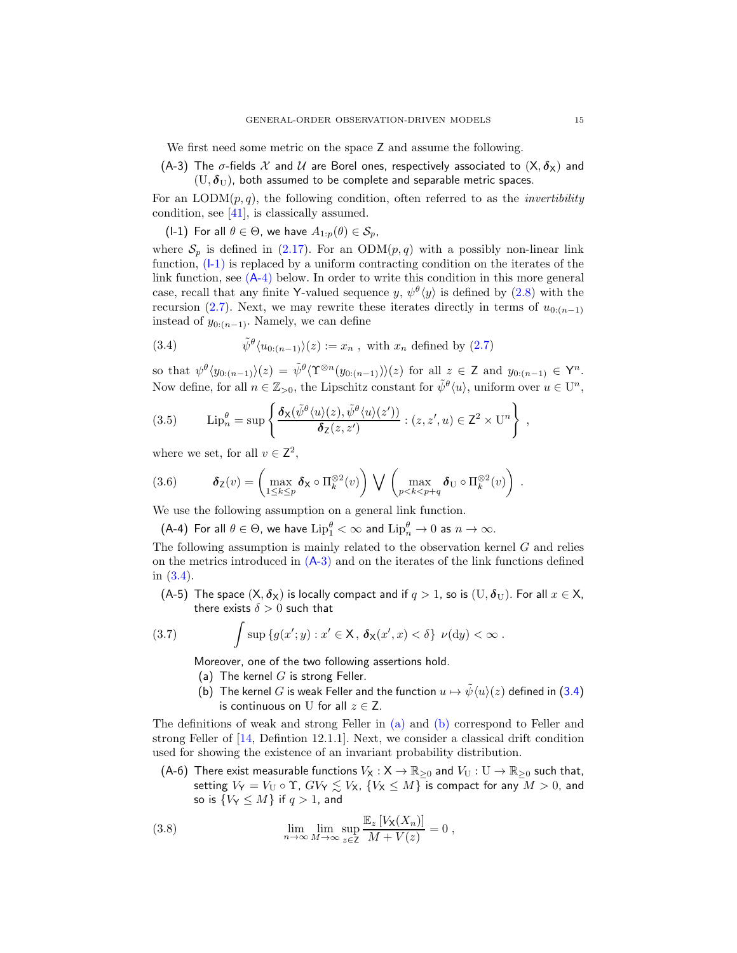<span id="page-14-0"></span>We first need some metric on the space Z and assume the following.

(A-3) The  $\sigma$ -fields X and U are Borel ones, respectively associated to  $(X, \delta_X)$  and  $(U, \delta_U)$ , both assumed to be complete and separable metric spaces.

For an  $\text{LODM}(p,q)$ , the following condition, often referred to as the *invertibility* condition, see [\[41\]](#page-37-15), is classically assumed.

<span id="page-14-4"></span>(I-1) For all  $\theta \in \Theta$ , we have  $A_{1:p}(\theta) \in \mathcal{S}_p$ ,

where  $S_p$  is defined in [\(2.17\)](#page-7-6). For an ODM $(p, q)$  with a possibly non-linear link function, (I[-1\)](#page-14-4) is replaced by a uniform contracting condition on the iterates of the link function, see (A[-4\)](#page-14-1) below. In order to write this condition in this more general case, recall that any finite Y-valued sequence  $y, \psi^{\theta}(y)$  is defined by  $(2.8)$  with the recursion [\(2.7\)](#page-4-0). Next, we may rewrite these iterates directly in terms of  $u_{0:(n-1)}$ instead of  $y_{0:(n-1)}$ . Namely, we can define

<span id="page-14-5"></span>(3.4) 
$$
\tilde{\psi}^{\theta} \langle u_{0:(n-1)} \rangle(z) := x_n , \text{ with } x_n \text{ defined by (2.7)}
$$

so that  $\psi^{\theta} \langle y_{0:(n-1)} \rangle (z) = \tilde{\psi}^{\theta} \langle \Upsilon^{\otimes n} (y_{0:(n-1)}) \rangle (z)$  for all  $z \in \mathsf{Z}$  and  $y_{0:(n-1)} \in \mathsf{Y}^n$ . Now define, for all  $n \in \mathbb{Z}_{>0}$ , the Lipschitz constant for  $\tilde{\psi}^{\theta}(u)$ , uniform over  $u \in U^n$ ,

<span id="page-14-9"></span>(3.5) 
$$
\operatorname{Lip}_{n}^{\theta} = \sup \left\{ \frac{\delta_{\mathsf{X}}(\tilde{\psi}^{\theta}\langle u \rangle(z), \tilde{\psi}^{\theta}\langle u \rangle(z'))}{\delta_{\mathsf{Z}}(z, z')} : (z, z', u) \in \mathsf{Z}^{2} \times \mathbb{U}^{n} \right\},
$$

where we set, for all  $v \in \mathbb{Z}^2$ ,

<span id="page-14-10"></span>(3.6) 
$$
\boldsymbol{\delta}_{\mathsf{Z}}(v) = \left(\max_{1 \leq k \leq p} \boldsymbol{\delta}_{\mathsf{X}} \circ \Pi_k^{\otimes 2}(v)\right) \bigvee \left(\max_{p < k < p+q} \boldsymbol{\delta}_{\mathsf{U}} \circ \Pi_k^{\otimes 2}(v)\right) .
$$

<span id="page-14-1"></span>We use the following assumption on a general link function.

(A-4) For all  $\theta \in \Theta$ , we have  $\mathrm{Lip}_1^\theta<\infty$  and  $\mathrm{Lip}_n^\theta\to 0$  as  $n\to\infty$ .

The following assumption is mainly related to the observation kernel  $G$  and relies on the metrics introduced in  $(A-3)$  $(A-3)$  and on the iterates of the link functions defined in [\(3.4\)](#page-14-5).

<span id="page-14-2"></span>(A-5) The space  $(X, \delta_X)$  is locally compact and if  $q > 1$ , so is  $(U, \delta_U)$ . For all  $x \in X$ , there exists  $\delta > 0$  such that

<span id="page-14-6"></span>(3.7) 
$$
\int \sup \{g(x';y) : x' \in \mathsf{X}, \, \delta_{\mathsf{X}}(x',x) < \delta\} \, \nu(\mathrm{d}y) < \infty \, .
$$

<span id="page-14-8"></span>Moreover, one of the two following assertions hold.

- <span id="page-14-7"></span>(a) The kernel  $G$  is strong Feller.
- (b) The kernel G is weak Feller and the function  $u \mapsto \tilde{\psi}(u)(z)$  defined in [\(3.4\)](#page-14-5) is continuous on U for all  $z \in Z$ .

The definitions of weak and strong Feller in [\(a\)](#page-14-6) and [\(b\)](#page-14-7) correspond to Feller and strong Feller of [\[14](#page-36-18), Defintion 12.1.1]. Next, we consider a classical drift condition used for showing the existence of an invariant probability distribution.

<span id="page-14-3"></span>(A-6) There exist measurable functions  $V_X : X \to \mathbb{R}_{\geq 0}$  and  $V_U : U \to \mathbb{R}_{\geq 0}$  such that, setting  $V_Y = V_U \circ \Upsilon$ ,  $GV_Y \lesssim V_X$ ,  $\{V_X \leq M\}$  is compact for any  $M > 0$ , and so is  ${V_Y \leq M}$  if  $q > 1$ , and

<span id="page-14-11"></span>(3.8) 
$$
\lim_{n \to \infty} \lim_{M \to \infty} \sup_{z \in \mathsf{Z}} \frac{\mathbb{E}_z [V_\mathsf{X}(X_n)]}{M + V(z)} = 0,
$$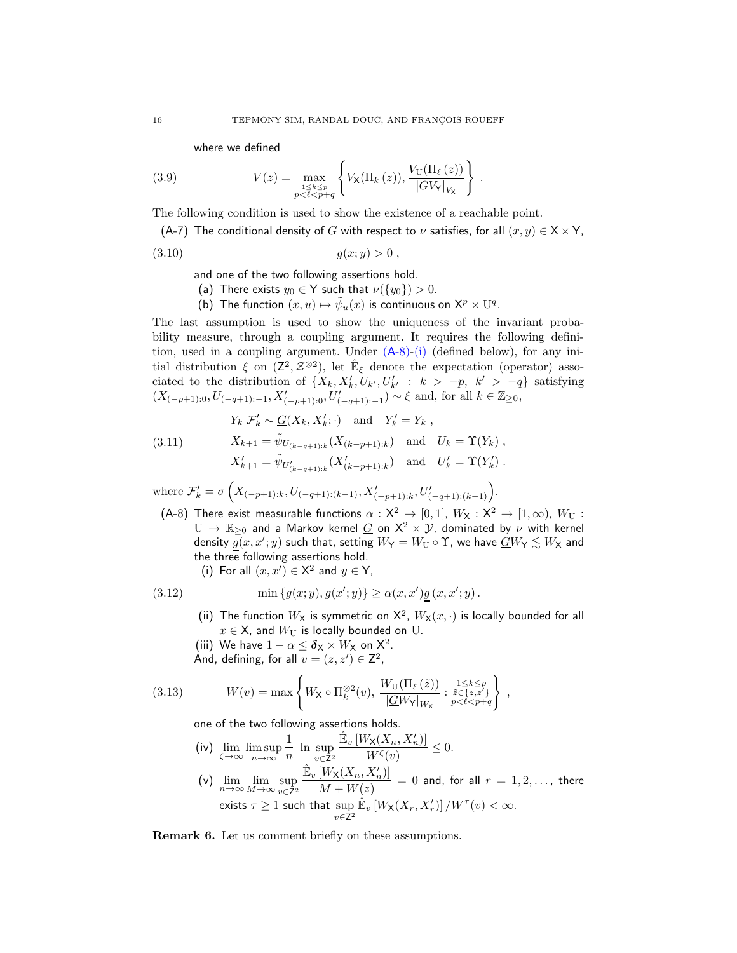<span id="page-15-4"></span>where we defined

(3.9) 
$$
V(z) = \max_{\substack{1 \le k \le p \\ p < \ell < p + q}} \left\{ V_{\mathsf{X}}(\Pi_k(z)), \frac{V_{\mathsf{U}}(\Pi_\ell(z))}{|GV|_{V_{\mathsf{X}}}} \right\}
$$

<span id="page-15-0"></span>The following condition is used to show the existence of a reachable point.

(A-7) The conditional density of G with respect to  $\nu$  satisfies, for all  $(x, y) \in X \times Y$ ,

.

<span id="page-15-10"></span>
$$
(3.10) \t\t g(x; y) > 0 ,
$$

and one of the two following assertions hold.

- <span id="page-15-12"></span>(a) There exists  $y_0 \in Y$  such that  $\nu(\lbrace y_0 \rbrace) > 0$ .
- (b) The function  $(x, u) \mapsto \tilde{\psi}_u(x)$  is continuous on  $\mathsf{X}^p \times \mathbf{U}^q$ .

<span id="page-15-11"></span>The last assumption is used to show the uniqueness of the invariant probability measure, through a coupling argument. It requires the following definition, used in a coupling argument. Under (A[-8\)-](#page-15-1)[\(i\)](#page-15-2) (defined below), for any initial distribution  $\xi$  on  $(\mathsf{Z}^2, \mathcal{Z}^{\otimes 2})$ , let  $\hat{\mathbb{E}}_{\xi}$  denote the expectation (operator) associated to the distribution of  $\{X_k, X'_k, U_{k'}, U'_{k'} : k > -p, k' > -q\}$  satisfying  $(X_{(-p+1):0}, U_{(-q+1):-1}, X'_{(-p+1):0}, U'_{(-q+1):-1})$ <sup>'</sup> ∼ ξ and, for all  $k \in \mathbb{Z}_{\geq 0}$ ,

<span id="page-15-13"></span>(3.11) 
$$
Y_k | \mathcal{F}'_k \sim \underline{G}(X_k, X'_k; \cdot) \text{ and } Y'_k = Y_k ,
$$

$$
X_{k+1} = \tilde{\psi}_{U_{(k-q+1):k}}(X_{(k-p+1):k}) \text{ and } U_k = \Upsilon(Y_k) ,
$$

$$
X'_{k+1} = \tilde{\psi}_{U'_{(k-q+1):k}}(X'_{(k-p+1):k}) \text{ and } U'_k = \Upsilon(Y'_k) .
$$

where  $\mathcal{F}'_k = \sigma\left(X_{(-p+1):k}, U_{(-q+1):(k-1)}, X'_{(-p+1):k}, U'_{(-q+1):(k-1)}\right)$ .

<span id="page-15-1"></span>(A-8) There exist measurable functions  $\alpha : X^2 \to [0,1]$ ,  $W_X : X^2 \to [1,\infty)$ ,  $W_U$ :  $U \to \mathbb{R}_{\geq 0}$  and a Markov kernel  $G$  on  $X^2 \times Y$ , dominated by  $\nu$  with kernel density  $\underline{g}(x,x';y)$  such that, setting  $W_{\mathsf{Y}}=W_{\mathsf{U}}\circ \Upsilon$ , we have  $\underline{G}W_{\mathsf{Y}}\lesssim W_{\mathsf{X}}$  and the three following assertions hold.

<span id="page-15-3"></span>(i) For all  $(x, x') \in \mathsf{X}^2$  and  $y \in \mathsf{Y}$ ,

<span id="page-15-9"></span><span id="page-15-8"></span><span id="page-15-2"></span>(3.12) 
$$
\min \{g(x; y), g(x'; y)\} \geq \alpha(x, x') \underline{g}(x, x'; y).
$$

- (ii) The function  $W_{\mathbf{X}}$  is symmetric on  $\mathsf{X}^2$ ,  $W_{\mathbf{X}}(x, \cdot)$  is locally bounded for all  $x \in \mathsf{X}$ , and  $W_{\mathsf{U}}$  is locally bounded on U.
- (iii) We have  $1 \alpha \leq \delta_{\mathsf{X}} \times W_{\mathsf{X}}$  on  $\mathsf{X}^2$ .
- <span id="page-15-5"></span>And, defining, for all  $v = (z, z') \in \mathbb{Z}^2$ ,

(3.13) 
$$
W(v) = \max \left\{ W_{\mathsf{X}} \circ \Pi_k^{\otimes 2}(v), \ \frac{W_{\mathsf{U}}(\Pi_\ell(\tilde{z}))}{|\underline{G}W_{\mathsf{Y}}|_{W_{\mathsf{X}}}} : \substack{1 \le k \le p \\ \tilde{z} \in \{z, z'\}}_{p < \ell < p + q} \right\},
$$

<span id="page-15-7"></span>one of the two following assertions holds.

- (iv)  $\lim_{\zeta \to \infty} \limsup_{n \to \infty}$ 1  $\frac{1}{n}$  ln sup  $v\in \bar{Z}^2$  $\mathbb{\hat{E}}_v\left[W_{\mathsf{X}}(X_n,X_n')\right]$  $\frac{\lambda(1+n) \cdot n}{W^{\zeta}(v)} \leq 0.$
- <span id="page-15-14"></span>(v)  $\lim_{n\to\infty}\lim_{M\to\infty}\sup_{y\in\mathbb{Z}^2}$ v∈Z<sup>2</sup>  $\mathbb{\hat{E}}_v\left[W_{\mathsf{X}}(X_n,X_n')\right]$  $\frac{N(N \setminus \{1:n\}, 1:n)}{M+W(z)} = 0$  and, for all  $r = 1, 2, \ldots$ , there exists  $\tau \geq 1$  such that  $\sup\limits_{v\in\mathsf{Z}^2}$  $\mathbb{E}_v\left[W_{\mathsf{X}}(X_r,X'_r)\right]/W^{\tau}(v) < \infty.$

<span id="page-15-6"></span>Remark 6. Let us comment briefly on these assumptions.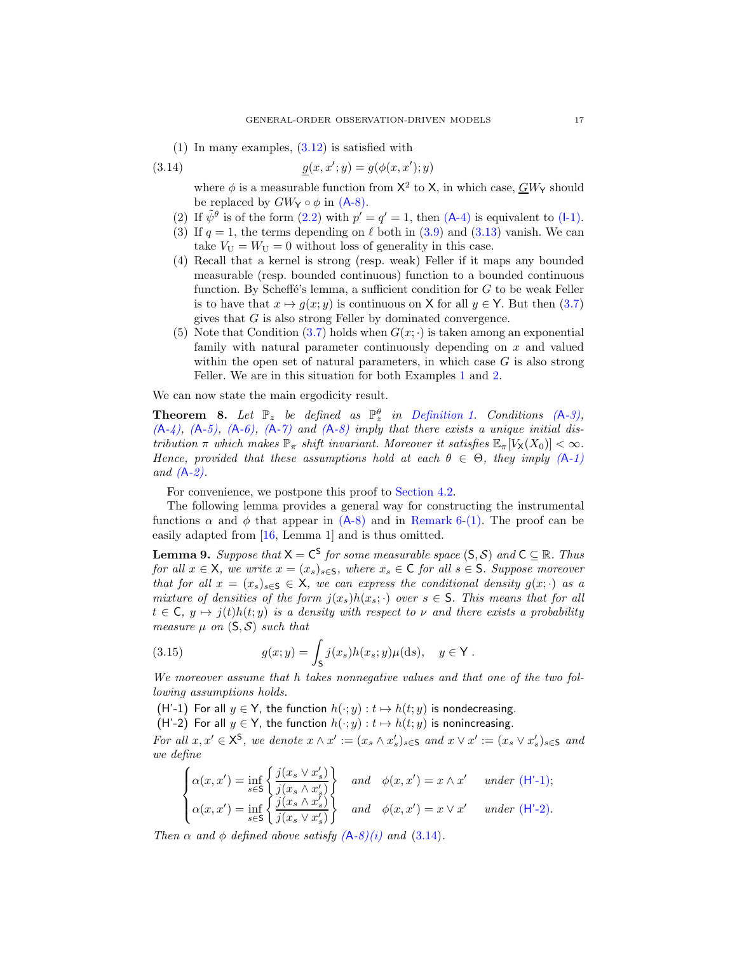<span id="page-16-1"></span> $(1)$  In many examples,  $(3.12)$  is satisfied with

(3.14) 
$$
g(x, x'; y) = g(\phi(x, x'); y)
$$

<span id="page-16-4"></span>where  $\phi$  is a measurable function from  $X^2$  to X, in which case,  $\overline{GW}_{Y}$  should be replaced by  $GW_Y \circ \phi$  in  $(A-8)$ .

- <span id="page-16-5"></span>(2) If  $\tilde{\psi}^{\theta}$  is of the form [\(2.2\)](#page-2-2) with  $p' = q' = 1$ , then (A[-4\)](#page-14-1) is equivalent to (I[-1\).](#page-14-4)
- (3) If  $q = 1$ , the terms depending on  $\ell$  both in [\(3.9\)](#page-15-4) and [\(3.13\)](#page-15-5) vanish. We can take  $V_U = W_U = 0$  without loss of generality in this case.
- (4) Recall that a kernel is strong (resp. weak) Feller if it maps any bounded measurable (resp. bounded continuous) function to a bounded continuous function. By Scheffé's lemma, a sufficient condition for  $G$  to be weak Feller is to have that  $x \mapsto g(x; y)$  is continuous on X for all  $y \in Y$ . But then [\(3.7\)](#page-14-8) gives that G is also strong Feller by dominated convergence.
- <span id="page-16-6"></span>(5) Note that Condition [\(3.7\)](#page-14-8) holds when  $G(x, \cdot)$  is taken among an exponential family with natural parameter continuously depending on  $x$  and valued within the open set of natural parameters, in which case  $G$  is also strong Feller. We are in this situation for both Examples [1](#page-6-1) and [2.](#page-7-5)

We can now state the main ergodicity result.

<span id="page-16-0"></span>**Theorem 8.** Let  $\mathbb{P}_z$  be defined as  $\mathbb{P}_z^{\theta}$  in [Definition 1.](#page-2-3) Conditions  $(A-3)$ , *(*A*[-4\),](#page-14-1) (*A*[-5\),](#page-14-2) (*A*[-6\),](#page-14-3) (*A*[-7\)](#page-15-0) and (*A*[-8\)](#page-15-1) imply that there exists a unique initial distribution*  $\pi$  *which makes*  $\mathbb{P}_{\pi}$  *shift invariant. Moreover it satisfies*  $\mathbb{E}_{\pi}[V_{\mathsf{X}}(X_0)] < \infty$ *. Hence, provided that these assumptions hold at each*  $\theta \in \Theta$ , they imply  $(A-1)$  $(A-1)$ *and (*A*[-2\).](#page-5-0)*

For convenience, we postpone this proof to [Section 4.2.](#page-18-0)

The following lemma provides a general way for constructing the instrumental functions  $\alpha$  and  $\phi$  that appear in (A[-8\)](#page-15-1) and in [Remark 6](#page-15-6)[-\(1\).](#page-16-1) The proof can be easily adapted from [\[16,](#page-36-12) Lemma 1] and is thus omitted.

<span id="page-16-7"></span>**Lemma 9.** *Suppose that*  $X = C^S$  *for some measurable space*  $(S, S)$  *and*  $C \subseteq \mathbb{R}$ *. Thus for all*  $x \in X$ *, we write*  $x = (x_s)_{s \in S}$ *, where*  $x_s \in C$  *for all*  $s \in S$ *. Suppose moreover that for all*  $x = (x_s)_{s \in \mathbb{S}} \in \mathsf{X}$ *, we can express the conditional density*  $g(x; \cdot)$  *as a mixture of densities of the form*  $j(x_s)h(x_s; \cdot)$  *over*  $s \in S$ *. This means that for all*  $t \in \mathsf{C}$ ,  $y \mapsto j(t)h(t; y)$  *is a density with respect to*  $\nu$  *and there exists a probability measure*  $\mu$  *on*  $(S, S)$  *such that* 

(3.15) 
$$
g(x; y) = \int_{\mathsf{S}} j(x_s) h(x_s; y) \mu(\mathrm{d}s), \quad y \in \mathsf{Y}.
$$

*We moreover assume that* h *takes nonnegative values and that one of the two following assumptions holds.*

<span id="page-16-3"></span><span id="page-16-2"></span>(H'-1) For all  $y \in Y$ , the function  $h(\cdot; y) : t \mapsto h(t; y)$  is nondecreasing.

(H'-2) For all  $y \in Y$ , the function  $h(\cdot; y) : t \mapsto h(t; y)$  is nonincreasing.

*For all*  $x, x' \in \mathsf{X}^{\mathsf{S}}$ *, we denote*  $x \wedge x' := (x_s \wedge x'_s)_{s \in \mathsf{S}}$  *and*  $x \vee x' := (x_s \vee x'_s)_{s \in \mathsf{S}}$  *and we define*

$$
\begin{cases}\n\alpha(x, x') = \inf_{s \in \mathbb{S}} \left\{ \frac{j(x_s \vee x'_s)}{j(x_s \wedge x'_s)} \right\} & \text{and} \quad \phi(x, x') = x \wedge x' \quad \text{ under (H'-1)}; \\
\alpha(x, x') = \inf_{s \in \mathbb{S}} \left\{ \frac{j(x_s \wedge x'_s)}{j(x_s \vee x'_s)} \right\} & \text{and} \quad \phi(x, x') = x \vee x' \quad \text{ under (H'-2)}.\n\end{cases}
$$

*Then*  $\alpha$  *and*  $\phi$  *defined above satisfy*  $(A-8)(i)$  $(A-8)(i)$  $(A-8)(i)$  *and*  $(3.14)$ *.*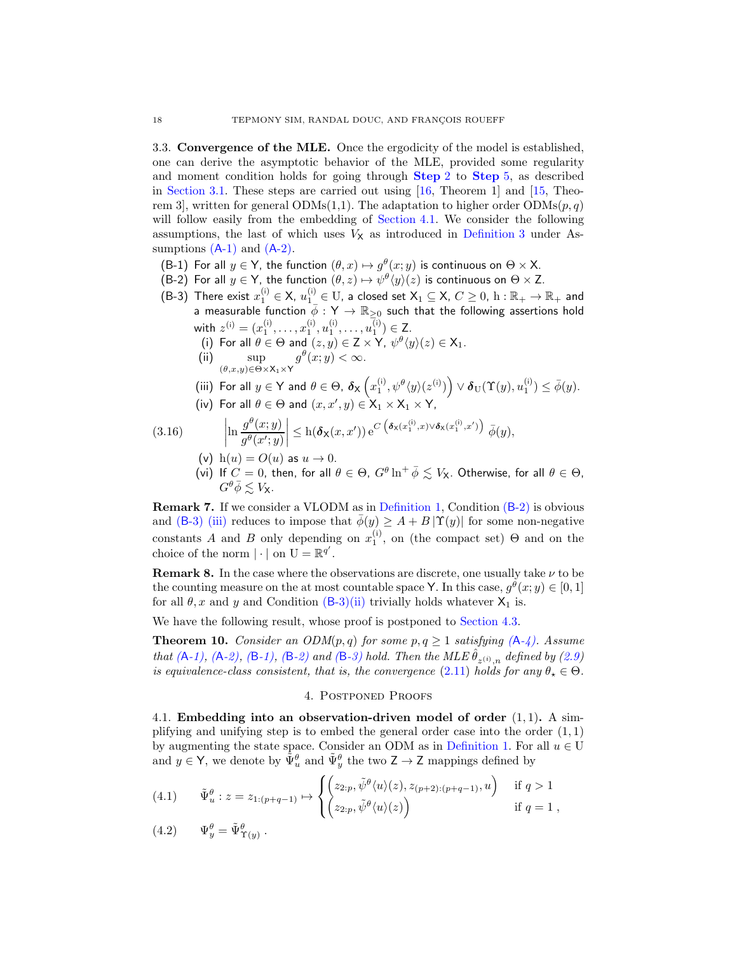<span id="page-17-2"></span>3.3. Convergence of the MLE. Once the ergodicity of the model is established, one can derive the asymptotic behavior of the MLE, provided some regularity and moment condition holds for going through [Step](#page-12-2) 2 to [Step](#page-13-4) 5, as described in [Section 3.1.](#page-12-3) These steps are carried out using  $[16,$  Theorem 1 and  $[15,$  Theorem 3, written for general ODMs(1,1). The adaptation to higher order  $\text{ODMs}(p, q)$ will follow easily from the embedding of [Section 4.1.](#page-17-3) We consider the following assumptions, the last of which uses  $V_{\mathsf{X}}$  as introduced in [Definition 3](#page-5-2) under Assumptions  $(A-1)$  $(A-1)$  and  $(A-2)$ .

- <span id="page-17-8"></span><span id="page-17-4"></span>(B-1) For all  $y \in Y$ , the function  $(\theta, x) \mapsto g^{\theta}(x; y)$  is continuous on  $\Theta \times X$ .
- <span id="page-17-5"></span>(B-2) For all  $y \in Y$ , the function  $(\theta, z) \mapsto \psi^{\theta}(y)(z)$  is continuous on  $\Theta \times Z$ .
- <span id="page-17-11"></span><span id="page-17-7"></span>(B-3) There exist  $x_1^{(i)} \in X$ ,  $u_1^{(i)} \in U$ , a closed set  $X_1 \subseteq X$ ,  $C \ge 0$ ,  $h : \mathbb{R}_+ \to \mathbb{R}_+$  and a measurable function  $\phi: Y \to \mathbb{R}_{\geq 0}$  such that the following assertions hold with  $z^{(i)} = (x_1^{(i)}, \dots, x_1^{(i)}, u_1^{(i)}, \dots, u_1^{(i)}) \in \mathbb{Z}$ .
	- (i) For all  $\theta \in \Theta$  and  $(z, y) \in \mathsf{Z} \times \mathsf{Y}$ ,  $\psi^{\theta}(y)(z) \in \mathsf{X}_1$ . (ii) sup  $g^{\theta}(x; y) < \infty.$ 
		- $(\theta, x, y) \in \Theta \times X_1 \times Y$

<span id="page-17-6"></span>
$$
\text{(iii) For all } y \in \mathsf{Y} \text{ and } \theta \in \Theta, \ \delta_{\mathsf{X}}\left(x_1^{(\mathsf{i})}, \psi^\theta\langle y\rangle(z^{(\mathsf{i})})\right) \vee \delta_{\mathrm{U}}(\Upsilon(y),u_1^{(\mathsf{i})}) \leq \bar{\phi}(y).
$$

(iv) For all  $\theta \in \Theta$  and  $(x, x', y) \in \mathsf{X}_1 \times \mathsf{X}_1 \times \mathsf{Y}$ ,

<span id="page-17-17"></span><span id="page-17-14"></span><span id="page-17-13"></span>(3.16) 
$$
\left|\ln \frac{g^{\theta}(x;y)}{g^{\theta}(x';y)}\right| \leq h(\boldsymbol{\delta}_{\mathsf{X}}(x,x')) e^{C\left(\boldsymbol{\delta}_{\mathsf{X}}(x_1^{(i)},x)\vee \boldsymbol{\delta}_{\mathsf{X}}(x_1^{(i)},x')\right)} \bar{\phi}(y),
$$

- <span id="page-17-12"></span>(v)  $h(u) = O(u)$  as  $u \rightarrow 0$ .
- (vi) If  $C = 0$ , then, for all  $\theta \in \Theta$ ,  $G^{\theta} \ln^+ \bar{\phi} \lesssim V_{\mathsf{X}}$ . Otherwise, for all  $\theta \in \Theta$ ,  $G^{\theta} \bar{\phi} \lesssim V_{\mathsf{X}}$ .

<span id="page-17-15"></span>Remark 7. If we consider a VLODM as in [Definition 1,](#page-2-3) Condition (B[-2\)](#page-17-4) is obvious and (B[-3\)](#page-17-5) [\(iii\)](#page-17-6) reduces to impose that  $\overline{\phi}(y) \geq A + B |\Upsilon(y)|$  for some non-negative constants A and B only depending on  $x_1^{(i)}$ , on (the compact set)  $\Theta$  and on the choice of the norm  $|\cdot|$  on  $U = \mathbb{R}^{q'}$ .

<span id="page-17-16"></span>**Remark 8.** In the case where the observations are discrete, one usually take  $\nu$  to be the counting measure on the at most countable space Y. In this case,  $g^{\theta}(x; y) \in [0, 1]$ for all  $\theta$ , x and y and Condition (B[-3\)](#page-17-5)[\(ii\)](#page-17-7) trivially holds whatever  $X_1$  is.

We have the following result, whose proof is postponed to [Section 4.3.](#page-24-0)

<span id="page-17-0"></span>**Theorem 10.** *Consider an ODM* $(p,q)$  *for some*  $p,q \geq 1$  *satisfying*  $(A-4)$ *. Assume that*  $(A-1)$ ,  $(A-2)$  $(A-2)$ ,  $(B-1)$ ,  $(B-2)$  *and*  $(B-3)$  $(B-3)$  *hold. Then the MLE*  $\hat{\theta}_{z^{(i)},n}$  *defined by* [\(2.9\)](#page-4-3) *is equivalence-class consistent, that is, the convergence* [\(2.11\)](#page-5-1) *holds for any*  $\theta_{\star} \in \Theta$ .

## 4. Postponed Proofs

<span id="page-17-3"></span><span id="page-17-1"></span>4.1. Embedding into an observation-driven model of order  $(1, 1)$ . A simplifying and unifying step is to embed the general order case into the order  $(1, 1)$ by augmenting the state space. Consider an ODM as in [Definition 1.](#page-2-3) For all  $u \in U$ and  $y \in \mathsf{Y}$ , we denote by  $\tilde{\Psi}_u^{\theta}$  and  $\tilde{\Psi}_y^{\theta}$  the two  $\mathsf{Z} \to \mathsf{Z}$  mappings defined by

<span id="page-17-9"></span>(4.1) 
$$
\tilde{\Psi}_{u}^{\theta}: z = z_{1:(p+q-1)} \mapsto \begin{cases} \left(z_{2:p}, \tilde{\psi}^{\theta}(u)(z), z_{(p+2):(p+q-1)}, u\right) & \text{if } q > 1\\ \left(z_{2:p}, \tilde{\psi}^{\theta}(u)(z)\right) & \text{if } q = 1, \end{cases}
$$

<span id="page-17-10"></span>
$$
(4.2) \t\Psi_y^{\theta} = \tilde{\Psi}_{\Upsilon(y)}^{\theta}.
$$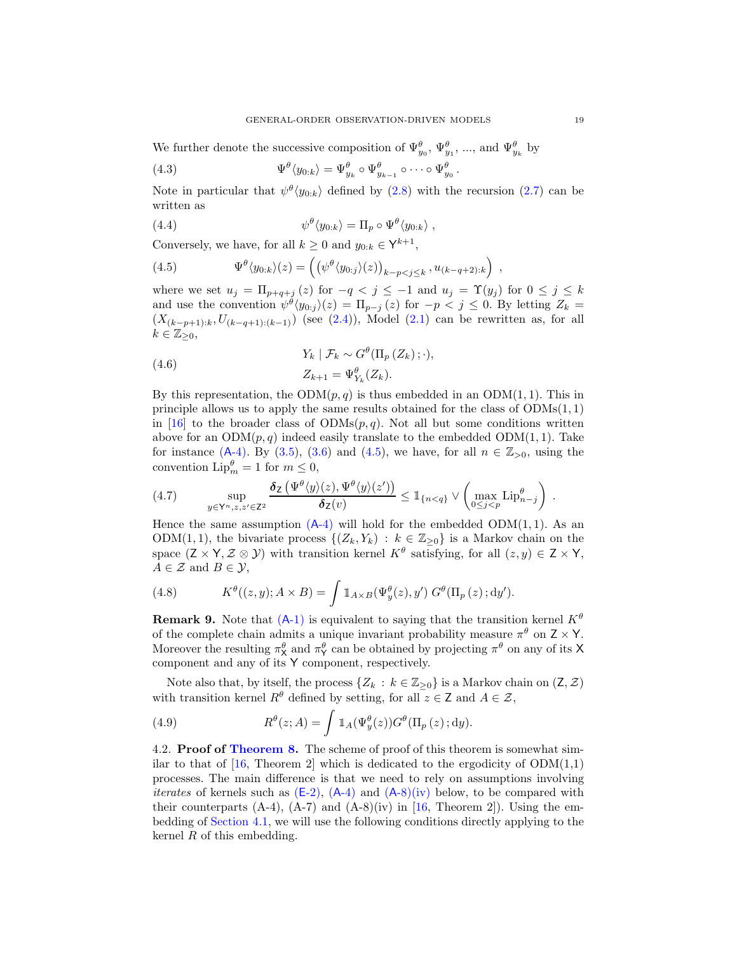We further denote the successive composition of  $\Psi_{y_0}^{\theta}$ ,  $\Psi_{y_1}^{\theta}$ , ..., and  $\Psi_{y_k}^{\theta}$  by

(4.3) 
$$
\Psi^{\theta} \langle y_{0:k} \rangle = \Psi^{\theta}_{y_k} \circ \Psi^{\theta}_{y_{k-1}} \circ \cdots \circ \Psi^{\theta}_{y_0}.
$$

Note in particular that  $\psi^{\theta}(y_{0:k})$  defined by  $(2.8)$  with the recursion  $(2.7)$  can be written as

(4.4) 
$$
\psi^{\theta} \langle y_{0:k} \rangle = \Pi_p \circ \Psi^{\theta} \langle y_{0:k} \rangle ,
$$

Conversely, we have, for all  $k \ge 0$  and  $y_{0:k} \in \mathsf{Y}^{k+1}$ ,

<span id="page-18-1"></span>(4.5) 
$$
\Psi^{\theta}(y_{0:k})(z) = \left( \left( \psi^{\theta}(y_{0:j})(z) \right)_{k-p < j \leq k}, u_{(k-q+2):k} \right) ,
$$

where we set  $u_j = \prod_{p+q+j} (z)$  for  $-q < j \leq -1$  and  $u_j = \Upsilon(y_j)$  for  $0 \leq j \leq k$ and use the convention  $\psi^{\theta}(y_{0:j})(z) = \prod_{p-j} (z)$  for  $-p < j \leq 0$ . By letting  $Z_k =$  $(X_{(k-p+1):k}, U_{(k-q+1):(k-1)})$  (see [\(2.4\)](#page-3-0)), Model [\(2.1\)](#page-2-1) can be rewritten as, for all  $k \in \mathbb{Z}_{\geq 0}$ ,

<span id="page-18-2"></span>(4.6) 
$$
Y_k | \mathcal{F}_k \sim G^{\theta}(\Pi_p(Z_k); \cdot),
$$

$$
Z_{k+1} = \Psi_{Y_k}^{\theta}(Z_k).
$$

By this representation, the  $ODM(p, q)$  is thus embedded in an  $ODM(1, 1)$ . This in principle allows us to apply the same results obtained for the class of  $ODMs(1, 1)$ in [\[16](#page-36-12)] to the broader class of  $ODMs(p, q)$ . Not all but some conditions written above for an  $ODM(p,q)$  indeed easily translate to the embedded  $ODM(1, 1)$ . Take for instance  $(A-4)$ . By  $(3.5)$ ,  $(3.6)$  and  $(4.5)$ , we have, for all  $n \in \mathbb{Z}_{>0}$ , using the convention  $\text{Lip}_{m}^{\theta} = 1$  for  $m \leq 0$ ,

<span id="page-18-4"></span>(4.7) 
$$
\sup_{y \in \mathsf{Y}^n, z, z' \in \mathsf{Z}^2} \frac{\delta_Z\left(\Psi^{\theta}\langle y \rangle(z), \Psi^{\theta}\langle y \rangle(z')\right)}{\delta_Z(v)} \leq \mathbb{1}_{\{n < q\}} \vee \left(\max_{0 \leq j < p} \mathrm{Lip}^{\theta}_{n-j}\right).
$$

Hence the same assumption  $(A-4)$  $(A-4)$  will hold for the embedded ODM $(1, 1)$ . As an ODM(1,1), the bivariate process  $\{(Z_k, Y_k) : k \in \mathbb{Z}_{\geq 0}\}\$ is a Markov chain on the space  $(Z \times Y, Z \otimes Y)$  with transition kernel  $K^{\theta}$  satisfying, for all  $(z, y) \in Z \times Y$ ,  $A \in \mathcal{Z}$  and  $B \in \mathcal{Y}$ ,

(4.8) 
$$
K^{\theta}((z,y); A \times B) = \int \mathbb{1}_{A \times B}(\Psi_y^{\theta}(z), y') G^{\theta}(\Pi_p(z); dy').
$$

**Remark 9.** Note that  $(A-1)$  $(A-1)$  is equivalent to saying that the transition kernel  $K^{\theta}$ of the complete chain admits a unique invariant probability measure  $\pi^{\theta}$  on  $Z \times Y$ . Moreover the resulting  $\pi_X^{\theta}$  and  $\pi_Y^{\theta}$  can be obtained by projecting  $\pi^{\theta}$  on any of its X component and any of its Y component, respectively.

Note also that, by itself, the process  $\{Z_k : k \in \mathbb{Z}_{\geq 0}\}$  is a Markov chain on  $(Z, \mathcal{Z})$ with transition kernel  $R^{\theta}$  defined by setting, for all  $z \in \mathsf{Z}$  and  $A \in \mathcal{Z}$ ,

<span id="page-18-3"></span>(4.9) 
$$
R^{\theta}(z;A) = \int \mathbb{1}_A(\Psi_y^{\theta}(z))G^{\theta}(\Pi_p(z);dy).
$$

<span id="page-18-0"></span>4.2. Proof of [Theorem 8.](#page-16-0) The scheme of proof of this theorem is somewhat similar to that of  $[16,$  Theorem 2 which is dedicated to the ergodicity of  $ODM(1,1)$ processes. The main difference is that we need to rely on assumptions involving *iterates* of kernels such as  $(E-2)$ ,  $(A-4)$  $(A-4)$  and  $(A-8)(iv)$  $(A-8)(iv)$  $(A-8)(iv)$  below, to be compared with their counterparts  $(A-4)$ ,  $(A-7)$  and  $(A-8)(iv)$  in [\[16](#page-36-12), Theorem 2]). Using the embedding of [Section 4.1,](#page-17-3) we will use the following conditions directly applying to the kernel  $R$  of this embedding.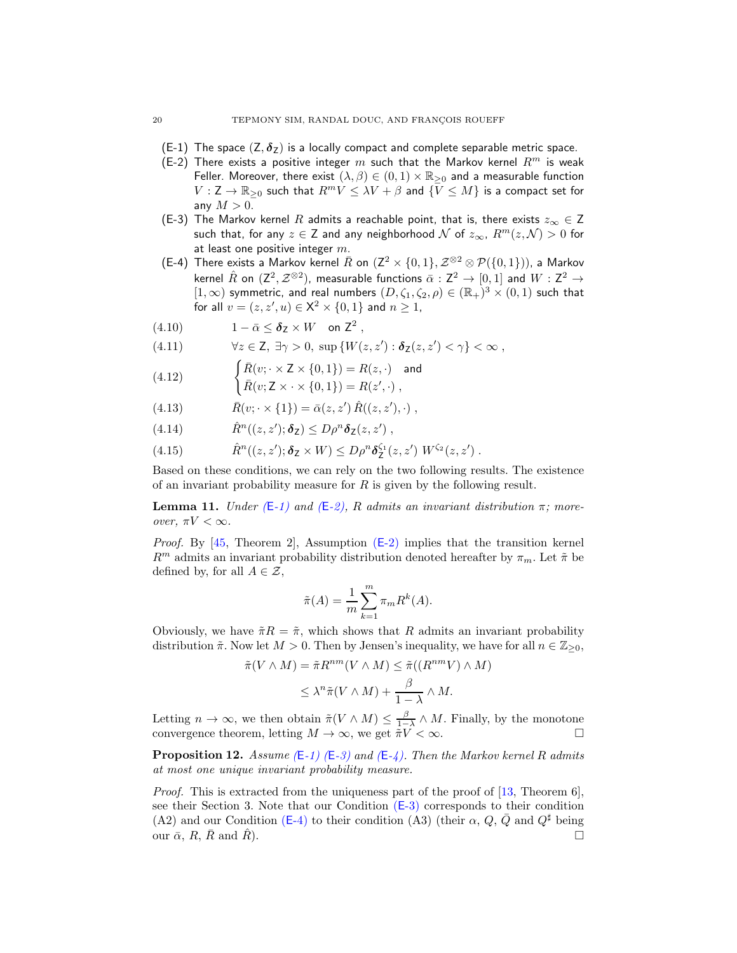- <span id="page-19-1"></span><span id="page-19-0"></span>(E-1) The space  $(Z, \delta_Z)$  is a locally compact and complete separable metric space.
- (E-2) There exists a positive integer m such that the Markov kernel  $R^m$  is weak Feller. Moreover, there exist  $(\lambda, \beta) \in (0, 1) \times \mathbb{R}_{\geq 0}$  and a measurable function  $V: \mathsf{Z} \to \mathbb{R}_{\geq 0}$  such that  $R^m V \leq \lambda V + \beta$  and  $\{V \leq M\}$  is a compact set for any  $M > 0$ .
- <span id="page-19-2"></span>(E-3) The Markov kernel R admits a reachable point, that is, there exists  $z_{\infty} \in Z$ such that, for any  $z \in \mathsf{Z}$  and any neighborhood  $\mathcal N$  of  $z_{\infty}$ ,  $R^m(z, \mathcal N) > 0$  for at least one positive integer  $m$ .
- <span id="page-19-3"></span>(E-4) There exists a Markov kernel  $\bar{R}$  on  $(\mathsf{Z}^2\times\{0,1\},\mathcal{Z}^{\otimes2}\otimes \mathcal{P}(\{0,1\}))$ , a Markov kernel  $\hat{R}$  on  $(\mathsf{Z}^2,\mathcal{Z}^{\otimes 2})$ , measurable functions  $\bar{\alpha}:\mathsf{Z}^2\to[0,1]$  and  $W:\mathsf{Z}^2\to\mathsf{Z}$  $[1,\infty)$  symmetric, and real numbers  $(D,\zeta_1,\zeta_2,\rho)\in (\mathbb{R}_+)^3\times (0,1)$  such that for all  $v = (z, z', u) \in \mathsf{X}^2 \times \{0, 1\}$  and  $n \geq 1$ ,
- <span id="page-19-6"></span>(4.10)  $1 - \bar{\alpha} \leq \delta_Z \times W$  on  $Z^2$ ,
- <span id="page-19-7"></span>(4.11)  $\forall z \in \mathbb{Z}, \exists \gamma > 0, \sup \{W(z, z') : \delta_{\mathbb{Z}}(z, z') < \gamma\} < \infty,$

<span id="page-19-8"></span>(4.12) 
$$
\begin{cases} \overline{R}(v; \cdot \times Z \times \{0,1\}) = R(z, \cdot) \text{ and} \\ \overline{R}(v; \cdot \times Z \times \{0,1\}) = R(z, \cdot) \end{cases}
$$

$$
\begin{aligned}\n(\mathbf{H}, \mathbf{L}^2) \quad \mathbf{R}(v; \mathbf{Z} \times \cdot \times \{0, 1\}) &= R(z', \cdot) \;, \\
\end{aligned}
$$

- <span id="page-19-9"></span>(4.13)  $\bar{R}(v; \cdot \times \{1\}) = \bar{\alpha}(z, z') \hat{R}((z, z'), \cdot) ,$
- <span id="page-19-10"></span>(4.14)  $\hat{R}^n((z, z'); \delta_z) \le D \rho^n \delta_z(z, z')$ ,
- <span id="page-19-11"></span>(4.15)  $\hat{R}^n((z, z'); \delta_Z \times W) \le D \rho^n \delta_Z^{\zeta_1}(z, z') W^{\zeta_2}(z, z')$ .

Based on these conditions, we can rely on the two following results. The existence of an invariant probability measure for  $R$  is given by the following result.

<span id="page-19-4"></span>**Lemma 11.** *Under*  $(E-1)$  $(E-1)$  *and*  $(E-2)$ , R *admits an invariant distribution*  $\pi$ ; more*over,*  $\pi V < \infty$ *.* 

*Proof.* By [\[45,](#page-37-16) Theorem 2], Assumption (E[-2\)](#page-19-0) implies that the transition kernel  $R^m$  admits an invariant probability distribution denoted hereafter by  $\pi_m$ . Let  $\tilde{\pi}$  be defined by, for all  $A \in \mathcal{Z}$ ,

$$
\tilde{\pi}(A) = \frac{1}{m} \sum_{k=1}^{m} \pi_m R^k(A).
$$

Obviously, we have  $\tilde{\pi}R = \tilde{\pi}$ , which shows that R admits an invariant probability distribution  $\tilde{\pi}$ . Now let  $M > 0$ . Then by Jensen's inequality, we have for all  $n \in \mathbb{Z}_{\geq 0}$ ,

$$
\tilde{\pi}(V \wedge M) = \tilde{\pi} R^{nm}(V \wedge M) \leq \tilde{\pi}((R^{nm}V) \wedge M)
$$
  

$$
\leq \lambda^n \tilde{\pi}(V \wedge M) + \frac{\beta}{1 - \lambda} \wedge M.
$$

Letting  $n \to \infty$ , we then obtain  $\tilde{\pi}(V \wedge M) \leq \frac{\beta}{1-\lambda} \wedge M$ . Finally, by the monotone convergence theorem, letting  $M \to \infty$ , we get  $\tilde{\pi} V < \infty$ .

<span id="page-19-5"></span>**Proposition 12.** Assume  $(E-1)$  $(E-1)$   $(E-3)$  $(E-3)$  and  $(E-4)$ . Then the Markov kernel R admits *at most one unique invariant probability measure.*

*Proof.* This is extracted from the uniqueness part of the proof of [\[13,](#page-36-10) Theorem 6], see their Section 3. Note that our Condition (E[-3\)](#page-19-2) corresponds to their condition (A2) and our Condition (E[-4\)](#page-19-3) to their condition (A3) (their  $\alpha$ , Q,  $\overline{Q}$  and  $Q^{\sharp}$  being our  $\bar{\alpha}$ ,  $R$ ,  $\bar{R}$  and  $\hat{R}$ ).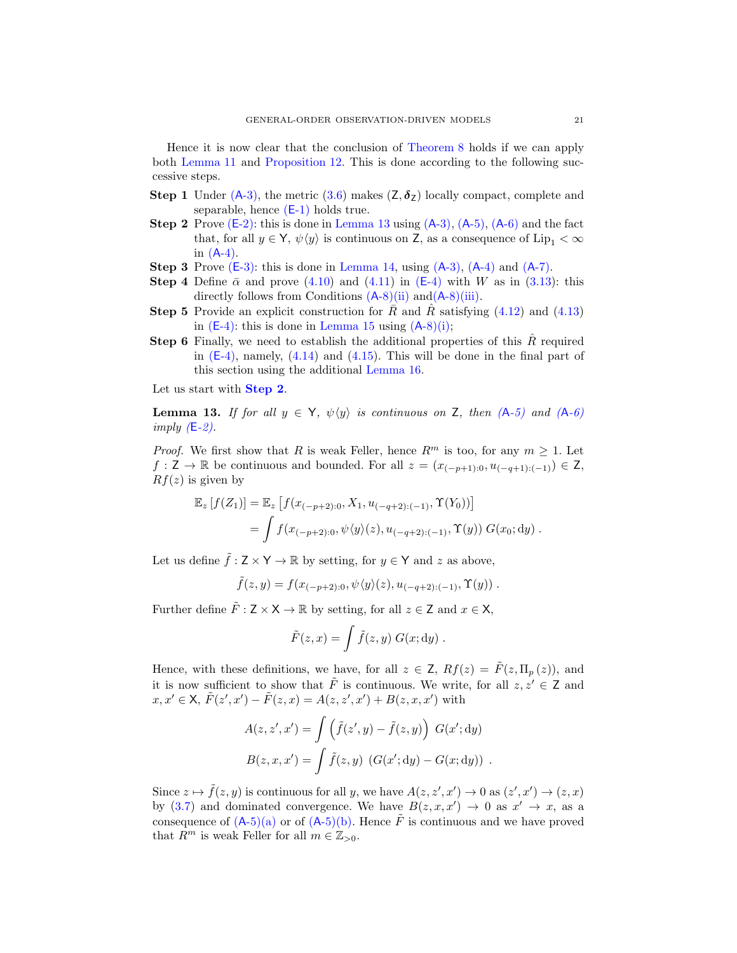Hence it is now clear that the conclusion of [Theorem 8](#page-16-0) holds if we can apply both [Lemma 11](#page-19-4) and [Proposition 12.](#page-19-5) This is done according to the following successive steps.

- <span id="page-20-1"></span>**Step 1** Under  $(A-3)$ , the metric  $(3.6)$  makes  $(Z, \delta_Z)$  locally compact, complete and separable, hence  $(E-1)$  $(E-1)$  holds true.
- **Step 2** Prove  $(E-2)$ : this is done in [Lemma 13](#page-20-0) using  $(A-3)$ ,  $(A-5)$ ,  $(A-6)$  $(A-6)$  and the fact that, for all  $y \in Y$ ,  $\psi(y)$  is continuous on Z, as a consequence of Lip<sub>1</sub> <  $\infty$ in  $(A-4)$ .
- <span id="page-20-3"></span><span id="page-20-2"></span>**Step 3** Prove  $(E-3)$ : this is done in [Lemma 14,](#page-21-0) using  $(A-3)$ ,  $(A-4)$  $(A-4)$  and  $(A-7)$ .
- <span id="page-20-4"></span>**Step 4** Define  $\bar{\alpha}$  and prove [\(4.10\)](#page-19-6) and [\(4.11\)](#page-19-7) in (E[-4\)](#page-19-3) with W as in [\(3.13\)](#page-15-5): this directly follows from Conditions  $(A-8)(ii)$  $(A-8)(ii)$  $(A-8)(ii)$  and  $(A-8)(iii)$ .
- **Step 5** Provide an explicit construction for  $\bar{R}$  and  $\hat{R}$  satisfying [\(4.12\)](#page-19-8) and [\(4.13\)](#page-19-9) in  $(E-4)$ : this is done in [Lemma 15](#page-22-0) using  $(A-8)(i)$  $(A-8)(i)$  $(A-8)(i)$ ;
- <span id="page-20-5"></span>**Step 6** Finally, we need to establish the additional properties of this  $\hat{R}$  required in  $(E-4)$ , namely,  $(4.14)$  and  $(4.15)$ . This will be done in the final part of this section using the additional [Lemma 16.](#page-23-0)

Let us start with **[Step 2](#page-20-1)**.

<span id="page-20-0"></span>Lemma 13. *If for all*  $y \in Y$ *,*  $\psi(y)$  *is continuous on* Z*, then*  $(A-5)$  $(A-5)$  *and*  $(A-6)$  $(A-6)$ *imply (*E*[-2\).](#page-19-0)*

*Proof.* We first show that R is weak Feller, hence  $R^m$  is too, for any  $m \geq 1$ . Let  $f: \mathsf{Z} \to \mathbb{R}$  be continuous and bounded. For all  $z = (x_{(-p+1):0}, u_{(-q+1):(-1)}) \in \mathsf{Z}$ ,  $Rf(z)$  is given by

$$
\mathbb{E}_z [f(Z_1)] = \mathbb{E}_z [f(x_{(-p+2):0}, X_1, u_{(-q+2):(-1)}, \Upsilon(Y_0))]
$$
  
= 
$$
\int f(x_{(-p+2):0}, \psi\langle y\rangle(z), u_{(-q+2):(-1)}, \Upsilon(y)) G(x_0; dy).
$$

Let us define  $\tilde{f} : Z \times Y \to \mathbb{R}$  by setting, for  $y \in Y$  and z as above,

$$
\tilde{f}(z,y)=f(x_{(-p+2):0},\psi\langle y\rangle(z),u_{(-q+2):(-1)},\Upsilon(y))\;.
$$

Further define  $\tilde{F}$  :  $Z \times X \to \mathbb{R}$  by setting, for all  $z \in Z$  and  $x \in X$ ,

$$
\tilde{F}(z,x) = \int \tilde{f}(z,y) G(x,dy) .
$$

Hence, with these definitions, we have, for all  $z \in \mathsf{Z}$ ,  $Rf(z) = \tilde{F}(z, \Pi_{p}(z))$ , and it is now sufficient to show that  $\tilde{F}$  is continuous. We write, for all  $z, z' \in \mathbb{Z}$  and  $x, x' \in \mathsf{X}, \, \tilde{F}(z', x') - \tilde{F}(z, x) = A(z, z', x') + B(z, x, x')$  with

$$
A(z, z', x') = \int \left(\tilde{f}(z', y) - \tilde{f}(z, y)\right) G(x'; dy)
$$
  

$$
B(z, x, x') = \int \tilde{f}(z, y) \left(G(x'; dy) - G(x; dy)\right).
$$

Since  $z \mapsto \tilde{f}(z, y)$  is continuous for all y, we have  $A(z, z', x') \to 0$  as  $(z', x') \to (z, x)$ by [\(3.7\)](#page-14-8) and dominated convergence. We have  $B(z, x, x') \rightarrow 0$  as  $x' \rightarrow x$ , as a consequence of  $(A-5)(a)$  $(A-5)(a)$  $(A-5)(a)$  or of  $(A-5)(b)$ . Hence  $\tilde{F}$  is continuous and we have proved that  $R^m$  is weak Feller for all  $m \in \mathbb{Z}_{>0}$ .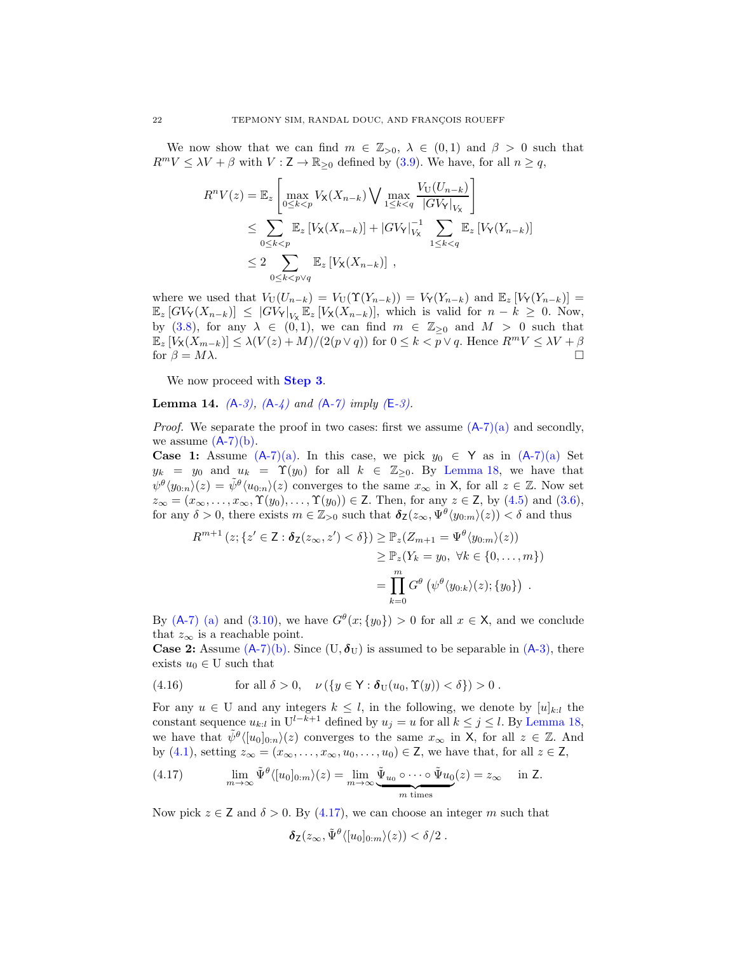We now show that we can find  $m \in \mathbb{Z}_{>0}$ ,  $\lambda \in (0,1)$  and  $\beta > 0$  such that  $R^mV \leq \lambda V + \beta$  with  $V : \mathsf{Z} \to \mathbb{R}_{\geq 0}$  defined by [\(3.9\)](#page-15-4). We have, for all  $n \geq q$ ,

$$
R^n V(z) = \mathbb{E}_z \left[ \max_{0 \le k < p} V_\mathbf{X}(X_{n-k}) \bigvee \max_{1 \le k < q} \frac{V_\mathbf{U}(U_{n-k})}{|GV|_{V_\mathbf{X}}|} \right]
$$
\n
$$
\le \sum_{0 \le k < p} \mathbb{E}_z \left[ V_\mathbf{X}(X_{n-k}) \right] + |GV_Y|_{V_\mathbf{X}}^{-1} \sum_{1 \le k < q} \mathbb{E}_z \left[ V_Y(Y_{n-k}) \right]
$$
\n
$$
\le 2 \sum_{0 \le k < p \vee q} \mathbb{E}_z \left[ V_\mathbf{X}(X_{n-k}) \right],
$$

where we used that  $V_U(U_{n-k}) = V_U(\Upsilon(Y_{n-k})) = V_Y(Y_{n-k})$  and  $\mathbb{E}_z[V_Y(Y_{n-k})] =$  $\mathbb{E}_{z} [GV_{Y}(X_{n-k})] \leq |GV_{Y}|_{V_{X}} \mathbb{E}_{z} [V_{X}(X_{n-k})],$  which is valid for  $n-k \geq 0$ . Now, by [\(3.8\)](#page-14-11), for any  $\lambda \in (0,1)$ , we can find  $m \in \mathbb{Z}_{\geq 0}$  and  $M > 0$  such that  $\mathbb{E}_z [V_\mathsf{X}(X_{m-k})] \leq \lambda (V(z) + M)/(2(p \vee q))$  for  $0 \leq k < p \vee q$ . Hence  $R^m V \leq \lambda V + \beta$  for  $\beta = M\lambda$ . for  $\beta = M\lambda$ .

We now proceed with **[Step 3](#page-20-2).** 

<span id="page-21-0"></span>Lemma 14. *(*A*[-3\),](#page-14-0) (*A*[-4\)](#page-14-1) and (*A*[-7\)](#page-15-0) imply (*E*[-3\).](#page-19-2)*

*Proof.* We separate the proof in two cases: first we assume  $(A-7)(a)$  $(A-7)(a)$  $(A-7)(a)$  and secondly, we assume  $(A-7)(b)$  $(A-7)(b)$  $(A-7)(b)$ .

**Case 1:** Assume  $(A-7)(a)$  $(A-7)(a)$  $(A-7)(a)$ . In this case, we pick  $y_0 \in Y$  as in  $(A-7)(a)$  Set  $y_k = y_0$  and  $u_k = \Upsilon(y_0)$  for all  $k \in \mathbb{Z}_{\geq 0}$ . By [Lemma 18,](#page-34-1) we have that  $\psi^{\theta}(y_{0:n})(z) = \tilde{\psi}^{\theta}(u_{0:n})(z)$  converges to the same  $x_{\infty}$  in X, for all  $z \in \mathbb{Z}$ . Now set  $z_{\infty} = (x_{\infty}, \ldots, x_{\infty}, \Upsilon(y_0), \ldots, \Upsilon(y_0)) \in \mathsf{Z}$ . Then, for any  $z \in \mathsf{Z}$ , by [\(4.5\)](#page-18-1) and [\(3.6\)](#page-14-10), for any  $\delta > 0$ , there exists  $m \in \mathbb{Z}_{>0}$  such that  $\delta_Z(z_\infty, \Psi^\theta(y_{0:m})(z)) < \delta$  and thus

$$
R^{m+1}(z; \{z' \in \mathbf{Z} : \delta_{\mathbf{Z}}(z_{\infty}, z') < \delta\}) \geq \mathbb{P}_{z}(Z_{m+1} = \Psi^{\theta}\langle y_{0:m}\rangle(z))
$$
  

$$
\geq \mathbb{P}_{z}(Y_{k} = y_{0}, \ \forall k \in \{0, ..., m\})
$$
  

$$
= \prod_{k=0}^{m} G^{\theta}\left(\psi^{\theta}\langle y_{0:k}\rangle(z); \{y_{0}\}\right).
$$

By (A[-7\)](#page-15-0) [\(a\)](#page-15-10) and [\(3.10\)](#page-15-12), we have  $G^{\theta}(x; \{y_0\}) > 0$  for all  $x \in X$ , and we conclude that  $z_{\infty}$  is a reachable point.

**Case 2:** Assume  $(A-7)(b)$  $(A-7)(b)$  $(A-7)(b)$ . Since  $(U, \delta_U)$  is assumed to be separable in  $(A-3)$ , there exists  $u_0 \in U$  such that

<span id="page-21-2"></span>(4.16) for all 
$$
\delta > 0
$$
,  $\nu (\lbrace y \in \mathsf{Y} : \delta_{\mathcal{U}}(u_0, \Upsilon(y)) < \delta \rbrace) > 0$ .

For any  $u \in U$  and any integers  $k \leq l$ , in the following, we denote by  $[u]_{k:l}$  the constant sequence  $u_{k,l}$  in  $U^{l-k+1}$  defined by  $u_j = u$  for all  $k \leq j \leq l$ . By [Lemma 18,](#page-34-1) we have that  $\tilde{\psi}^{\theta} \langle [u_0]_{0:n} \rangle(z)$  converges to the same  $x_{\infty}$  in X, for all  $z \in \mathbb{Z}$ . And by [\(4.1\)](#page-17-9), setting  $z_{\infty} = (x_{\infty}, \ldots, x_{\infty}, u_0, \ldots, u_0) \in \mathbb{Z}$ , we have that, for all  $z \in \mathbb{Z}$ ,

<span id="page-21-1"></span>(4.17) 
$$
\lim_{m \to \infty} \tilde{\Psi}^{\theta} \langle [u_0]_{0:m} \rangle(z) = \lim_{m \to \infty} \underbrace{\tilde{\Psi}_{u_0} \circ \cdots \circ \tilde{\Psi}_{u_0}}_{m \text{ times}}(z) = z_{\infty} \quad \text{in } \mathbb{Z}.
$$

Now pick  $z \in \mathsf{Z}$  and  $\delta > 0$ . By [\(4.17\)](#page-21-1), we can choose an integer m such that

$$
\delta_{\mathsf{Z}}(z_{\infty},\tilde{\Psi}^{\theta}\langle [u_0]_{0:m}\rangle(z)) < \delta/2.
$$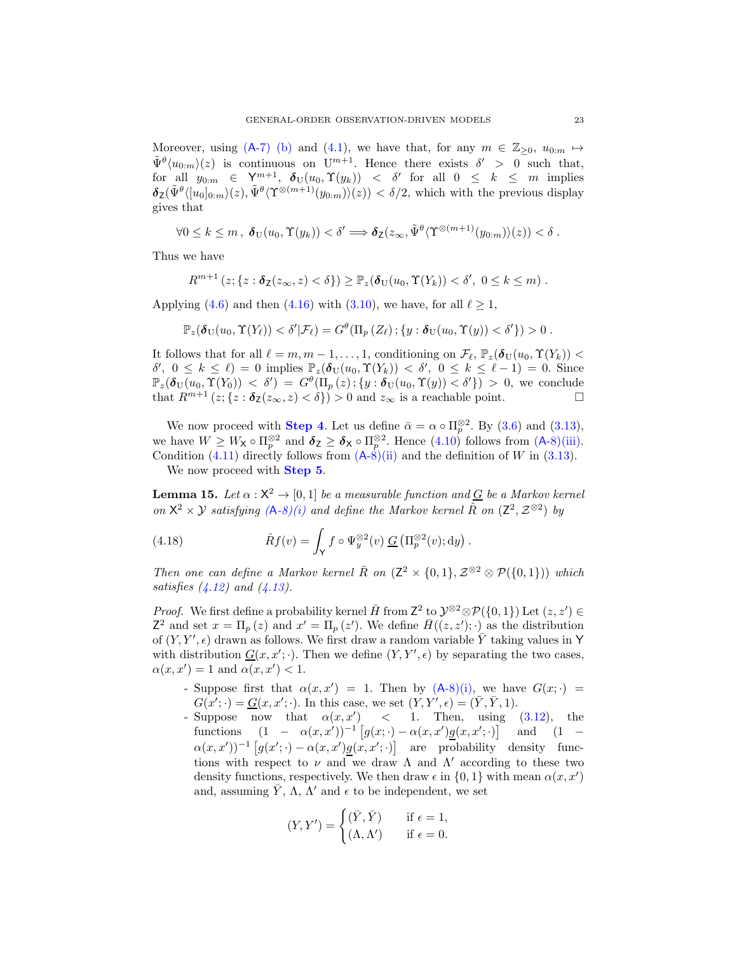Moreover, using (A[-7\)](#page-15-0) [\(b\)](#page-15-11) and [\(4.1\)](#page-17-9), we have that, for any  $m \in \mathbb{Z}_{\geq 0}$ ,  $u_{0:m} \mapsto$  $\tilde{\Psi}^{\theta}\langle u_{0,m}\rangle(z)$  is continuous on  $U^{m+1}$ . Hence there exists  $\delta' > 0$  such that, for all  $y_{0,m} \in \mathsf{Y}^{m+1}$ ,  $\delta_U(u_0, \Upsilon(y_k)) < \delta'$  for all  $0 \leq k \leq m$  implies  $\delta_{\mathsf{Z}}(\tilde{\Psi}^{\theta}\langle [u_0]_{0:m}\rangle(z), \tilde{\Psi}^{\theta}\langle \Upsilon^{\otimes(m+1)}(y_{0:m})\rangle(z)) < \delta/2$ , which with the previous display gives that

$$
\forall 0 \leq k \leq m , \ \boldsymbol{\delta}_{\mathrm{U}}(u_0, \Upsilon(y_k)) < \delta' \Longrightarrow \boldsymbol{\delta}_{\mathrm{Z}}(z_{\infty}, \tilde{\Psi}^{\theta} \langle \Upsilon^{\otimes (m+1)}(y_{0:m}) \rangle(z)) < \delta .
$$

Thus we have

$$
R^{m+1}(z; \{z : \delta_{\mathsf{Z}}(z_{\infty}, z) < \delta\}) \geq \mathbb{P}_{z}(\delta_{\mathrm{U}}(u_0, \Upsilon(Y_k)) < \delta', 0 \leq k \leq m).
$$

Applying [\(4.6\)](#page-18-2) and then [\(4.16\)](#page-21-2) with [\(3.10\)](#page-15-12), we have, for all  $\ell \geq 1$ ,

$$
\mathbb{P}_z(\boldsymbol{\delta}_{\mathrm{U}}(u_0,\boldsymbol{\Upsilon}(Y_{\ell})) < \delta'|\mathcal{F}_{\ell}) = G^{\theta}(\Pi_p(Z_{\ell})\,;\{y:\boldsymbol{\delta}_{\mathrm{U}}(u_0,\boldsymbol{\Upsilon}(y)) < \delta'\}) > 0.
$$

It follows that for all  $\ell = m, m - 1, ..., 1$ , conditioning on  $\mathcal{F}_{\ell}, \mathbb{P}_z(\boldsymbol{\delta}_U(u_0, \Upsilon(Y_k)))$  $\delta', 0 \leq k \leq \ell$  = 0 implies  $\mathbb{P}_z(\delta_U(u_0, \Upsilon(Y_k)) < \delta', 0 \leq k \leq \ell - 1) = 0$ . Since  $\mathbb{P}_z(\boldsymbol{\delta}_{\mathrm{U}}(u_0,\boldsymbol{\Upsilon}(Y_0)) < \delta') = G^{\theta}(\Pi_p(z); \{y : \boldsymbol{\delta}_{\mathrm{U}}(u_0,\boldsymbol{\Upsilon}(y)) < \delta'\}) > 0$ , we conclude that  $R^{m+1}(z; \{z : \delta_{\mathsf{Z}}(z_{\infty}, z) < \delta\}) > 0$  and  $z_{\infty}$  is a reachable point.

We now proceed with **[Step 4](#page-20-3)**. Let us define  $\bar{\alpha} = \alpha \circ \Pi_p^{\otimes 2}$ . By [\(3.6\)](#page-14-10) and [\(3.13\)](#page-15-5), we have  $W \geq W_{\mathsf{X}} \circ \Pi_p^{\otimes 2}$  and  $\delta_{\mathsf{Z}} \geq \delta_{\mathsf{X}} \circ \Pi_p^{\otimes 2}$ . Hence  $(4.10)$  follows from  $(A-8)(iii)$  $(A-8)(iii)$  $(A-8)(iii)$ . Condition [\(4.11\)](#page-19-7) directly follows from  $(A-8)$  $(A-8)$ [\(ii\)](#page-15-8) and the definition of W in [\(3.13\)](#page-15-5).

We now proceed with **[Step 5](#page-20-4)**.

<span id="page-22-0"></span>**Lemma 15.** Let  $\alpha : \mathsf{X}^2 \to [0,1]$  be a measurable function and  $\frac{G}{\alpha}$  be a Markov kernel *on*  $X^2 \times Y$  *satisfying*  $(A-8)(i)$  $(A-8)(i)$  $(A-8)(i)$  *and define the Markov kernel*  $\hat{R}$  *on*  $(Z^2, Z^{\otimes 2})$  *by* 

<span id="page-22-1"></span>(4.18) 
$$
\hat{R}f(v) = \int_{\mathsf{Y}} f \circ \Psi_y^{\otimes 2}(v) \underline{G} \left( \Pi_p^{\otimes 2}(v); dy \right).
$$

*Then one can define a Markov kernel*  $\overline{R}$  *on*  $(Z^2 \times \{0,1\}, Z^{\otimes 2} \otimes P(\{0,1\}))$  *which satisfies [\(4.12\)](#page-19-8) and [\(4.13\)](#page-19-9).*

*Proof.* We first define a probability kernel  $\overline{H}$  from  $Z^2$  to  $\mathcal{Y}^{\otimes 2} \otimes \mathcal{P}(\{0,1\})$  Let  $(z, z') \in \mathbb{R}$  $Z^2$  and set  $x = \Pi_p(z)$  and  $x' = \Pi_p(z')$ . We define  $\bar{H}((z, z'); \cdot)$  as the distribution of  $(Y, Y', \epsilon)$  drawn as follows. We first draw a random variable  $\overline{Y}$  taking values in Y with distribution  $\underline{G}(x, x'; \cdot)$ . Then we define  $(Y, Y', \epsilon)$  by separating the two cases,  $\alpha(x, x') = 1$  and  $\alpha(x, x') < 1$ .

- Suppose first that  $\alpha(x, x') = 1$ . Then by  $(A-8)(i)$  $(A-8)(i)$  $(A-8)(i)$ , we have  $G(x; \cdot) =$  $G(x';\cdot) = \underline{G}(x,x';\cdot)$ . In this case, we set  $(Y,Y',\epsilon) = (\overline{Y}, \overline{Y}, 1)$ .
- Suppose now that  $\alpha(x, x')$  < 1. Then, using [\(3.12\)](#page-15-3), the functions  $(1 - \alpha(x, x'))^{-1} [g(x; \cdot) - \alpha(x, x')g(x, x'; \cdot)]$  and  $(1 \alpha(x,x')$ <sup>-1</sup>  $[g(x';\cdot) - \alpha(x,x')g(x,x';\cdot)]$  are probability density functions with respect to  $\nu$  and we draw  $\Lambda$  and  $\Lambda'$  according to these two density functions, respectively. We then draw  $\epsilon$  in  $\{0, 1\}$  with mean  $\alpha(x, x')$ and, assuming  $\bar{Y}$ ,  $\Lambda$ ,  $\Lambda'$  and  $\epsilon$  to be independent, we set

$$
(Y, Y') = \begin{cases} (\bar{Y}, \bar{Y}) & \text{if } \epsilon = 1, \\ (\Lambda, \Lambda') & \text{if } \epsilon = 0. \end{cases}
$$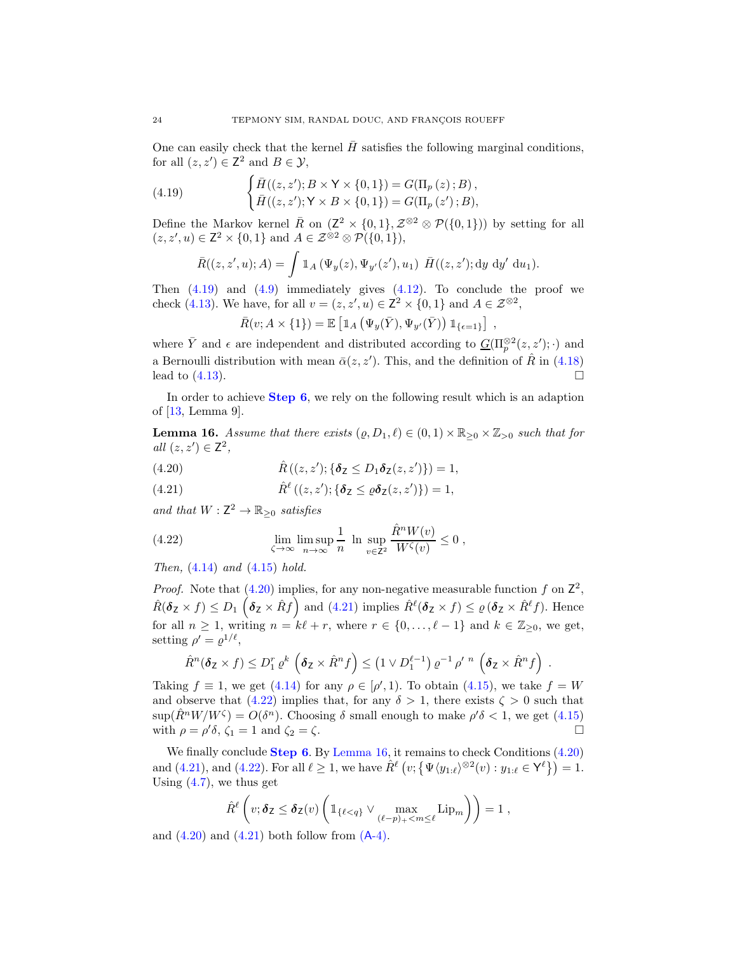One can easily check that the kernel  $H$  satisfies the following marginal conditions, for all  $(z, z') \in \mathbb{Z}^2$  and  $B \in \mathcal{Y}$ ,

(4.19) 
$$
\begin{cases} \bar{H}((z, z'); B \times Y \times \{0, 1\}) = G(\Pi_p(z); B), \\ \bar{H}((z, z'); Y \times B \times \{0, 1\}) = G(\Pi_p(z'); B), \end{cases}
$$

Define the Markov kernel  $\overline{R}$  on  $(Z^2 \times \{0,1\}, Z^{\otimes 2} \otimes \mathcal{P}(\{0,1\}))$  by setting for all  $(z, z', u) \in \mathbb{Z}^2 \times \{0, 1\}$  and  $A \in \mathcal{Z}^{\otimes 2} \otimes \mathcal{P}(\{0, 1\}),$ 

<span id="page-23-1"></span>
$$
\bar{R}((z, z', u); A) = \int \mathbb{1}_A (\Psi_y(z), \Psi_{y'}(z'), u_1) \ \bar{H}((z, z'); dy dy' du_1).
$$

Then  $(4.19)$  and  $(4.9)$  immediately gives  $(4.12)$ . To conclude the proof we check [\(4.13\)](#page-19-9). We have, for all  $v = (z, z', u) \in \mathbb{Z}^2 \times \{0, 1\}$  and  $A \in \mathcal{Z}^{\otimes 2}$ ,

$$
\bar{R}(v; A \times \{1\}) = \mathbb{E}\left[\mathbbm{1}_A\left(\Psi_y(\bar{Y}), \Psi_{y'}(\bar{Y})\right) \mathbbm{1}_{\{\epsilon=1\}}\right],
$$

where  $\bar{Y}$  and  $\epsilon$  are independent and distributed according to  $\underline{G}(\Pi_p^{\otimes 2}(z,z');\cdot)$  and a Bernoulli distribution with mean  $\bar{\alpha}(z, z')$ . This, and the definition of  $\hat{R}$  in [\(4.18\)](#page-22-1) lead to  $(4.13)$ .

In order to achieve [Step 6](#page-20-5), we rely on the following result which is an adaption of [\[13,](#page-36-10) Lemma 9].

<span id="page-23-0"></span>**Lemma 16.** Assume that there exists  $(\varrho, D_1, \ell) \in (0, 1) \times \mathbb{R}_{\geq 0} \times \mathbb{Z}_{\geq 0}$  such that for *all*  $(z, z') \in \mathbb{Z}^2$ ,

- <span id="page-23-2"></span>(4.20)  $\hat{R}((z, z'); {\delta z \le D_1 \delta_z(z, z')} ) = 1,$
- <span id="page-23-3"></span>(4.21)  $\hat{R}^{\ell}((z, z'); {\delta z \leq \varrho \delta_{\mathsf{Z}}(z, z')}) = 1,$

*and that*  $W: \mathbb{Z}^2 \to \mathbb{R}_{\geq 0}$  *satisfies* 

<span id="page-23-4"></span>(4.22) 
$$
\lim_{\zeta \to \infty} \limsup_{n \to \infty} \frac{1}{n} \ln \sup_{v \in \mathbb{Z}^2} \frac{\hat{R}^n W(v)}{W^{\zeta}(v)} \le 0,
$$

*Then,* [\(4.14\)](#page-19-10) *and* [\(4.15\)](#page-19-11) *hold.*

*Proof.* Note that  $(4.20)$  implies, for any non-negative measurable function f on  $\mathbb{Z}^2$ ,  $\hat{R}(\boldsymbol{\delta}_{\textsf{Z}} \times f) \leq D_1 \left( \boldsymbol{\delta}_{\textsf{Z}} \times \hat{R}f \right)$  and [\(4.21\)](#page-23-3) implies  $\hat{R}^{\ell}(\boldsymbol{\delta}_{\textsf{Z}} \times f) \leq \varrho (\boldsymbol{\delta}_{\textsf{Z}} \times \hat{R}^{\ell}f)$ . Hence for all  $n \geq 1$ , writing  $n = k\ell + r$ , where  $r \in \{0, \ldots, \ell - 1\}$  and  $k \in \mathbb{Z}_{\geq 0}$ , we get, setting  $\rho' = \varrho^{1/\ell}$ ,

$$
\hat{R}^n(\boldsymbol{\delta}_Z \times f) \le D_1^r \varrho^k \left( \boldsymbol{\delta}_Z \times \hat{R}^n f \right) \le \left( 1 \vee D_1^{\ell-1} \right) \varrho^{-1} \rho'^{n} \left( \boldsymbol{\delta}_Z \times \hat{R}^n f \right)
$$

.

Taking  $f \equiv 1$ , we get [\(4.14\)](#page-19-10) for any  $\rho \in [\rho', 1)$ . To obtain [\(4.15\)](#page-19-11), we take  $f = W$ and observe that [\(4.22\)](#page-23-4) implies that, for any  $\delta > 1$ , there exists  $\zeta > 0$  such that  $\sup(\hat{R}^n W/W^{\zeta}) = O(\delta^n)$ . Choosing  $\delta$  small enough to make  $\rho' \delta < 1$ , we get [\(4.15\)](#page-19-11) with  $\rho = \rho' \delta$ ,  $\zeta_1 = 1$  and  $\zeta_2 = \zeta$ .

We finally conclude **[Step 6](#page-20-5)**. By [Lemma 16,](#page-23-0) it remains to check Conditions  $(4.20)$ and [\(4.21\)](#page-23-3), and [\(4.22\)](#page-23-4). For all  $\ell \geq 1$ , we have  $\hat{R}^{\ell}(v; \{\Psi \langle y_{1:\ell} \rangle^{\otimes 2}(v) : y_{1:\ell} \in \mathsf{Y}^{\ell} \}) = 1$ . Using  $(4.7)$ , we thus get

$$
\hat{R}^{\ell}\left(v;\boldsymbol{\delta}_{\mathsf{Z}}\leq\boldsymbol{\delta}_{\mathsf{Z}}(v)\left(\mathbb{1}_{\{\ell
$$

and  $(4.20)$  and  $(4.21)$  both follow from  $(A-4)$ .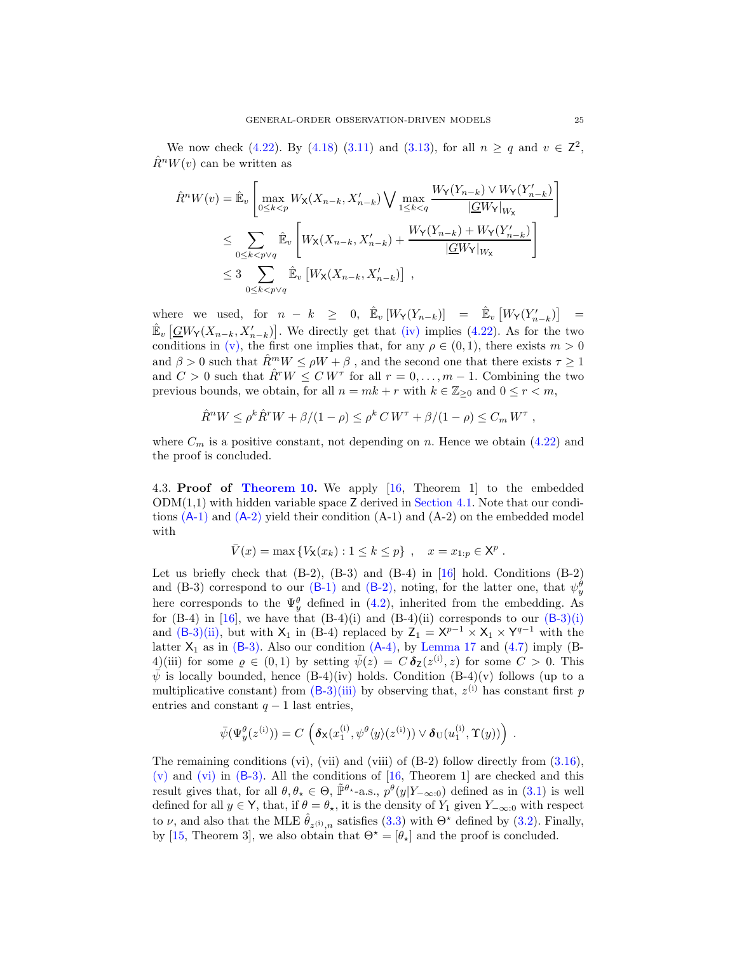We now check [\(4.22\)](#page-23-4). By [\(4.18\)](#page-22-1) [\(3.11\)](#page-15-13) and [\(3.13\)](#page-15-5), for all  $n \ge q$  and  $v \in \mathbb{Z}^2$ ,  $\hat{R}^n W(v)$  can be written as

$$
\hat{R}^n W(v) = \hat{\mathbb{E}}_v \left[ \max_{0 \le k < p} W_{\mathsf{X}}(X_{n-k}, X_{n-k}') \bigvee \max_{1 \le k < q} \frac{W_{\mathsf{Y}}(Y_{n-k}) \vee W_{\mathsf{Y}}(Y_{n-k}')}{|\underline{G}W_{\mathsf{Y}}|_{W_{\mathsf{X}}}} \right]
$$
\n
$$
\le \sum_{0 \le k < p \vee q} \hat{\mathbb{E}}_v \left[ W_{\mathsf{X}}(X_{n-k}, X_{n-k}') + \frac{W_{\mathsf{Y}}(Y_{n-k}) + W_{\mathsf{Y}}(Y_{n-k}')}{|\underline{G}W_{\mathsf{Y}}|_{W_{\mathsf{X}}}} \right]
$$
\n
$$
\le 3 \sum_{0 \le k < p \vee q} \hat{\mathbb{E}}_v \left[ W_{\mathsf{X}}(X_{n-k}, X_{n-k}') \right],
$$

where we used, for  $n - k \geq 0$ ,  $\hat{\mathbb{E}}_v [W_Y(Y_{n-k})] = \hat{\mathbb{E}}_v [W_Y(Y'_{n-k})] =$  $\mathbb{E}_v \left[ \underline{GW}_{\mathsf{Y}}(X_{n-k}, X'_{n-k}) \right]$ . We directly get that [\(iv\)](#page-15-7) implies [\(4.22\)](#page-23-4). As for the two conditions in [\(v\),](#page-15-14) the first one implies that, for any  $\rho \in (0,1)$ , there exists  $m > 0$ and  $\beta > 0$  such that  $\hat{R}^m W \le \rho W + \beta$ , and the second one that there exists  $\tau \ge 1$ and  $C > 0$  such that  $\hat{R}^r W \leq C W^{\tau}$  for all  $r = 0, \ldots, m - 1$ . Combining the two previous bounds, we obtain, for all  $n = mk + r$  with  $k \in \mathbb{Z}_{\geq 0}$  and  $0 \leq r < m$ ,

$$
\hat{R}^n W \le \rho^k \hat{R}^r W + \beta/(1-\rho) \le \rho^k CW^{\tau} + \beta/(1-\rho) \le C_m W^{\tau} ,
$$

where  $C_m$  is a positive constant, not depending on n. Hence we obtain [\(4.22\)](#page-23-4) and the proof is concluded.

<span id="page-24-0"></span>4.3. Proof of [Theorem 10.](#page-17-0) We apply [\[16,](#page-36-12) Theorem 1] to the embedded  $ODM(1,1)$  with hidden variable space Z derived in [Section 4.1.](#page-17-3) Note that our conditions  $(A-1)$  $(A-1)$  and  $(A-2)$  $(A-2)$  yield their condition  $(A-1)$  and  $(A-2)$  on the embedded model with

$$
\overline{V}(x) = \max \{ V_{\mathsf{X}}(x_k) : 1 \le k \le p \}, \quad x = x_{1:p} \in \mathsf{X}^p.
$$

Let us briefly check that  $(B-2)$ ,  $(B-3)$  and  $(B-4)$  in  $[16]$  hold. Conditions  $(B-2)$ and (B-3) correspond to our (B[-1\)](#page-17-8) and (B[-2\),](#page-17-4) noting, for the latter one, that  $\psi_y^{\theta}$ here corresponds to the  $\Psi_y^{\theta}$  defined in [\(4.2\)](#page-17-10), inherited from the embedding. As for  $(B-4)$  in [\[16](#page-36-12)], we have that  $(B-4)(i)$  $(B-4)(i)$  and  $(B-4)(ii)$  corresponds to our  $(B-3)(i)$  $(B-3)(i)$  $(B-3)(i)$ and (B[-3\)](#page-17-5)[\(ii\),](#page-17-7) but with  $X_1$  in (B-4) replaced by  $Z_1 = X^{p-1} \times X_1 \times Y^{q-1}$  with the latter  $X_1$  as in  $(B-3)$ . Also our condition  $(A-4)$ , by [Lemma 17](#page-34-2) and  $(4.7)$  imply  $(B-$ 4)(iii) for some  $\varrho \in (0,1)$  by setting  $\bar{\psi}(z) = C \, \delta_{\mathsf{Z}}(z^{(i)}, z)$  for some  $C > 0$ . This  $\bar{\psi}$  is locally bounded, hence (B-4)(iv) holds. Condition (B-4)(v) follows (up to a multiplicative constant) from  $(B-3)$  $(B-3)$ [\(iii\)](#page-17-6) by observing that,  $z^{(i)}$  has constant first p entries and constant  $q - 1$  last entries,

$$
\bar{\psi}(\Psi_{y}^{\theta}(z^{(i)})) = C \left( \boldsymbol{\delta}_{\mathsf{X}}(x_{1}^{(i)}, \psi^{\theta}\langle y \rangle(z^{(i)})) \vee \boldsymbol{\delta}_{\mathrm{U}}(u_{1}^{(i)}, \Upsilon(y)) \right) .
$$

The remaining conditions (vi), (vii) and (viii) of  $(B-2)$  follow directly from  $(3.16)$ ,  $(v)$  and  $(vi)$  in  $(B-3)$ . All the conditions of  $[16,$  Theorem 1 are checked and this result gives that, for all  $\theta, \theta_* \in \Theta$ ,  $\tilde{\mathbb{P}}^{\theta_*}$ -a.s.,  $p^{\theta}(y|Y_{-\infty:0})$  defined as in [\(3.1\)](#page-12-4) is well defined for all  $y \in Y$ , that, if  $\theta = \theta_{\star}$ , it is the density of  $Y_1$  given  $Y_{-\infty:0}$  with respect to  $\nu$ , and also that the MLE  $\hat{\theta}_{z^{(i)},n}$  satisfies [\(3.3\)](#page-13-2) with  $\Theta^*$  defined by [\(3.2\)](#page-13-1). Finally, by [\[15](#page-36-17), Theorem 3], we also obtain that  $\Theta^* = [\theta_*]$  and the proof is concluded.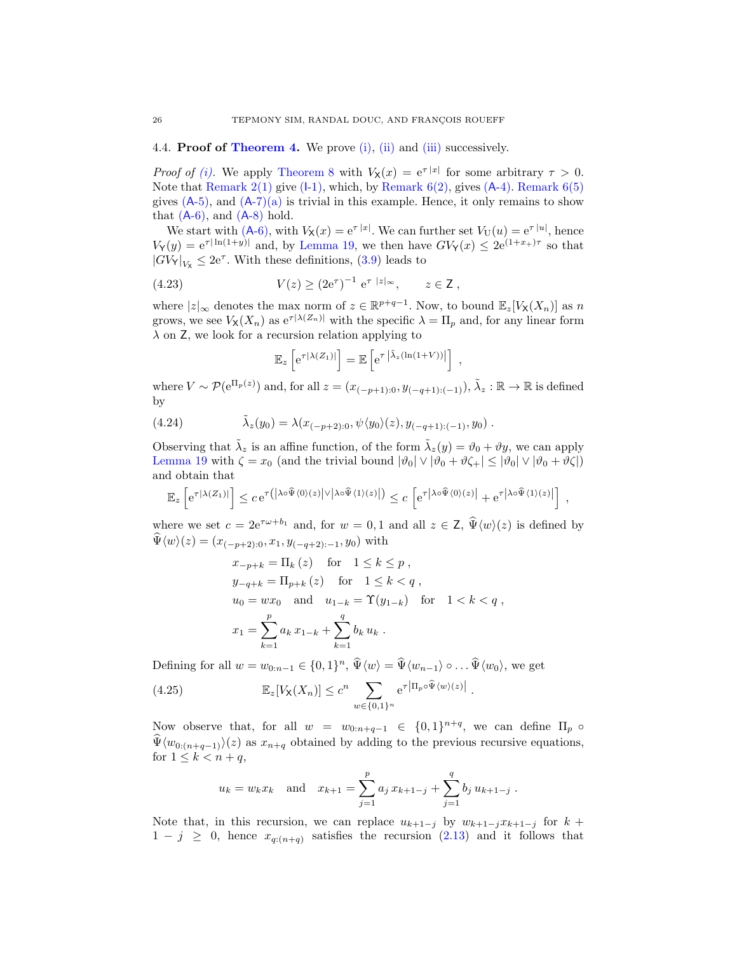## <span id="page-25-0"></span>4.4. **Proof of [Theorem 4.](#page-6-0)** We prove [\(i\),](#page-6-6) [\(ii\)](#page-6-7) and [\(iii\)](#page-7-7) successively.

*Proof of (i)*. We apply [Theorem 8](#page-16-0) with  $V_{\mathbf{X}}(x) = e^{\tau |x|}$  for some arbitrary  $\tau > 0$ . Note that Remark  $2(1)$  $2(1)$  give  $(I-1)$ , which, by Remark  $6(2)$ , gives  $(A-4)$ . Remark  $6(5)$  $6(5)$ gives  $(A-5)$ , and  $(A-7)(a)$  $(A-7)(a)$  $(A-7)(a)$  is trivial in this example. Hence, it only remains to show that  $(A-6)$ , and  $(A-8)$  $(A-8)$  hold.

We start with  $(A-6)$ , with  $V_{\mathsf{X}}(x) = e^{\tau |x|}$ . We can further set  $V_{\mathsf{U}}(u) = e^{\tau |u|}$ , hence  $V_Y(y) = e^{\tau |\ln(1+y)|}$  and, by [Lemma 19,](#page-34-3) we then have  $GV_Y(x) \leq 2e^{(1+x_+) \tau}$  so that  $|GV_{\mathsf{Y}}|_{V_{\mathsf{X}}} \leq 2e^{\tau}$ . With these definitions, [\(3.9\)](#page-15-4) leads to

(4.23) 
$$
V(z) \ge (2e^{\tau})^{-1} e^{\tau |z|_{\infty}}, \qquad z \in \mathsf{Z},
$$

where  $|z|_{\infty}$  denotes the max norm of  $z \in \mathbb{R}^{p+q-1}$ . Now, to bound  $\mathbb{E}_z[V_X(X_n)]$  as n grows, we see  $V_{\mathsf{X}}(X_n)$  as  $e^{\tau |\lambda(Z_n)|}$  with the specific  $\lambda = \Pi_p$  and, for any linear form  $\lambda$  on Z, we look for a recursion relation applying to

<span id="page-25-3"></span><span id="page-25-2"></span>
$$
\mathbb{E}_z\left[e^{\tau |\lambda(Z_1)|}\right] = \mathbb{E}\left[e^{\tau |\tilde{\lambda}_z(\ln(1+V))|}\right],
$$

where  $V \sim \mathcal{P}(e^{\Pi_p(z)})$  and, for all  $z = (x_{(-p+1):0}, y_{(-q+1):(-1)}), \tilde{\lambda}_z : \mathbb{R} \to \mathbb{R}$  is defined by

(4.24) 
$$
\tilde{\lambda}_z(y_0) = \lambda(x_{(-p+2):0}, \psi\langle y_0 \rangle(z), y_{(-q+1):(-1)}, y_0) .
$$

Observing that  $\tilde{\lambda}_z$  is an affine function, of the form  $\tilde{\lambda}_z(y) = \vartheta_0 + \vartheta y$ , we can apply [Lemma 19](#page-34-3) with  $\zeta = x_0$  (and the trivial bound  $|\vartheta_0| \vee |\vartheta_0 + \vartheta \zeta_+| \leq |\vartheta_0| \vee |\vartheta_0 + \vartheta \zeta|$ ) and obtain that

$$
\mathbb{E}_z\left[e^{\tau|\lambda(Z_1)|}\right] \leq c\,e^{\tau(|\lambda\circ\widehat{\Psi}\langle 0\rangle(z)|\vee|\lambda\circ\widehat{\Psi}\langle 1\rangle(z)|)} \leq c\,\left[e^{\tau|\lambda\circ\widehat{\Psi}\langle 0\rangle(z)|} + e^{\tau|\lambda\circ\widehat{\Psi}\langle 1\rangle(z)|}\right] \;,
$$

where we set  $c = 2e^{\tau \omega + b_1}$  and, for  $w = 0, 1$  and all  $z \in \mathsf{Z}, \hat{\Psi}(w)(z)$  is defined by  $\Psi \langle w \rangle(z) = (x_{(-p+2):0}, x_1, y_{(-q+2):-1}, y_0)$  with

$$
x_{-p+k} = \Pi_k (z) \text{ for } 1 \le k \le p,
$$
  
\n
$$
y_{-q+k} = \Pi_{p+k} (z) \text{ for } 1 \le k < q,
$$
  
\n
$$
u_0 = wx_0 \text{ and } u_{1-k} = \Upsilon(y_{1-k}) \text{ for } 1 < k < q,
$$
  
\n
$$
x_1 = \sum_{k=1}^p a_k x_{1-k} + \sum_{k=1}^q b_k u_k.
$$

Defining for all  $w = w_{0:n-1} \in \{0,1\}^n$ ,  $\widehat{\Psi}\langle w \rangle = \widehat{\Psi}\langle w_{n-1} \rangle \circ \dots \widehat{\Psi}\langle w_0 \rangle$ , we get

(4.25) 
$$
\mathbb{E}_z[V_\mathsf{X}(X_n)] \le c^n \sum_{w \in \{0,1\}^n} e^{\tau |\Pi_p \circ \widehat{\Psi}(w)(z)|}.
$$

Now observe that, for all  $w = w_{0:n+q-1} \in \{0,1\}^{n+q}$ , we can define  $\Pi_p \circ$  $\hat{\Psi}\langle w_{0:(n+q-1)}\rangle(z)$  as  $x_{n+q}$  obtained by adding to the previous recursive equations, for  $1 \leq k < n+q$ ,

<span id="page-25-1"></span>
$$
u_k = w_k x_k
$$
 and  $x_{k+1} = \sum_{j=1}^p a_j x_{k+1-j} + \sum_{j=1}^q b_j u_{k+1-j}$ .

Note that, in this recursion, we can replace  $u_{k+1-j}$  by  $w_{k+1-j}x_{k+1-j}$  for  $k+1$  $1 - j \geq 0$ , hence  $x_{q:(n+q)}$  satisfies the recursion [\(2.13\)](#page-6-4) and it follows that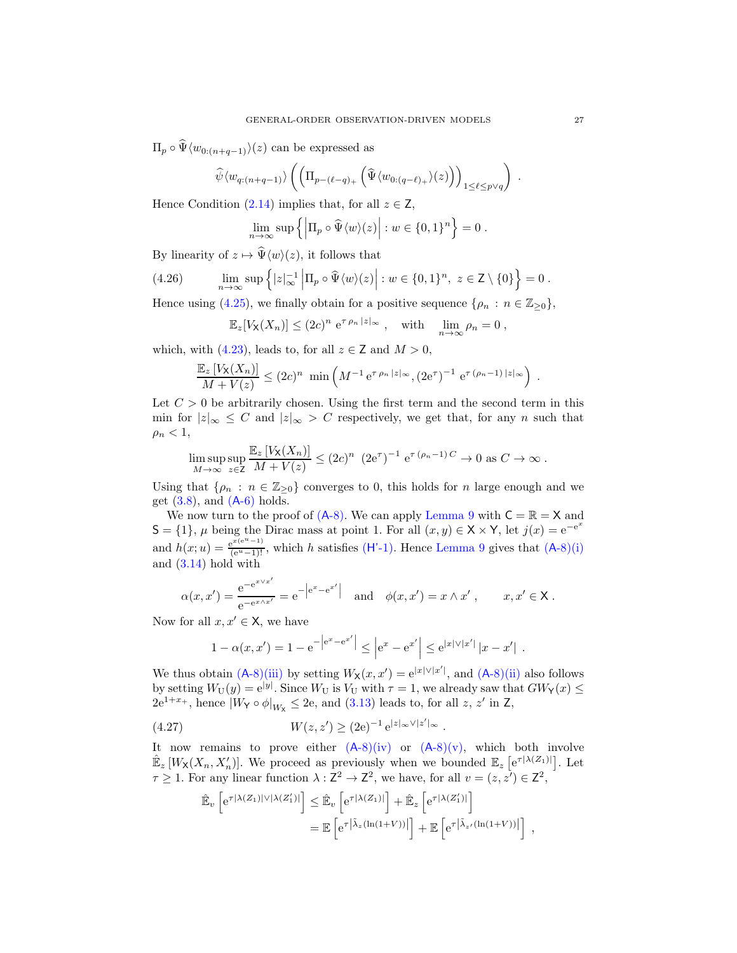$\Pi_p \circ \Psi \langle w_{0:(n+a-1)} \rangle(z)$  can be expressed as

$$
\widehat{\psi}\langle w_{q:(n+q-1)}\rangle \left( \left( \Pi_{p-(\ell-q)_+} \left( \widehat{\Psi}\langle w_{0:(q-\ell)_+}\rangle(z) \right) \right)_{1 \leq \ell \leq p\vee q} \right) .
$$

Hence Condition  $(2.14)$  implies that, for all  $z \in \mathbb{Z}$ ,

$$
\lim_{n \to \infty} \sup \{ \left| \Pi_p \circ \widehat{\Psi} \langle w \rangle(z) \right| : w \in \{0,1\}^n \} = 0.
$$

By linearity of  $z \mapsto \widehat{\Psi}(w)(z)$ , it follows that

(4.26) 
$$
\lim_{n \to \infty} \sup \left\{ |z|_{\infty}^{-1} \left| \Pi_p \circ \widehat{\Psi} \langle w \rangle(z) \right| : w \in \{0, 1\}^n, z \in \mathbb{Z} \setminus \{0\} \right\} = 0.
$$

Hence using [\(4.25\)](#page-25-1), we finally obtain for a positive sequence  $\{\rho_n : n \in \mathbb{Z}_{\geq 0}\},\$ 

<span id="page-26-1"></span>
$$
\mathbb{E}_z[V_\mathsf{X}(X_n)] \le (2c)^n \, \mathrm{e}^{\tau \, \rho_n \, |z|_\infty} \;, \quad \text{with} \quad \lim_{n \to \infty} \rho_n = 0 \;,
$$

which, with [\(4.23\)](#page-25-2), leads to, for all  $z \in \mathbb{Z}$  and  $M > 0$ ,

$$
\frac{\mathbb{E}_z \left[ V_{\mathsf{X}}(X_n) \right]}{M + V(z)} \leq (2c)^n \min \left( M^{-1} e^{\tau \rho_n |z|_{\infty}}, (2e^{\tau})^{-1} e^{\tau (\rho_n - 1) |z|_{\infty}} \right)
$$

Let  $C > 0$  be arbitrarily chosen. Using the first term and the second term in this min for  $|z|_{\infty} \leq C$  and  $|z|_{\infty} > C$  respectively, we get that, for any n such that  $\rho_n < 1$ ,

$$
\limsup_{M \to \infty} \sup_{z \in \mathcal{Z}} \frac{\mathbb{E}_z \left[ V_{\mathsf{X}}(X_n) \right]}{M + V(z)} \leq (2c)^n \ (2e^{\tau})^{-1} e^{\tau (\rho_n - 1) C} \to 0 \text{ as } C \to \infty \, .
$$

Using that  $\{\rho_n : n \in \mathbb{Z}_{\geq 0}\}\)$  converges to 0, this holds for n large enough and we get  $(3.8)$ , and  $(A-6)$  $(A-6)$  holds.

We now turn to the proof of  $(A-8)$ . We can apply [Lemma 9](#page-16-7) with  $C = \mathbb{R} = X$  and  $S = \{1\}, \mu$  being the Dirac mass at point 1. For all  $(x, y) \in X \times Y$ , let  $j(x) = e^{-e^x}$ and  $h(x; u) = \frac{e^{x(e^u - 1)}}{(e^u - 1)!}$ , which h satisfies (H'[-1\).](#page-16-2) Hence [Lemma 9](#page-16-7) gives that (A[-8\)](#page-15-1)[\(i\)](#page-15-2) and [\(3.14\)](#page-16-4) hold with

$$
\alpha(x, x') = \frac{e^{-e^{x \vee x'}}}{e^{-e^{x \wedge x'}}} = e^{-|e^{x} - e^{x'}|}
$$
 and  $\phi(x, x') = x \wedge x', \quad x, x' \in X$ .

Now for all  $x, x' \in \mathsf{X}$ , we have

$$
1 - \alpha(x, x') = 1 - e^{-|e^x - e^{x'}|} \le |e^x - e^{x'}| \le e^{|x| \vee |x'|} |x - x'|.
$$

We thus obtain  $(A-8)(iii)$  $(A-8)(iii)$  $(A-8)(iii)$  by setting  $W_\mathsf{X}(x, x') = e^{|x| \vee |x'|}$ , and  $(A-8)(ii)$  $(A-8)(ii)$  also follows by setting  $W_U(y) = e^{|y|}$ . Since  $W_U$  is  $V_U$  with  $\tau = 1$ , we already saw that  $GW_Y(x) \le$  $2e^{1+x_+}$ , hence  $|W_Y \circ \phi|_{W_X} \leq 2e$ , and [\(3.13\)](#page-15-5) leads to, for all z, z' in Z,

(4.27) 
$$
W(z, z') \ge (2e)^{-1} e^{|z|_{\infty} \vee |z'|_{\infty}}.
$$

It now remains to prove either  $(A-8)(iv)$  $(A-8)(iv)$  $(A-8)(iv)$  or  $(A-8)(v)$ , which both involve  $\mathbb{E}_z[W_X(X_n,X'_n)]$ . We proceed as previously when we bounded  $\mathbb{E}_z[e^{\tau|\lambda(Z_1)|}]$ . Let  $\tau \geq 1$ . For any linear function  $\lambda : \mathbb{Z}^2 \to \mathbb{Z}^2$ , we have, for all  $v = (z, z') \in \mathbb{Z}^2$ ,

<span id="page-26-0"></span>
$$
\hat{\mathbb{E}}_v \left[ e^{\tau |\lambda(Z_1)| \vee |\lambda(Z'_1)|} \right] \leq \hat{\mathbb{E}}_v \left[ e^{\tau |\lambda(Z_1)|} \right] + \hat{\mathbb{E}}_z \left[ e^{\tau |\lambda(Z'_1)|} \right] \n= \mathbb{E} \left[ e^{\tau |\tilde{\lambda}_z(\ln(1+V))|} \right] + \mathbb{E} \left[ e^{\tau |\tilde{\lambda}_{z'}(\ln(1+V))|} \right],
$$

.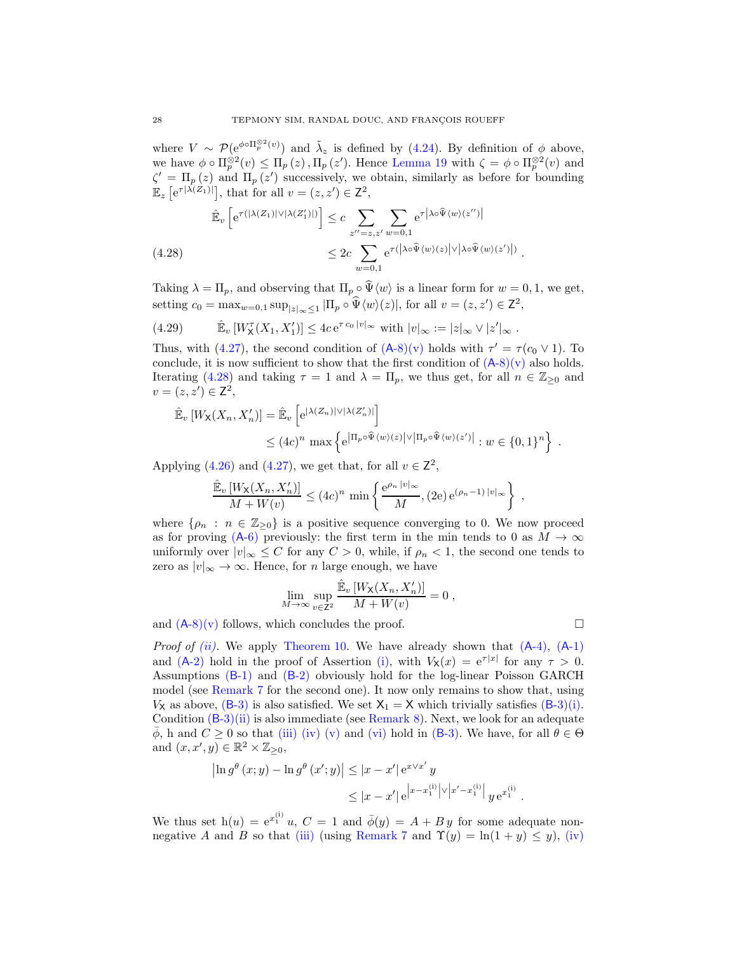where  $V \sim \mathcal{P}(e^{\phi \circ \Pi_p^{\otimes 2}(v)})$  and  $\tilde{\lambda}_z$  is defined by [\(4.24\)](#page-25-3). By definition of  $\phi$  above, we have  $\phi \circ \Pi_p^{\otimes 2}(v) \le \Pi_p(z)$ ,  $\Pi_p(z')$ . Hence [Lemma 19](#page-34-3) with  $\zeta = \phi \circ \Pi_p^{\otimes 2}(v)$  and  $\zeta' = \Pi_p(z)$  and  $\Pi_p(z')$  successively, we obtain, similarly as before for bounding  $\mathbb{E}_z \left[ e^{\tau |\lambda(Z_1)|} \right]$ , that for all  $v = (z, z') \in \mathbb{Z}^2$ ,

<span id="page-27-0"></span>
$$
\hat{\mathbb{E}}_v \left[ e^{\tau(|\lambda(Z_1)| \vee |\lambda(Z'_1)|)} \right] \leq c \sum_{z''=z, z'} \sum_{w=0, 1} e^{\tau |\lambda \circ \hat{\Psi}(w)(z'')|} \n\leq 2c \sum_{w=0, 1} e^{\tau(|\lambda \circ \hat{\Psi}(w)(z)| \vee |\lambda \circ \hat{\Psi}(w)(z')|)}.
$$

Taking  $\lambda = \Pi_p$ , and observing that  $\Pi_p \circ \widehat{\Psi} \langle w \rangle$  is a linear form for  $w = 0, 1$ , we get, setting  $c_0 = \max_{w=0,1} \sup_{|z|_{\infty} \leq 1} |\Pi_p \circ \hat{\Psi} \langle w \rangle(z)|$ , for all  $v = (z, z') \in \mathbb{Z}^2$ ,

$$
(4.29) \t\t \hat{\mathbb{E}}_v \left[W_X^{\tau}(X_1, X_1')\right] \le 4c e^{\tau c_0 |v|_{\infty}} \text{ with } |v|_{\infty} := |z|_{\infty} \vee |z'|_{\infty}.
$$

Thus, with [\(4.27\)](#page-26-0), the second condition of  $(A-8)(v)$  $(A-8)(v)$  $(A-8)(v)$  holds with  $\tau' = \tau(c_0 \vee 1)$ . To conclude, it is now sufficient to show that the first condition of  $(A-8)(v)$  $(A-8)(v)$  $(A-8)(v)$  also holds. Iterating [\(4.28\)](#page-27-0) and taking  $\tau = 1$  and  $\lambda = \Pi_p$ , we thus get, for all  $n \in \mathbb{Z}_{\geq 0}$  and  $v = (z, z') \in \mathsf{Z}^2$ ,

$$
\hat{\mathbb{E}}_v [W_{\mathsf{X}}(X_n, X'_n)] = \hat{\mathbb{E}}_v \left[ e^{|\lambda(Z_n)| \vee |\lambda(Z'_n)|} \right]
$$
  

$$
\leq (4c)^n \max \left\{ e^{|\Pi_p \circ \hat{\Psi}\langle w \rangle(z)| \vee |\Pi_p \circ \hat{\Psi}\langle w \rangle(z')|} : w \in \{0, 1\}^n \right\}.
$$

Applying [\(4.26\)](#page-26-1) and [\(4.27\)](#page-26-0), we get that, for all  $v \in \mathbb{Z}^2$ ,

$$
\frac{\hat{\mathbb{E}}_v\left[W_{\mathsf{X}}(X_n, X_n')\right]}{M+W(v)} \le (4c)^n \min\left\{\frac{\mathrm{e}^{\rho_n\,|v|_{\infty}}}{M}, (2\mathrm{e})\,\mathrm{e}^{(\rho_n-1)\,|v|_{\infty}}\right\} ,
$$

where  $\{\rho_n : n \in \mathbb{Z}_{\geq 0}\}\$ is a positive sequence converging to 0. We now proceed as for proving  $(A-6)$  $(A-6)$  previously: the first term in the min tends to 0 as  $M \to \infty$ uniformly over  $|v|_{\infty} \leq C$  for any  $C > 0$ , while, if  $\rho_n < 1$ , the second one tends to zero as  $|v|_{\infty} \to \infty$ . Hence, for *n* large enough, we have

$$
\lim_{M \to \infty} \sup_{v \in \mathbb{Z}^2} \frac{\hat{\mathbb{E}}_v \left[ W_{\mathsf{X}}(X_n, X_n') \right]}{M + W(v)} = 0,
$$

and  $(A-8)(v)$  $(A-8)(v)$  $(A-8)(v)$  follows, which concludes the proof.

*Proof of [\(ii\).](#page-6-7)* We apply [Theorem 10.](#page-17-0) We have already shown that  $(A-4)$ ,  $(A-1)$  $(A-1)$ and  $(A-2)$  $(A-2)$  hold in the proof of Assertion [\(i\),](#page-6-6) with  $V_{\mathsf{X}}(x) = e^{\tau |x|}$  for any  $\tau > 0$ . Assumptions (B[-1\)](#page-17-8) and (B[-2\)](#page-17-4) obviously hold for the log-linear Poisson GARCH model (see [Remark 7](#page-17-15) for the second one). It now only remains to show that, using  $V_{\mathsf{X}}$  as above, (B[-3\)](#page-17-5) is also satisfied. We set  $X_1 = X$  which trivially satisfies (B-3)[\(i\).](#page-17-11) Condition  $(B-3)(ii)$  $(B-3)(ii)$  $(B-3)(ii)$  is also immediate (see [Remark 8\)](#page-17-16). Next, we look for an adequate  $\overline{\phi}$ , h and  $C \geq 0$  so that [\(iii\)](#page-17-6) [\(iv\)](#page-17-17) [\(v\)](#page-17-13) and [\(vi\)](#page-17-14) hold in (B[-3\).](#page-17-5) We have, for all  $\theta \in \Theta$ and  $(x, x', y) \in \mathbb{R}^2 \times \mathbb{Z}_{\geq 0}$ ,

$$
\left| \ln g^{\theta} (x; y) - \ln g^{\theta} (x'; y) \right| \leq |x - x'| e^{x \vee x'} y
$$
  
 
$$
\leq |x - x'| e^{\left| x - x_1^{(i)} \right| \vee \left| x' - x_1^{(i)} \right|} y e^{x_1^{(i)}}.
$$

We thus set  $h(u) = e^{x_1^{(i)}} u$ ,  $C = 1$  and  $\bar{\phi}(y) = A + By$  for some adequate non-negative A and B so that [\(iii\)](#page-17-6) (using [Remark 7](#page-17-15) and  $\Upsilon(y) = \ln(1 + y) \leq y$ ), [\(iv\)](#page-17-17)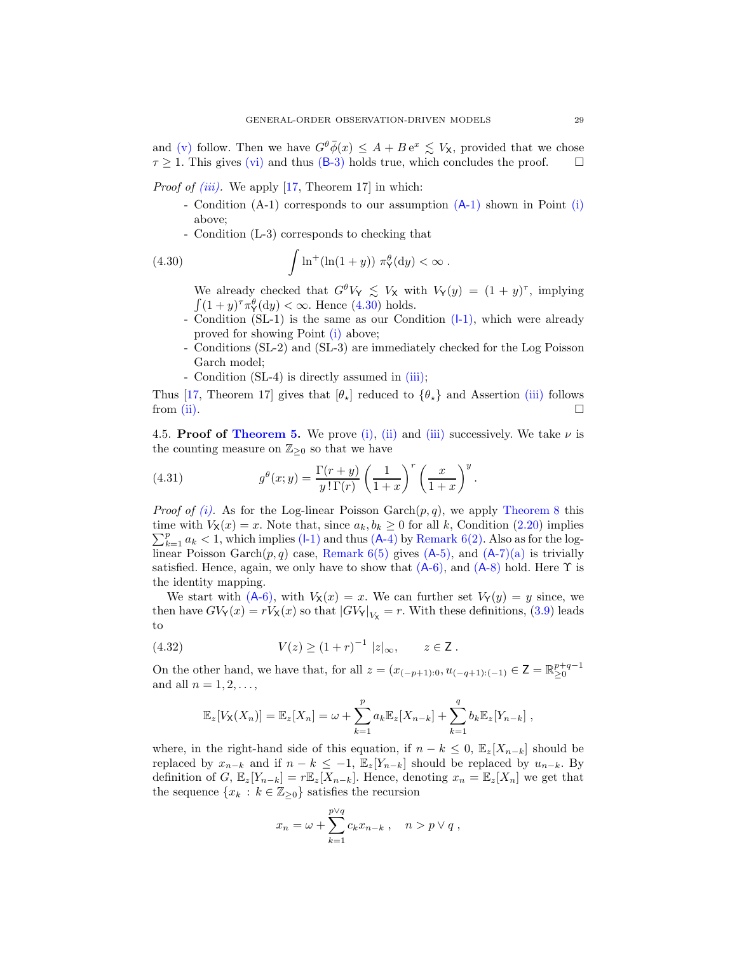and [\(v\)](#page-17-13) follow. Then we have  $G^{\theta}\bar{\phi}(x) \leq A + B e^x \leq V_{\mathsf{X}}$ , provided that we chose  $\tau \geq 1$ . This gives [\(vi\)](#page-17-14) and thus (B[-3\)](#page-17-5) holds true, which concludes the proof.  $\square$ 

*Proof of [\(iii\).](#page-7-7)* We apply [\[17,](#page-36-14) Theorem 17] in which:

- Condition (A-1) corresponds to our assumption (A[-1\)](#page-4-2) shown in Point [\(i\)](#page-6-6) above;
- Condition (L-3) corresponds to checking that

(4.30) 
$$
\int \ln^+ (\ln(1+y)) \pi_Y^{\theta} (dy) < \infty.
$$

<span id="page-28-1"></span>We already checked that  $G^{\theta}V_Y \leq V_X$  with  $V_Y(y) = (1 + y)^{\tau}$ , implying  $\int (1+y)^{\tau} \pi_{\gamma}^{\theta} (dy) < \infty$ . Hence [\(4.30\)](#page-28-1) holds.

- Condition  $(SL-1)$  is the same as our Condition  $(l-1)$ , which were already proved for showing Point [\(i\)](#page-6-6) above;
- Conditions (SL-2) and (SL-3) are immediately checked for the Log Poisson Garch model;
- Condition (SL-4) is directly assumed in [\(iii\);](#page-7-7)

Thus [\[17](#page-36-14), Theorem 17] gives that  $[\theta_{\star}]$  reduced to  $\{\theta_{\star}\}\$  and Assertion [\(iii\)](#page-7-7) follows from (ii). from [\(ii\).](#page-6-7)

<span id="page-28-0"></span>4.5. **Proof of [Theorem 5.](#page-8-1)** We prove [\(i\),](#page-8-4) [\(ii\)](#page-8-5) and [\(iii\)](#page-8-6) successively. We take  $\nu$  is the counting measure on  $\mathbb{Z}_{\geq 0}$  so that we have

<span id="page-28-3"></span>(4.31) 
$$
g^{\theta}(x;y) = \frac{\Gamma(r+y)}{y!\,\Gamma(r)} \left(\frac{1}{1+x}\right)^r \left(\frac{x}{1+x}\right)^y.
$$

*Proof of [\(i\).](#page-8-4)* As for the Log-linear Poisson Garch $(p, q)$ , we apply [Theorem 8](#page-16-0) this  $\sum_{k=1}^{p} a_k < 1$ , which implies (I[-1\)](#page-14-4) and thus (A[-4\)](#page-14-1) by [Remark 6](#page-15-6)[\(2\).](#page-16-5) Also as for the logtime with  $V_{\mathsf{X}}(x) = x$ . Note that, since  $a_k, b_k \geq 0$  for all k, Condition [\(2.20\)](#page-8-2) implies linear Poisson Garch $(p, q)$  case, [Remark 6](#page-15-6)[\(5\)](#page-16-6) gives  $(A-5)$ , and  $(A-7)(a)$  $(A-7)(a)$  $(A-7)(a)$  is trivially satisfied. Hence, again, we only have to show that  $(A-6)$ , and  $(A-8)$  $(A-8)$  hold. Here  $\Upsilon$  is the identity mapping.

We start with  $(A-6)$ , with  $V_X(x) = x$ . We can further set  $V_Y(y) = y$  since, we then have  $GV_Y(x) = rV_X(x)$  so that  $|GV_Y|_{V_X} = r$ . With these definitions, [\(3.9\)](#page-15-4) leads to

(4.32) 
$$
V(z) \ge (1+r)^{-1} |z|_{\infty}, \qquad z \in \mathsf{Z}.
$$

On the other hand, we have that, for all  $z = (x_{(-p+1):0}, u_{(-q+1):(-1)} \in \mathsf{Z} = \mathbb{R}_{\geq 0}^{p+q-1}$ and all  $n = 1, 2, \ldots$ ,

<span id="page-28-2"></span>
$$
\mathbb{E}_z[V_X(X_n)] = \mathbb{E}_z[X_n] = \omega + \sum_{k=1}^p a_k \mathbb{E}_z[X_{n-k}] + \sum_{k=1}^q b_k \mathbb{E}_z[Y_{n-k}],
$$

where, in the right-hand side of this equation, if  $n - k \leq 0$ ,  $\mathbb{E}_z[X_{n-k}]$  should be replaced by  $x_{n-k}$  and if  $n-k \leq -1$ ,  $\mathbb{E}_z[Y_{n-k}]$  should be replaced by  $u_{n-k}$ . By definition of G,  $\mathbb{E}_z[Y_{n-k}] = r \mathbb{E}_z[X_{n-k}]$ . Hence, denoting  $x_n = \mathbb{E}_z[X_n]$  we get that the sequence  $\{x_k : k \in \mathbb{Z}_{\geq 0}\}$  satisfies the recursion

$$
x_n = \omega + \sum_{k=1}^{p \vee q} c_k x_{n-k} , \quad n > p \vee q ,
$$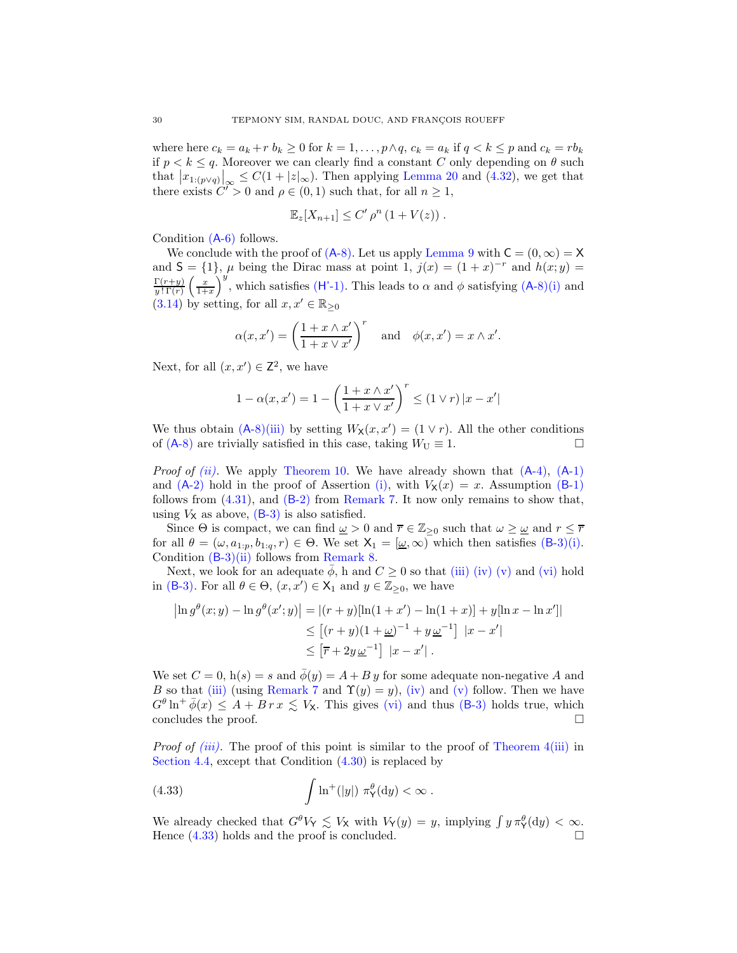where here  $c_k = a_k + r b_k \ge 0$  for  $k = 1, \ldots, p \wedge q$ ,  $c_k = a_k$  if  $q < k \le p$  and  $c_k = rb_k$ if  $p < k \leq q$ . Moreover we can clearly find a constant C only depending on  $\theta$  such that  $|x_{1:(p\vee q)}|_{\infty} \leq C(1+|z|_{\infty})$ . Then applying [Lemma 20](#page-35-11) and [\(4.32\)](#page-28-2), we get that there exists  $C^{\prime} > 0$  and  $\rho \in (0, 1)$  such that, for all  $n \ge 1$ ,

$$
\mathbb{E}_z[X_{n+1}] \leq C' \rho^n (1+V(z)).
$$

Condition (A[-6\)](#page-14-3) follows.

We conclude with the proof of  $(A-8)$ . Let us apply [Lemma 9](#page-16-7) with  $C = (0, \infty) = X$ and  $S = \{1\}$ ,  $\mu$  being the Dirac mass at point 1,  $j(x) = (1+x)^{-r}$  and  $h(x, y) =$  $\Gamma(r+y)$  $y$  !  $\Gamma(r)$  $\left(\frac{x}{1+x}\right)$ )<sup>y</sup>, which satisfies (H'[-1\).](#page-16-2) This leads to  $\alpha$  and  $\phi$  satisfying (A[-8\)](#page-15-1)[\(i\)](#page-15-2) and [\(3.14\)](#page-16-4) by setting, for all  $x, x' \in \mathbb{R}_{\geq 0}$ 

$$
\alpha(x, x') = \left(\frac{1 + x \wedge x'}{1 + x \vee x'}\right)^r \quad \text{and} \quad \phi(x, x') = x \wedge x'.
$$

Next, for all  $(x, x') \in \mathbb{Z}^2$ , we have

$$
1 - \alpha(x, x') = 1 - \left(\frac{1 + x \wedge x'}{1 + x \vee x'}\right)^r \le (1 \vee r) |x - x'|
$$

We thus obtain  $(A-8)(iii)$  $(A-8)(iii)$  $(A-8)(iii)$  by setting  $W_X(x, x') = (1 \vee r)$ . All the other conditions of (A[-8\)](#page-15-1) are trivially satisfied in this case, taking  $W_U \equiv 1$ .

*Proof of [\(ii\).](#page-8-5)* We apply [Theorem 10.](#page-17-0) We have already shown that  $(A-4)$ ,  $(A-1)$  $(A-1)$ and  $(A-2)$  $(A-2)$  hold in the proof of Assertion [\(i\),](#page-6-6) with  $V_{\mathbf{X}}(x) = x$ . Assumption  $(B-1)$  $(B-1)$ follows from  $(4.31)$ , and  $(B-2)$  $(B-2)$  from [Remark 7.](#page-17-15) It now only remains to show that, using  $V_{\mathsf{X}}$  as above,  $(\mathsf{B}\text{-}3)$  is also satisfied.

Since  $\Theta$  is compact, we can find  $\underline{\omega} > 0$  and  $\overline{r} \in \mathbb{Z}_{\geq 0}$  such that  $\omega \geq \underline{\omega}$  and  $r \leq \overline{r}$ for all  $\theta = (\omega, a_{1:p}, b_{1:q}, r) \in \Theta$ . We set  $X_1 = [\underline{\omega}, \infty)$  which then satisfies  $(B-3)(i)$  $(B-3)(i)$  $(B-3)(i)$ . Condition  $(B-3)(ii)$  $(B-3)(ii)$  $(B-3)(ii)$  follows from [Remark 8.](#page-17-16)

Next, we look for an adequate  $\phi$ , h and  $C \geq 0$  so that [\(iii\)](#page-17-6) [\(iv\)](#page-17-17) [\(v\)](#page-17-13) and [\(vi\)](#page-17-14) hold in (B[-3\).](#page-17-5) For all  $\theta \in \Theta$ ,  $(x, x') \in \mathsf{X}_1$  and  $y \in \mathbb{Z}_{\geq 0}$ , we have

$$
\begin{aligned} \left| \ln g^{\theta}(x;y) - \ln g^{\theta}(x';y) \right| &= |(r+y)[\ln(1+x') - \ln(1+x)] + y[\ln x - \ln x']| \\ &\le \left[ (r+y)(1+\underline{\omega})^{-1} + y \, \underline{\omega}^{-1} \right] \, |x-x'| \\ &\le \left[ \overline{r} + 2y \, \underline{\omega}^{-1} \right] \, |x-x'| \, . \end{aligned}
$$

We set  $C = 0$ ,  $h(s) = s$  and  $\phi(y) = A + By$  for some adequate non-negative A and B so that [\(iii\)](#page-17-6) (using [Remark 7](#page-17-15) and  $\Upsilon(y) = y$ ), [\(iv\)](#page-17-17) and [\(v\)](#page-17-13) follow. Then we have  $G^{\theta}$  ln<sup>+</sup>  $\bar{\phi}(x) \leq A + B r x \leq V_{\mathsf{X}}$ . This gives [\(vi\)](#page-17-14) and thus (B[-3\)](#page-17-5) holds true, which concludes the proof.

*Proof of [\(iii\).](#page-8-6)* The proof of this point is similar to the proof of [Theorem 4](#page-6-0)[\(iii\)](#page-8-6) in [Section 4.4,](#page-25-0) except that Condition [\(4.30\)](#page-28-1) is replaced by

<span id="page-29-0"></span>(4.33) 
$$
\int \ln^+(y|) \pi_Y^{\theta}(\mathrm{d}y) < \infty.
$$

We already checked that  $G^{\theta}V_Y \leq V_X$  with  $V_Y(y) = y$ , implying  $\int y \pi_Y^{\theta}(dy) < \infty$ . Hence [\(4.33\)](#page-29-0) holds and the proof is concluded.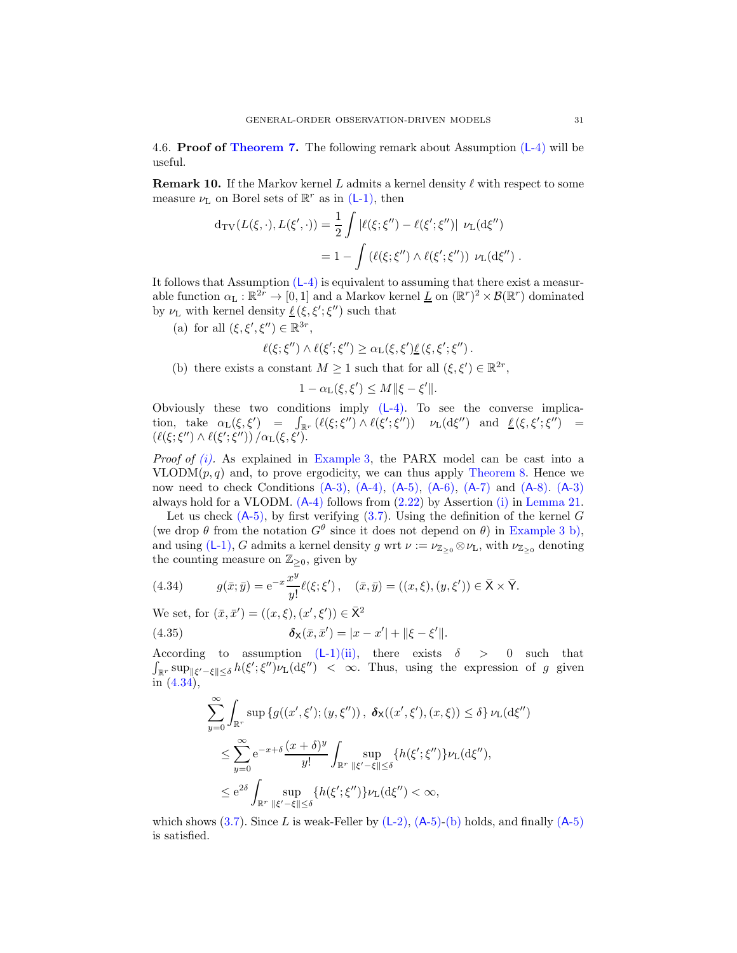<span id="page-30-0"></span>4.6. **Proof of [Theorem 7.](#page-10-0)** The following remark about Assumption  $(L-4)$  $(L-4)$  will be useful.

<span id="page-30-1"></span>**Remark 10.** If the Markov kernel L admits a kernel density  $\ell$  with respect to some measure  $\nu_{\text{L}}$  on Borel sets of  $\mathbb{R}^r$  as in (L[-1\),](#page-9-0) then

$$
d_{\rm TV}(L(\xi,\cdot),L(\xi',\cdot)) = \frac{1}{2} \int |\ell(\xi;\xi'') - \ell(\xi';\xi'')| \nu_{\rm L}(d\xi'') = 1 - \int (\ell(\xi;\xi'') \wedge \ell(\xi';\xi'')) \nu_{\rm L}(d\xi'') .
$$

It follows that Assumption (L[-4\)](#page-9-3) is equivalent to assuming that there exist a measurable function  $\alpha_L : \mathbb{R}^{2r} \to [0,1]$  and a Markov kernel  $\underline{L}$  on  $(\mathbb{R}^r)^2 \times \mathcal{B}(\mathbb{R}^r)$  dominated by  $\nu_{\text{L}}$  with kernel density  $\underline{\ell}(\xi, \xi'; \xi'')$  such that

(a) for all  $(\xi, \xi', \xi'') \in \mathbb{R}^{3r}$ ,

$$
\ell(\xi;\xi'')\wedge\ell(\xi';\xi'')\geq\alpha_L(\xi,\xi')\underline{\ell}(\xi,\xi';\xi'').
$$

<span id="page-30-3"></span>(b) there exists a constant  $M \ge 1$  such that for all  $(\xi, \xi') \in \mathbb{R}^{2r}$ ,

$$
1 - \alpha_{\mathcal{L}}(\xi, \xi') \leq M \|\xi - \xi'\|.
$$

Obviously these two conditions imply  $(L-4)$ . To see the converse implication, take  $\alpha_L(\xi, \xi') = \int_{\mathbb{R}^r} (\ell(\xi; \xi'') \wedge \ell(\xi'; \xi'')) \quad \nu_L(\mathrm{d}\xi'') \text{ and } \underline{\ell}(\xi, \xi'; \xi'') =$  $(\ell(\xi;\xi'')\wedge\ell(\xi';\xi''))/\alpha_{\rm L}(\xi,\xi').$ 

*Proof of [\(i\).](#page-10-10)* As explained in [Example 3,](#page-9-2) the PARX model can be cast into a  $VLODM(p,q)$  and, to prove ergodicity, we can thus apply [Theorem 8.](#page-16-0) Hence we now need to check Conditions  $(A-3)$  $(A-3)$ ,  $(A-4)$ ,  $(A-5)$ ,  $(A-6)$ ,  $(A-7)$  $(A-7)$  and  $(A-8)$ .  $(A-3)$ always hold for a VLODM.  $(A-4)$  $(A-4)$  follows from  $(2.22)$  by Assertion  $(i)$  in [Lemma 21.](#page-35-13)

Let us check  $(A-5)$ , by first verifying  $(3.7)$ . Using the definition of the kernel G (we drop  $\theta$  from the notation  $G^{\theta}$  since it does not depend on  $\theta$ ) in [Example 3](#page-9-2) [b\),](#page-9-6) and using (L[-1\),](#page-9-0) G admits a kernel density g wrt  $\nu := \nu_{\mathbb{Z}_{>0}} \otimes \nu_{\mathbb{L}}$ , with  $\nu_{\mathbb{Z}_{>0}}$  denoting the counting measure on  $\mathbb{Z}_{\geq 0}$ , given by

<span id="page-30-2"></span>(4.34) 
$$
g(\bar{x}; \bar{y}) = e^{-x} \frac{x^y}{y!} \ell(\xi; \xi'), \quad (\bar{x}, \bar{y}) = ((x, \xi), (y, \xi')) \in \bar{X} \times \bar{Y}.
$$

We set, for  $(\bar{x}, \bar{x}') = ((x, \xi), (x', \xi')) \in \bar{X}^2$ 

(4.35) 
$$
\delta_{\mathsf{X}}(\bar{x}, \bar{x}') = |x - x'| + ||\xi - \xi'||.
$$

According to assumption  $(L-1)(ii)$  $(L-1)(ii)$  $(L-1)(ii)$ , there exists  $\delta > 0$  such that  $\int_{\mathbb{R}^r} \sup_{\|\xi' - \xi\| \leq \delta} h(\xi'; \xi'') \nu_L(d\xi'') \leq \infty$ . Thus, using the expression of g given in [\(4.34\)](#page-30-2),

<span id="page-30-4"></span>
$$
\sum_{y=0}^{\infty} \int_{\mathbb{R}^r} \sup \{g((x',\xi');(y,\xi''))\,,\ \delta_{\mathsf{X}}((x',\xi'),(x,\xi)) \leq \delta\} \nu_{\mathsf{L}}(\mathrm{d}\xi'')
$$
\n
$$
\leq \sum_{y=0}^{\infty} e^{-x+\delta} \frac{(x+\delta)^y}{y!} \int_{\mathbb{R}^r} \sup_{\|\xi'-\xi\| \leq \delta} \{h(\xi';\xi'')\} \nu_{\mathsf{L}}(\mathrm{d}\xi''),
$$
\n
$$
\leq e^{2\delta} \int_{\mathbb{R}^r} \sup_{\|\xi'-\xi\| \leq \delta} \{h(\xi';\xi'')\} \nu_{\mathsf{L}}(\mathrm{d}\xi'') < \infty,
$$

which shows  $(3.7)$ . Since L is weak-Feller by  $(L-2)$ ,  $(A-5)$  $(A-5)$ - $(b)$  holds, and finally  $(A-5)$ is satisfied.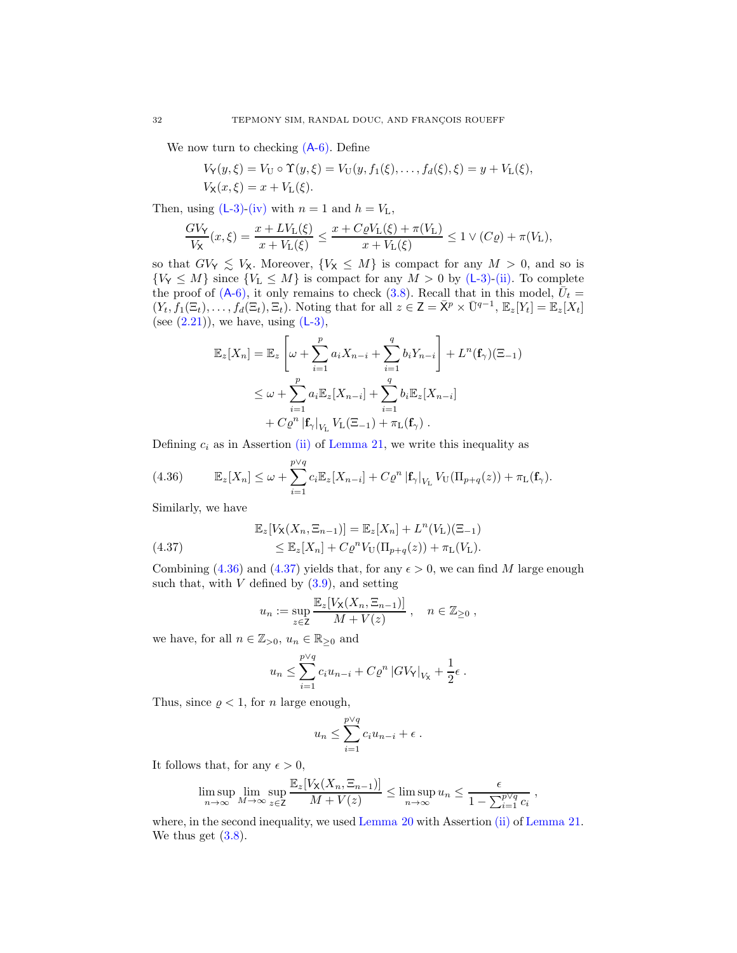We now turn to checking  $(A-6)$ . Define

$$
V_Y(y,\xi) = V_U \circ \Upsilon(y,\xi) = V_U(y,f_1(\xi),...,f_d(\xi),\xi) = y + V_L(\xi),
$$
  

$$
V_X(x,\xi) = x + V_L(\xi).
$$

Then, using  $(L-3)-(iv)$  $(L-3)-(iv)$  $(L-3)-(iv)$  with  $n = 1$  and  $h = V<sub>L</sub>$ ,

$$
\frac{GV_{\mathsf{Y}}}{V_{\mathsf{X}}}(x,\xi)=\frac{x+LV_{\mathsf{L}}(\xi)}{x+V_{\mathsf{L}}(\xi)}\leq \frac{x+C\varrho V_{\mathsf{L}}(\xi)+\pi(V_{\mathsf{L}})}{x+V_{\mathsf{L}}(\xi)}\leq 1\vee (C\varrho)+\pi(V_{\mathsf{L}}),
$$

so that  $GV_Y \leq V_X$ . Moreover,  $\{V_X \leq M\}$  is compact for any  $M > 0$ , and so is  $\{V_Y \leq M\}$  since  $\{V_L \leq M\}$  is compact for any  $M > 0$  by (L[-3\)](#page-9-1)[-\(ii\).](#page-9-9) To complete the proof of  $(A-6)$ , it only remains to check  $(3.8)$ . Recall that in this model,  $\bar{U}_t =$  $(Y_t, f_1(\Xi_t), \ldots, f_d(\Xi_t), \Xi_t)$ . Noting that for all  $z \in \mathsf{Z} = \bar{\mathsf{X}}^p \times \bar{\mathsf{U}}^{q-1}, \, \mathbb{E}_z[Y_t] = \mathbb{E}_z[X_t]$ (see  $(2.21)$ ), we have, using  $(L-3)$ ,

$$
\mathbb{E}_{z}[X_{n}] = \mathbb{E}_{z} \left[ \omega + \sum_{i=1}^{p} a_{i} X_{n-i} + \sum_{i=1}^{q} b_{i} Y_{n-i} \right] + L^{n}(\mathbf{f}_{\gamma})(\Xi_{-1})
$$
  

$$
\leq \omega + \sum_{i=1}^{p} a_{i} \mathbb{E}_{z}[X_{n-i}] + \sum_{i=1}^{q} b_{i} \mathbb{E}_{z}[X_{n-i}]
$$
  

$$
+ C \varrho^{n} |\mathbf{f}_{\gamma}|_{V_{\mathbf{L}}} V_{\mathbf{L}}(\Xi_{-1}) + \pi_{\mathbf{L}}(\mathbf{f}_{\gamma}).
$$

Defining  $c_i$  as in Assertion [\(ii\)](#page-35-14) of [Lemma 21,](#page-35-13) we write this inequality as

<span id="page-31-0"></span>(4.36) 
$$
\mathbb{E}_z[X_n] \leq \omega + \sum_{i=1}^{p\vee q} c_i \mathbb{E}_z[X_{n-i}] + C \varrho^n \left| \mathbf{f}_{\gamma} \right|_{V_{\mathbf{L}}} V_{\mathbf{U}}(\Pi_{p+q}(z)) + \pi_{\mathbf{L}}(\mathbf{f}_{\gamma}).
$$

Similarly, we have

<span id="page-31-1"></span>(4.37) 
$$
\mathbb{E}_z[V_X(X_n, \Xi_{n-1})] = \mathbb{E}_z[X_n] + L^n(V_L)(\Xi_{-1})
$$

$$
\leq \mathbb{E}_z[X_n] + C\varrho^n V_U(\Pi_{p+q}(z)) + \pi_L(V_L).
$$

Combining [\(4.36\)](#page-31-0) and [\(4.37\)](#page-31-1) yields that, for any  $\epsilon > 0$ , we can find M large enough such that, with  $V$  defined by  $(3.9)$ , and setting

$$
u_n := \sup_{z \in \mathbb{Z}} \frac{\mathbb{E}_z[V_X(X_n, \Xi_{n-1})]}{M + V(z)}, \quad n \in \mathbb{Z}_{\geq 0},
$$

we have, for all  $n \in \mathbb{Z}_{>0}$ ,  $u_n \in \mathbb{R}_{\geq 0}$  and

$$
u_n \leq \sum_{i=1}^{p\vee q} c_i u_{n-i} + C \varrho^n |GV_Y|_{V_X} + \frac{1}{2} \epsilon.
$$

Thus, since  $\rho < 1$ , for *n* large enough,

$$
u_n \leq \sum_{i=1}^{p \vee q} c_i u_{n-i} + \epsilon.
$$

It follows that, for any  $\epsilon > 0$ ,

$$
\limsup_{n \to \infty} \lim_{M \to \infty} \sup_{z \in \mathsf{Z}} \frac{\mathbb{E}_z[V_X(X_n, \Xi_{n-1})]}{M + V(z)} \le \limsup_{n \to \infty} u_n \le \frac{\epsilon}{1 - \sum_{i=1}^{p \vee q} c_i}
$$

,

where, in the second inequality, we used [Lemma 20](#page-35-11) with Assertion [\(ii\)](#page-35-14) of [Lemma 21.](#page-35-13) We thus get  $(3.8)$ .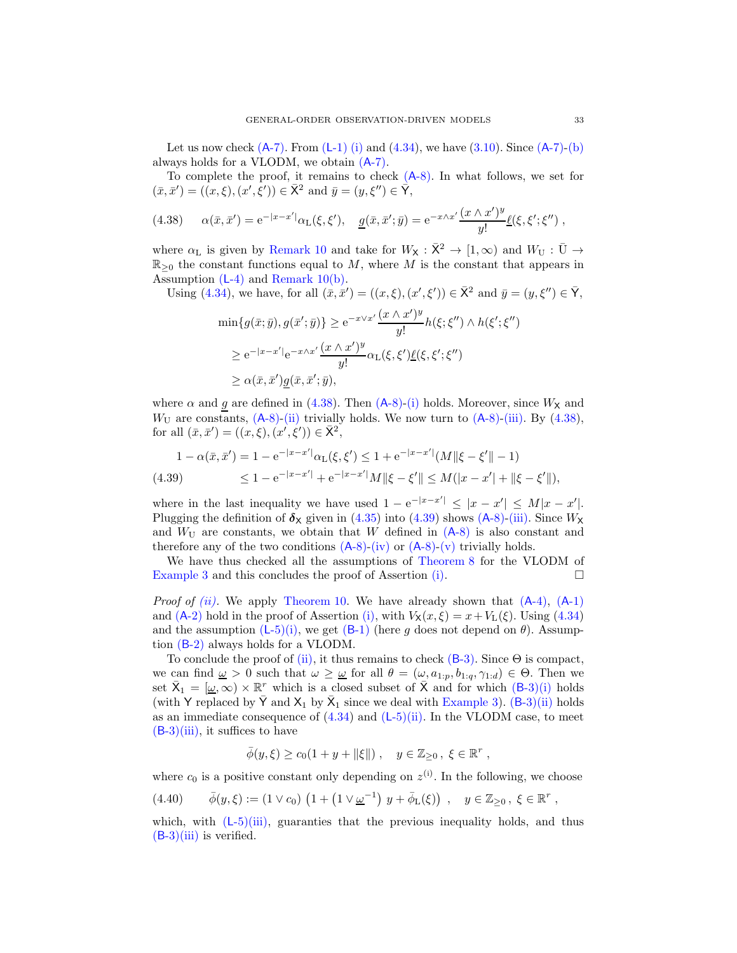Let us now check  $(A-7)$ . From  $(L-1)$  $(L-1)$  [\(i\)](#page-9-10) and  $(4.34)$ , we have  $(3.10)$ . Since  $(A-7)$ - $(b)$ always holds for a VLODM, we obtain (A[-7\).](#page-15-0)

To complete the proof, it remains to check  $(A-8)$ . In what follows, we set for  $(\bar{x}, \bar{x}') = ((x, \xi), (x', \xi')) \in \bar{X}^2$  and  $\bar{y} = (y, \xi'') \in \bar{Y}$ ,

<span id="page-32-0"></span>(4.38) 
$$
\alpha(\bar{x}, \bar{x}') = e^{-|x - x'|} \alpha_L(\xi, \xi'), \quad \underline{g}(\bar{x}, \bar{x}'; \bar{y}) = e^{-x \wedge x'} \frac{(x \wedge x')^y}{y!} \underline{\ell}(\xi, \xi'; \xi''),
$$

where  $\alpha_L$  is given by [Remark 10](#page-30-1) and take for  $W_{\mathsf{X}} : \overline{\mathsf{X}}^2 \to [1,\infty)$  and  $W_U : \overline{U} \to$  $\mathbb{R}_{\geq 0}$  the constant functions equal to M, where M is the constant that appears in Assumption (L[-4\)](#page-9-3) and [Remark 10](#page-30-1)[\(b\).](#page-30-3)

Using (4.34), we have, for all 
$$
(\bar{x}, \bar{x}') = ((x, \xi), (x', \xi')) \in \bar{X}^2
$$
 and  $\bar{y} = (y, \xi'') \in \bar{Y}$ ,  
\n
$$
\min\{g(\bar{x}; \bar{y}), g(\bar{x}'; \bar{y})\} \ge e^{-x\vee x'} \frac{(x \wedge x')^y}{y!} h(\xi; \xi'') \wedge h(\xi'; \xi'')
$$
\n
$$
\ge e^{-|x - x'|} e^{-x\wedge x'} \frac{(x \wedge x')^y}{y!} \alpha_{\mathcal{L}}(\xi, \xi') \underline{\ell}(\xi, \xi'; \xi'')
$$

 $\geq \alpha(\bar{x}, \bar{x}') \underline{g}(\bar{x}, \bar{x}'; \bar{y}),$ 

where  $\alpha$  and g are defined in [\(4.38\)](#page-32-0). Then (A[-8\)-](#page-15-1)[\(i\)](#page-15-2) holds. Moreover, since  $W_{\mathsf{X}}$  and  $W_{\text{U}}$  are constants,  $(A-8)$  $(A-8)$ -[\(ii\)](#page-15-8) trivially holds. We now turn to  $(A-8)$ [-\(iii\).](#page-15-9) By  $(4.38)$ , for all  $(\bar{x}, \bar{x}') = ((x, \xi), (x', \xi')) \in \bar{X}^2$ ,

<span id="page-32-1"></span>
$$
\begin{aligned} 1 - \alpha(\bar{x}, \bar{x}') &= 1 - e^{-|x - x'|} \alpha_{\mathcal{L}}(\xi, \xi') \le 1 + e^{-|x - x'|} (M \| \xi - \xi' \| - 1) \\ &\le 1 - e^{-|x - x'|} + e^{-|x - x'|} M \| \xi - \xi' \| \le M (|x - x'| + \| \xi - \xi' \|), \end{aligned}
$$

where in the last inequality we have used  $1 - e^{-|x-x'|} \le |x-x'| \le M|x-x'|$ . Plugging the definition of  $\delta_X$  given in [\(4.35\)](#page-30-4) into [\(4.39\)](#page-32-1) shows (A[-8\)-](#page-15-1)[\(iii\).](#page-15-9) Since  $W_X$ and  $W_U$  are constants, we obtain that W defined in  $(A-8)$  $(A-8)$  is also constant and therefore any of the two conditions  $(A-8)-(iv)$  $(A-8)-(iv)$  $(A-8)-(iv)$  or  $(A-8)-(v)$  $(A-8)-(v)$  $(A-8)-(v)$  trivially holds.

We have thus checked all the assumptions of [Theorem 8](#page-16-0) for the VLODM of [Example 3](#page-9-2) and this concludes the proof of Assertion [\(i\).](#page-10-10)  $\Box$ 

*Proof of [\(ii\).](#page-10-11)* We apply [Theorem 10.](#page-17-0) We have already shown that  $(A-4)$ ,  $(A-1)$  $(A-1)$ and (A[-2\)](#page-5-0) hold in the proof of Assertion [\(i\),](#page-6-6) with  $V_{\mathbf{X}}(x,\xi) = x + V_{\mathbf{L}}(\xi)$ . Using [\(4.34\)](#page-30-2) and the assumption (L[-5\)](#page-10-1)[\(i\),](#page-10-4) we get (B[-1\)](#page-17-8) (here g does not depend on  $\theta$ ). Assumption (B[-2\)](#page-17-4) always holds for a VLODM.

To conclude the proof of [\(ii\),](#page-10-11) it thus remains to check  $(B-3)$ . Since  $\Theta$  is compact, we can find  $\underline{\omega} > 0$  such that  $\omega \geq \underline{\omega}$  for all  $\theta = (\omega, a_{1:p}, b_{1:q}, \gamma_{1:d}) \in \Theta$ . Then we set  $\bar{X}_1 = [\underline{\omega}, \infty) \times \mathbb{R}^r$  which is a closed subset of  $\bar{X}$  and for which  $(B-3)(i)$  $(B-3)(i)$  $(B-3)(i)$  holds (with Y replaced by  $\bar{Y}$  and  $X_1$  by  $\bar{X}_1$  since we deal with [Example 3\)](#page-9-2). (B[-3\)](#page-17-5)[\(ii\)](#page-17-7) holds as an immediate consequence of  $(4.34)$  and  $(L-5)(ii)$  $(L-5)(ii)$  $(L-5)(ii)$ . In the VLODM case, to meet  $(B-3)(iii)$  $(B-3)(iii)$  $(B-3)(iii)$ , it suffices to have

$$
\bar{\phi}(y,\xi) \ge c_0(1+y+\|\xi\|) , \quad y \in \mathbb{Z}_{\ge 0} , \xi \in \mathbb{R}^r ,
$$

where  $c_0$  is a positive constant only depending on  $z^{(i)}$ . In the following, we choose

<span id="page-32-2"></span>
$$
(4.40) \qquad \bar{\phi}(y,\xi) := (1 \vee c_0) \left( 1 + (1 \vee \underline{\omega}^{-1}) y + \bar{\phi}_L(\xi) \right) , \quad y \in \mathbb{Z}_{\geq 0}, \xi \in \mathbb{R}^r ,
$$

which, with  $(L-5)$  $(L-5)$ [\(iii\),](#page-10-7) guaranties that the previous inequality holds, and thus  $(B-3)(iii)$  $(B-3)(iii)$  $(B-3)(iii)$  is verified.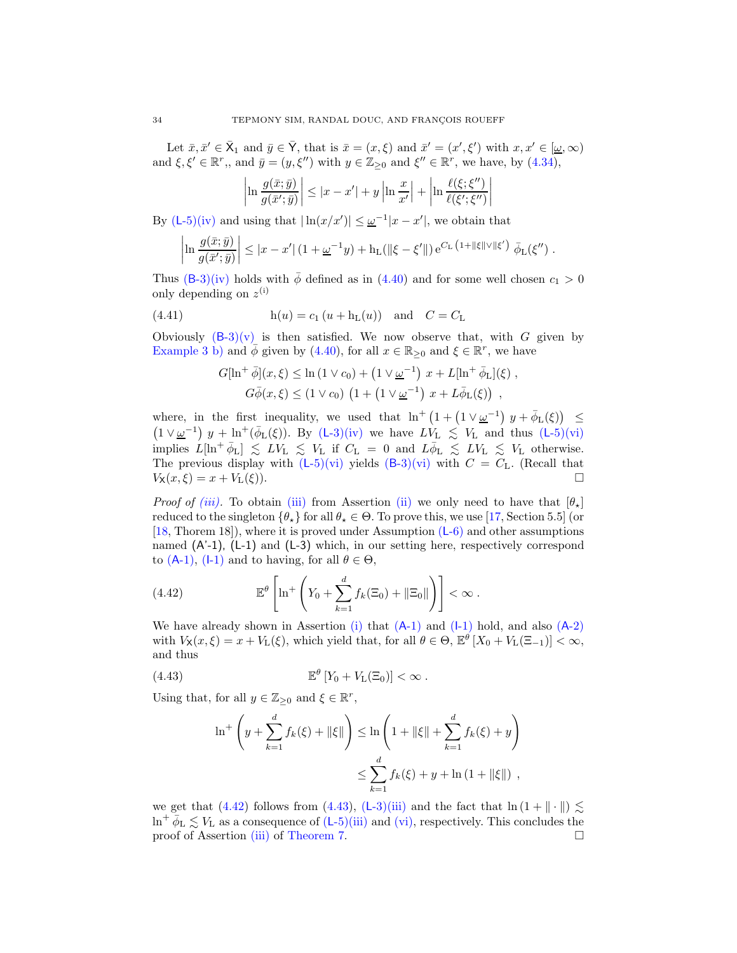Let  $\bar{x}, \bar{x}' \in \bar{X}_1$  and  $\bar{y} \in \bar{Y}$ , that is  $\bar{x} = (x, \xi)$  and  $\bar{x}' = (x', \xi')$  with  $x, x' \in [\underline{\omega}, \infty)$ and  $\xi, \xi' \in \mathbb{R}^r$ ,, and  $\bar{y} = (y, \xi'')$  with  $y \in \mathbb{Z}_{\geq 0}$  and  $\xi'' \in \mathbb{R}^r$ , we have, by  $(4.34)$ ,

$$
\left|\ln \frac{g(\bar{x}; \bar{y})}{g(\bar{x}'; \bar{y})}\right| \leq |x - x'| + y \left|\ln \frac{x}{x'}\right| + \left|\ln \frac{\ell(\xi; \xi'')}{\ell(\xi'; \xi'')}\right|
$$

By (L[-5\)](#page-10-1)[\(iv\)](#page-10-6) and using that  $|\ln(x/x')| \leq \underline{\omega}^{-1}|x-x'|$ , we obtain that

$$
\left|\ln \frac{g(\bar{x}; \bar{y})}{g(\bar{x}'; \bar{y})}\right| \leq |x - x'| \left(1 + \underline{\omega}^{-1} y\right) + \mathbf{h}_{\mathcal{L}}(\|\xi - \xi'\|) e^{C_{\mathcal{L}}\left(1 + \|\xi\| \vee \|\xi'\right)} \bar{\phi}_{\mathcal{L}}(\xi'') .
$$

Thus  $(B-3)(iv)$  $(B-3)(iv)$  $(B-3)(iv)$  holds with  $\bar{\phi}$  defined as in  $(4.40)$  and for some well chosen  $c_1 > 0$ only depending on  $z^{(i)}$ 

(4.41) 
$$
h(u) = c_1 (u + h_L(u))
$$
 and  $C = C_L$ 

Obviously  $(B-3)(v)$  $(B-3)(v)$  $(B-3)(v)$  is then satisfied. We now observe that, with G given by [Example 3](#page-9-2) [b\)](#page-9-6) and  $\bar{\phi}$  given by [\(4.40\)](#page-32-2), for all  $x \in \mathbb{R}_{\geq 0}$  and  $\xi \in \mathbb{R}^r$ , we have

$$
G[\ln^{+} \bar{\phi}](x,\xi) \leq \ln (1 \vee c_{0}) + (1 \vee \underline{\omega}^{-1}) x + L[\ln^{+} \bar{\phi}_{L}](\xi) ,
$$
  

$$
G\bar{\phi}(x,\xi) \leq (1 \vee c_{0}) (1 + (1 \vee \underline{\omega}^{-1}) x + L\bar{\phi}_{L}(\xi)) ,
$$

where, in the first inequality, we used that  $\ln^+ (1 + (1 \vee \underline{\omega}^{-1}) y + \overline{\phi}_L(\xi)) \le$  $(1 \vee \underline{\omega}^{-1})$   $y + \ln^+(\overline{\phi}_L(\xi))$ . By  $(L-3)(iv)$  $(L-3)(iv)$  $(L-3)(iv)$  we have  $LV_L \leq V_L$  and thus  $(L-5)(vi)$  $(L-5)(vi)$  $(L-5)(vi)$ implies  $L[\ln^+ \bar{\phi}_{L}] \leq L V_L \leq V_L$  if  $C_L = 0$  and  $L \bar{\phi}_{L} \leq L V_L \leq V_L$  otherwise. The previous display with  $(L-5)(vi)$  $(L-5)(vi)$  $(L-5)(vi)$  yields  $(B-3)(vi)$  $(B-3)(vi)$  $(B-3)(vi)$  with  $C = C_L$ . (Recall that  $V_{\mathsf{X}}(x,\xi) = x + V_{\mathsf{L}}(\xi)$ .

*Proof of [\(iii\).](#page-10-12)* To obtain [\(iii\)](#page-10-12) from Assertion [\(ii\)](#page-10-11) we only need to have that  $[\theta_\star]$ reduced to the singleton  $\{\theta_{\star}\}\$ for all  $\theta_{\star} \in \Theta$ . To prove this, we use [\[17](#page-36-14), Section 5.5] (or [\[18,](#page-36-19) Thorem 18]), where it is proved under Assumption (L[-6\)](#page-10-2) and other assumptions named (A'-1), (L-1) and (L-3) which, in our setting here, respectively correspond to  $(A-1)$  $(A-1)$ ,  $(I-1)$  and to having, for all  $\theta \in \Theta$ ,

<span id="page-33-0"></span>(4.42) 
$$
\mathbb{E}^{\theta}\left[\ln^{+}\left(Y_0+\sum_{k=1}^d f_k(\Xi_0)+\|\Xi_0\|\right)\right]<\infty.
$$

We have already shown in Assertion [\(i\)](#page-10-10) that  $(A-1)$  $(A-1)$  and  $(I-1)$  hold, and also  $(A-2)$  $(A-2)$ with  $V_{\mathsf{X}}(x,\xi) = x + V_{\mathsf{L}}(\xi)$ , which yield that, for all  $\theta \in \Theta$ ,  $\mathbb{E}^{\theta}[X_0 + V_{\mathsf{L}}(\Xi_{-1})] < \infty$ , and thus

(4.43) 
$$
\mathbb{E}^{\theta} \left[ Y_0 + V_L(\Xi_0) \right] < \infty.
$$

Using that, for all  $y \in \mathbb{Z}_{\geq 0}$  and  $\xi \in \mathbb{R}^r$ ,

<span id="page-33-1"></span>
$$
\ln^{+}\left(y + \sum_{k=1}^{d} f_{k}(\xi) + ||\xi||\right) \le \ln\left(1 + ||\xi|| + \sum_{k=1}^{d} f_{k}(\xi) + y\right)
$$
  

$$
\le \sum_{k=1}^{d} f_{k}(\xi) + y + \ln(1 + ||\xi||),
$$

we get that [\(4.42\)](#page-33-0) follows from [\(4.43\)](#page-33-1), (L[-3\)](#page-9-1)[\(iii\)](#page-9-4) and the fact that  $\ln(1 + \| \cdot \|) \lesssim$  $\ln^+ \bar{\phi}_L \lesssim V_L$  as a consequence of  $(L-5)$  $(L-5)$ [\(iii\)](#page-10-7) and [\(vi\),](#page-10-9) respectively. This concludes the proof of Assertion [\(iii\)](#page-10-12) of [Theorem 7.](#page-10-0)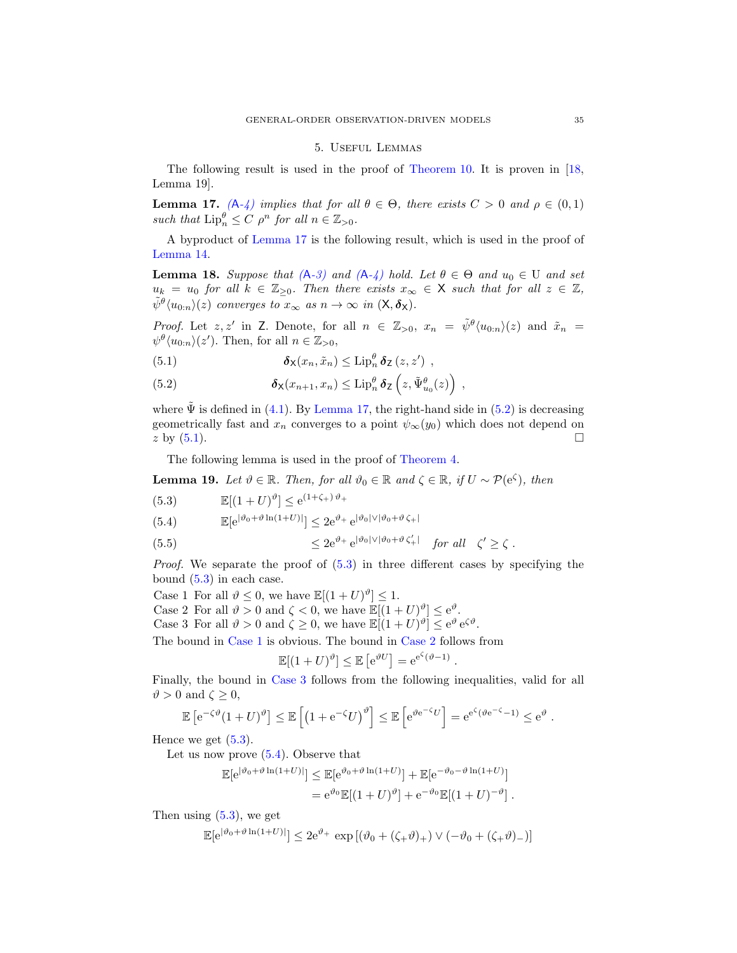#### 5. Useful Lemmas

<span id="page-34-0"></span>The following result is used in the proof of [Theorem 10.](#page-17-0) It is proven in [\[18,](#page-36-19) Lemma 19].

<span id="page-34-2"></span>**Lemma 17.**  $(A-4)$  $(A-4)$  *implies that for all*  $\theta \in \Theta$ *, there exists*  $C > 0$  *and*  $\rho \in (0,1)$ such that  $\text{Lip}_n^{\theta} \leq C \rho^n$  for all  $n \in \mathbb{Z}_{>0}$ .

A byproduct of [Lemma 17](#page-34-2) is the following result, which is used in the proof of [Lemma 14.](#page-21-0)

<span id="page-34-1"></span>**Lemma 18.** Suppose that  $(A-3)$  $(A-3)$  and  $(A-4)$  $(A-4)$  hold. Let  $\theta \in \Theta$  and  $u_0 \in U$  and set  $u_k = u_0$  *for all*  $k \in \mathbb{Z}_{\geq 0}$ *. Then there exists*  $x_\infty \in \mathsf{X}$  *such that for all*  $z \in \mathbb{Z}$ *,*  $\tilde{\psi}^{\theta}\langle u_{0:n}\rangle(z)$  *converges to*  $x_{\infty}$  *as*  $n \to \infty$  *in*  $(X, \delta_X)$ *.* 

*Proof.* Let  $z, z'$  in Z. Denote, for all  $n \in \mathbb{Z}_{>0}$ ,  $x_n = \tilde{\psi}^{\theta} \langle u_{0:n} \rangle (z)$  and  $\tilde{x}_n = \tilde{x}_0$  $\psi^{\theta}\langle u_{0:n}\rangle(z')$ . Then, for all  $n \in \mathbb{Z}_{>0}$ ,

<span id="page-34-5"></span>(5.1) 
$$
\mathbf{\delta}_{\mathsf{X}}(x_n, \tilde{x}_n) \leq \text{Lip}_n^{\theta} \mathbf{\delta}_{\mathsf{Z}}(z, z'),
$$

<span id="page-34-4"></span>(5.2) 
$$
\boldsymbol{\delta}_{\mathsf{X}}(x_{n+1},x_n) \leq \mathrm{Lip}_n^{\theta} \, \boldsymbol{\delta}_{\mathsf{Z}}\left(z,\tilde{\Psi}_{u_0}^{\theta}(z)\right) ,
$$

where  $\tilde{\Psi}$  is defined in ([4.1\)](#page-17-9). By [Lemma 17,](#page-34-2) the right-hand side in [\(5.2\)](#page-34-4) is decreasing geometrically fast and  $x_n$  converges to a point  $\psi_\infty(y_0)$  which does not depend on  $z$  by [\(5.1\)](#page-34-5).

The following lemma is used in the proof of [Theorem 4.](#page-6-0)

<span id="page-34-3"></span>**Lemma 19.** *Let*  $\vartheta \in \mathbb{R}$ *. Then, for all*  $\vartheta_0 \in \mathbb{R}$  *and*  $\zeta \in \mathbb{R}$ *, if*  $U \sim \mathcal{P}(e^{\zeta})$ *, then* 

<span id="page-34-6"></span>(5.3) 
$$
\mathbb{E}[(1+U)^{\vartheta}] \le e^{(1+\zeta_+)\vartheta_+}
$$

<span id="page-34-10"></span>(5.4) 
$$
\mathbb{E}[e^{|\vartheta_0 + \vartheta \ln(1+U)|}] \leq 2e^{\vartheta_+} e^{|\vartheta_0| \vee |\vartheta_0 + \vartheta \zeta_+|}
$$

<span id="page-34-11"></span>(5.5) 
$$
\leq 2e^{\vartheta_+} e^{|\vartheta_0| \vee |\vartheta_0 + \vartheta \zeta_+'|} \quad \text{for all} \quad \zeta' \geq \zeta.
$$

*Proof.* We separate the proof of  $(5.3)$  in three different cases by specifying the bound  $(5.3)$  in each case.

<span id="page-34-8"></span><span id="page-34-7"></span>Case 1 For all  $\vartheta \leq 0$ , we have  $\mathbb{E}[(1+U)^{\vartheta}] \leq 1$ .

<span id="page-34-9"></span>Case 2 For all  $\vartheta > 0$  and  $\zeta < 0$ , we have  $\mathbb{E}[(1+U)^{\vartheta}] \leq e^{\vartheta}$ .

Case 3 For all  $\vartheta > 0$  and  $\zeta \ge 0$ , we have  $\mathbb{E}[(1+U)^{\vartheta}] \le e^{\vartheta} e^{\zeta \vartheta}$ .

The bound in [Case 1](#page-34-7) is obvious. The bound in [Case 2](#page-34-8) follows from

$$
\mathbb{E}[(1+U)^{\vartheta}] \le \mathbb{E}\left[e^{\vartheta U}\right] = e^{e^{\zeta}(\vartheta - 1)}
$$

.

Finally, the bound in [Case 3](#page-34-9) follows from the following inequalities, valid for all  $\vartheta > 0$  and  $\zeta \geq 0$ ,

$$
\mathbb{E}\left[e^{-\zeta\vartheta}(1+U)^{\vartheta}\right] \leq \mathbb{E}\left[\left(1+e^{-\zeta}U\right)^{\vartheta}\right] \leq \mathbb{E}\left[e^{\vartheta e^{-\zeta}U}\right] = e^{e^{\zeta}(\vartheta e^{-\zeta}-1)} \leq e^{\vartheta}.
$$

Hence we get  $(5.3)$ .

Let us now prove [\(5.4\)](#page-34-10). Observe that

$$
\mathbb{E}[e^{j\vartheta_0 + \vartheta \ln(1+U)}] \leq \mathbb{E}[e^{\vartheta_0 + \vartheta \ln(1+U)}] + \mathbb{E}[e^{-\vartheta_0 - \vartheta \ln(1+U)}]
$$
  
=  $e^{\vartheta_0} \mathbb{E}[(1+U)^{\vartheta}] + e^{-\vartheta_0} \mathbb{E}[(1+U)^{-\vartheta}].$ 

Then using  $(5.3)$ , we get

$$
\mathbb{E}[e^{|\vartheta_0 + \vartheta \ln(1+U)|}] \leq 2e^{\vartheta_+} \exp\left[ (\vartheta_0 + (\zeta_+ \vartheta)_+) \vee (-\vartheta_0 + (\zeta_+ \vartheta)_-)\right]
$$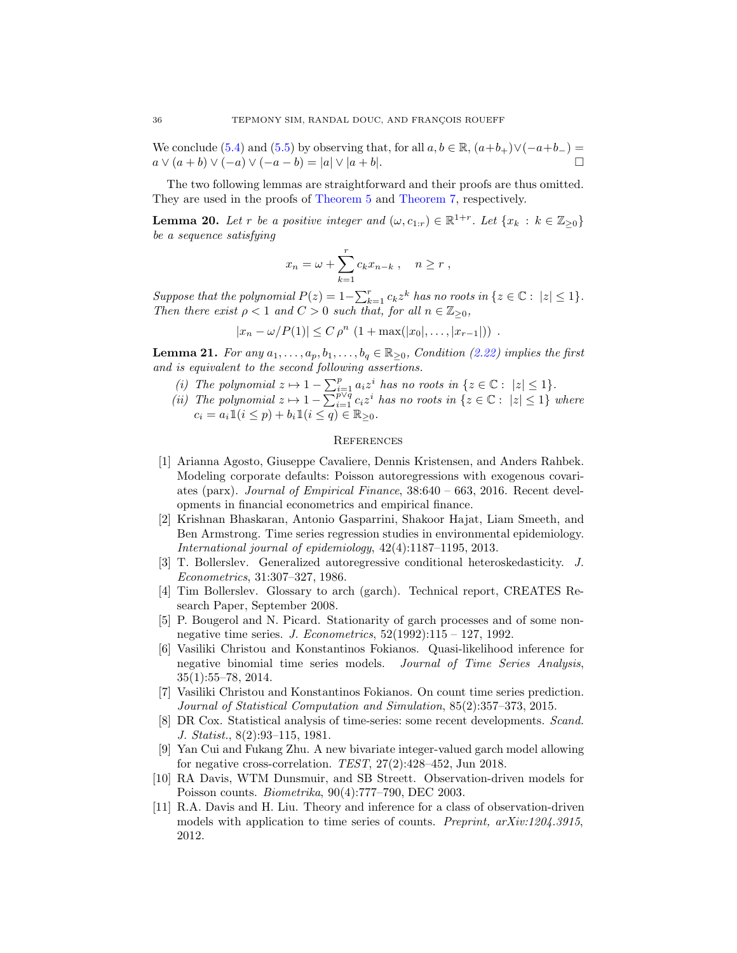We conclude [\(5.4\)](#page-34-10) and [\(5.5\)](#page-34-11) by observing that, for all  $a, b \in \mathbb{R}$ ,  $(a+b_+) \vee (-a+b_-) =$  $a \vee (a + b) \vee (-a) \vee (-a - b) = |a| \vee |a + b|.$ 

The two following lemmas are straightforward and their proofs are thus omitted. They are used in the proofs of [Theorem 5](#page-8-1) and [Theorem 7,](#page-10-0) respectively.

<span id="page-35-11"></span>**Lemma 20.** Let r be a positive integer and  $(\omega, c_{1:r}) \in \mathbb{R}^{1+r}$ . Let  $\{x_k : k \in \mathbb{Z}_{\geq 0}\}\)$ *be a sequence satisfying*

$$
x_n = \omega + \sum_{k=1}^r c_k x_{n-k} , \quad n \ge r ,
$$

*Suppose that the polynomial*  $P(z) = 1 - \sum_{k=1}^{r} c_k z^k$  *has no roots in*  $\{z \in \mathbb{C} : |z| \leq 1\}$ *. Then there exist*  $\rho < 1$  *and*  $C > 0$  *such that, for all*  $n \in \mathbb{Z}_{\geq 0}$ *,* 

$$
|x_n - \omega/P(1)| \le C \rho^n \ (1 + \max(|x_0|, \ldots, |x_{r-1}|)) \ .
$$

<span id="page-35-13"></span><span id="page-35-12"></span>**Lemma 21.** *For any*  $a_1, \ldots, a_p, b_1, \ldots, b_q \in \mathbb{R}_{\geq 0}$ *, Condition [\(2.22\)](#page-10-3) implies the first and is equivalent to the second following assertions.*

- *(i)* The polynomial  $z \mapsto 1 \sum_{i=1}^p a_i z^i$  has no roots in  $\{z \in \mathbb{C} : |z| \leq 1\}.$
- <span id="page-35-14"></span>*(ii)* The polynomial  $z \mapsto 1 - \sum_{i=1}^{p \vee q} c_i z^i$  has no roots in  $\{z \in \mathbb{C} : |z| \leq 1\}$  where  $c_i = a_i 1\!\!\!1 (i \leq p) + b_i 1\!\!\!1 (i \leq q) \in \mathbb{R}_{\geq 0}.$

### **REFERENCES**

- <span id="page-35-9"></span>[1] Arianna Agosto, Giuseppe Cavaliere, Dennis Kristensen, and Anders Rahbek. Modeling corporate defaults: Poisson autoregressions with exogenous covariates (parx). *Journal of Empirical Finance*, 38:640 – 663, 2016. Recent developments in financial econometrics and empirical finance.
- <span id="page-35-1"></span>[2] Krishnan Bhaskaran, Antonio Gasparrini, Shakoor Hajat, Liam Smeeth, and Ben Armstrong. Time series regression studies in environmental epidemiology. *International journal of epidemiology*, 42(4):1187–1195, 2013.
- <span id="page-35-2"></span>[3] T. Bollerslev. Generalized autoregressive conditional heteroskedasticity. *J. Econometrics*, 31:307–327, 1986.
- <span id="page-35-3"></span>[4] Tim Bollerslev. Glossary to arch (garch). Technical report, CREATES Research Paper, September 2008.
- <span id="page-35-10"></span>[5] P. Bougerol and N. Picard. Stationarity of garch processes and of some nonnegative time series. *J. Econometrics*, 52(1992):115 – 127, 1992.
- <span id="page-35-6"></span>[6] Vasiliki Christou and Konstantinos Fokianos. Quasi-likelihood inference for negative binomial time series models. *Journal of Time Series Analysis*, 35(1):55–78, 2014.
- <span id="page-35-7"></span>[7] Vasiliki Christou and Konstantinos Fokianos. On count time series prediction. *Journal of Statistical Computation and Simulation*, 85(2):357–373, 2015.
- <span id="page-35-0"></span>[8] DR Cox. Statistical analysis of time-series: some recent developments. *Scand. J. Statist.*, 8(2):93–115, 1981.
- <span id="page-35-8"></span>[9] Yan Cui and Fukang Zhu. A new bivariate integer-valued garch model allowing for negative cross-correlation. *TEST*, 27(2):428–452, Jun 2018.
- <span id="page-35-4"></span>[10] RA Davis, WTM Dunsmuir, and SB Streett. Observation-driven models for Poisson counts. *Biometrika*, 90(4):777–790, DEC 2003.
- <span id="page-35-5"></span>[11] R.A. Davis and H. Liu. Theory and inference for a class of observation-driven models with application to time series of counts. *Preprint, arXiv:1204.3915*, 2012.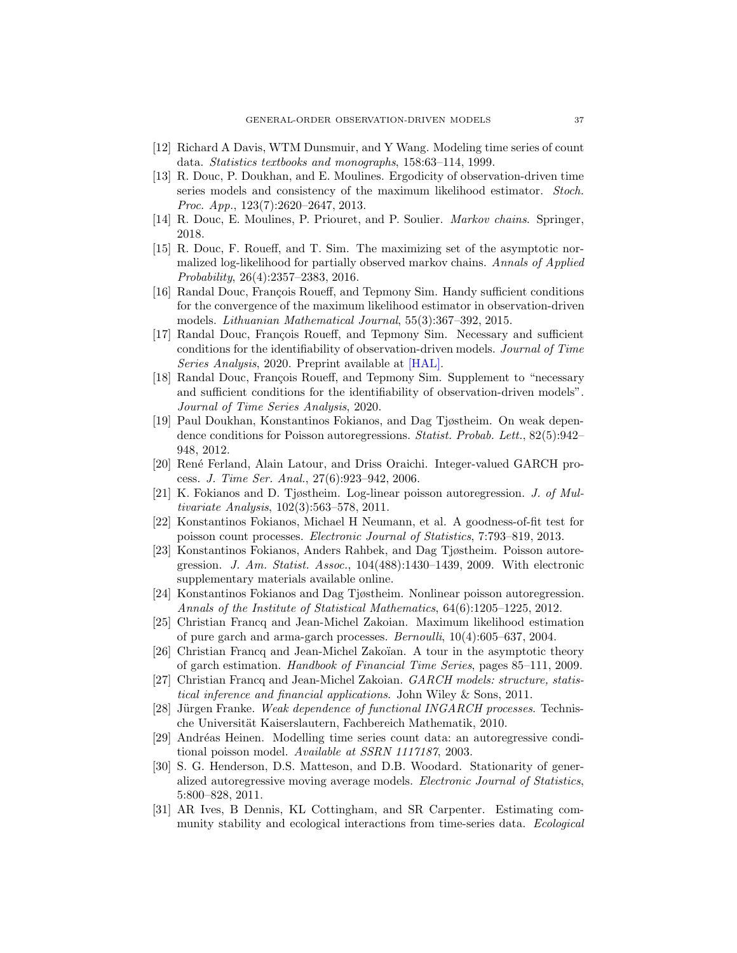- <span id="page-36-0"></span>[12] Richard A Davis, WTM Dunsmuir, and Y Wang. Modeling time series of count data. *Statistics textbooks and monographs*, 158:63–114, 1999.
- <span id="page-36-10"></span>[13] R. Douc, P. Doukhan, and E. Moulines. Ergodicity of observation-driven time series models and consistency of the maximum likelihood estimator. *Stoch. Proc. App.*, 123(7):2620–2647, 2013.
- <span id="page-36-18"></span>[14] R. Douc, E. Moulines, P. Priouret, and P. Soulier. *Markov chains*. Springer, 2018.
- <span id="page-36-17"></span>[15] R. Douc, F. Roueff, and T. Sim. The maximizing set of the asymptotic normalized log-likelihood for partially observed markov chains. *Annals of Applied Probability*, 26(4):2357–2383, 2016.
- <span id="page-36-12"></span>[16] Randal Douc, François Roueff, and Tepmony Sim. Handy sufficient conditions for the convergence of the maximum likelihood estimator in observation-driven models. *Lithuanian Mathematical Journal*, 55(3):367–392, 2015.
- <span id="page-36-14"></span>[17] Randal Douc, François Roueff, and Tepmony Sim. Necessary and sufficient conditions for the identifiability of observation-driven models. *Journal of Time Series Analysis*, 2020. Preprint available at [\[HAL\].](https://hal.archives-ouvertes.fr/hal-02088860)
- <span id="page-36-19"></span>[18] Randal Douc, François Roueff, and Tepmony Sim. Supplement to "necessary and sufficient conditions for the identifiability of observation-driven models". *Journal of Time Series Analysis*, 2020.
- <span id="page-36-9"></span>[19] Paul Doukhan, Konstantinos Fokianos, and Dag Tjøstheim. On weak dependence conditions for Poisson autoregressions. *Statist. Probab. Lett.*, 82(5):942– 948, 2012.
- <span id="page-36-1"></span>[20] Ren´e Ferland, Alain Latour, and Driss Oraichi. Integer-valued GARCH process. *J. Time Ser. Anal.*, 27(6):923–942, 2006.
- <span id="page-36-2"></span>[21] K. Fokianos and D. Tjøstheim. Log-linear poisson autoregression. *J. of Multivariate Analysis*, 102(3):563–578, 2011.
- <span id="page-36-11"></span>[22] Konstantinos Fokianos, Michael H Neumann, et al. A goodness-of-fit test for poisson count processes. *Electronic Journal of Statistics*, 7:793–819, 2013.
- <span id="page-36-6"></span>[23] Konstantinos Fokianos, Anders Rahbek, and Dag Tjøstheim. Poisson autoregression. *J. Am. Statist. Assoc.*, 104(488):1430–1439, 2009. With electronic supplementary materials available online.
- <span id="page-36-13"></span>[24] Konstantinos Fokianos and Dag Tjøstheim. Nonlinear poisson autoregression. *Annals of the Institute of Statistical Mathematics*, 64(6):1205–1225, 2012.
- <span id="page-36-15"></span>[25] Christian Francq and Jean-Michel Zakoian. Maximum likelihood estimation of pure garch and arma-garch processes. *Bernoulli*, 10(4):605–637, 2004.
- <span id="page-36-16"></span>[26] Christian Francq and Jean-Michel Zakoïan. A tour in the asymptotic theory of garch estimation. *Handbook of Financial Time Series*, pages 85–111, 2009.
- <span id="page-36-3"></span>[27] Christian Francq and Jean-Michel Zakoian. *GARCH models: structure, statistical inference and financial applications*. John Wiley & Sons, 2011.
- <span id="page-36-7"></span>[28] Jürgen Franke. *Weak dependence of functional INGARCH processes*. Technische Universität Kaiserslautern, Fachbereich Mathematik, 2010.
- <span id="page-36-5"></span>[29] Andréas Heinen. Modelling time series count data: an autoregressive conditional poisson model. *Available at SSRN 1117187*, 2003.
- <span id="page-36-8"></span>[30] S. G. Henderson, D.S. Matteson, and D.B. Woodard. Stationarity of generalized autoregressive moving average models. *Electronic Journal of Statistics*, 5:800–828, 2011.
- <span id="page-36-4"></span>[31] AR Ives, B Dennis, KL Cottingham, and SR Carpenter. Estimating community stability and ecological interactions from time-series data. *Ecological*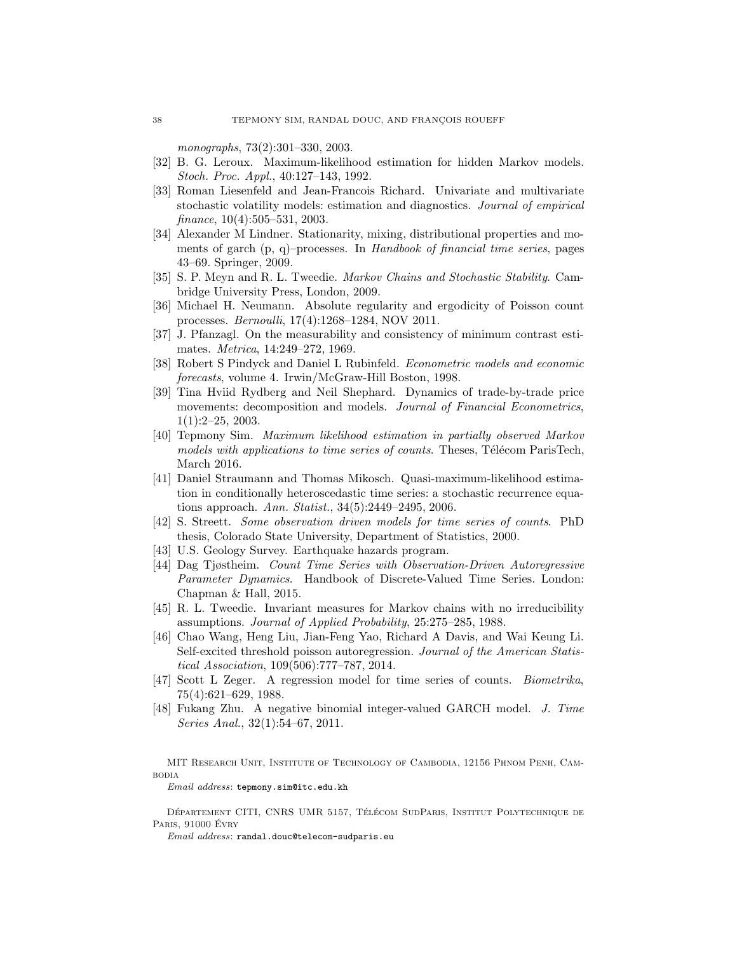*monographs*, 73(2):301–330, 2003.

- <span id="page-37-11"></span>[32] B. G. Leroux. Maximum-likelihood estimation for hidden Markov models. *Stoch. Proc. Appl.*, 40:127–143, 1992.
- <span id="page-37-2"></span>[33] Roman Liesenfeld and Jean-Francois Richard. Univariate and multivariate stochastic volatility models: estimation and diagnostics. *Journal of empirical finance*, 10(4):505–531, 2003.
- <span id="page-37-10"></span>[34] Alexander M Lindner. Stationarity, mixing, distributional properties and moments of garch (p, q)–processes. In *Handbook of financial time series*, pages 43–69. Springer, 2009.
- <span id="page-37-14"></span>[35] S. P. Meyn and R. L. Tweedie. *Markov Chains and Stochastic Stability*. Cambridge University Press, London, 2009.
- <span id="page-37-5"></span>[36] Michael H. Neumann. Absolute regularity and ergodicity of Poisson count processes. *Bernoulli*, 17(4):1268–1284, NOV 2011.
- <span id="page-37-13"></span>[37] J. Pfanzagl. On the measurability and consistency of minimum contrast estimates. *Metrica*, 14:249–272, 1969.
- <span id="page-37-0"></span>[38] Robert S Pindyck and Daniel L Rubinfeld. *Econometric models and economic forecasts*, volume 4. Irwin/McGraw-Hill Boston, 1998.
- <span id="page-37-3"></span>[39] Tina Hviid Rydberg and Neil Shephard. Dynamics of trade-by-trade price movements: decomposition and models. *Journal of Financial Econometrics*, 1(1):2–25, 2003.
- <span id="page-37-8"></span>[40] Tepmony Sim. *Maximum likelihood estimation in partially observed Markov models with applications to time series of counts.* Theses, Télécom ParisTech, March 2016.
- <span id="page-37-15"></span>[41] Daniel Straumann and Thomas Mikosch. Quasi-maximum-likelihood estimation in conditionally heteroscedastic time series: a stochastic recurrence equations approach. *Ann. Statist.*, 34(5):2449–2495, 2006.
- <span id="page-37-4"></span>[42] S. Streett. *Some observation driven models for time series of counts*. PhD thesis, Colorado State University, Department of Statistics, 2000.
- <span id="page-37-9"></span>[43] U.S. Geology Survey. Earthquake hazards program.
- <span id="page-37-7"></span>[44] Dag Tjøstheim. *Count Time Series with Observation-Driven Autoregressive Parameter Dynamics*. Handbook of Discrete-Valued Time Series. London: Chapman & Hall, 2015.
- <span id="page-37-16"></span>[45] R. L. Tweedie. Invariant measures for Markov chains with no irreducibility assumptions. *Journal of Applied Probability*, 25:275–285, 1988.
- <span id="page-37-6"></span>[46] Chao Wang, Heng Liu, Jian-Feng Yao, Richard A Davis, and Wai Keung Li. Self-excited threshold poisson autoregression. *Journal of the American Statistical Association*, 109(506):777–787, 2014.
- <span id="page-37-1"></span>[47] Scott L Zeger. A regression model for time series of counts. *Biometrika*, 75(4):621–629, 1988.
- <span id="page-37-12"></span>[48] Fukang Zhu. A negative binomial integer-valued GARCH model. *J. Time Series Anal.*, 32(1):54–67, 2011.

MIT Research Unit, Institute of Technology of Cambodia, 12156 Phnom Penh, Cambodia

Email address: tepmony.sim@itc.edu.kh

DÉPARTEMENT CITI, CNRS UMR 5157, TÉLÉCOM SUDPARIS, INSTITUT POLYTECHNIQUE DE Paris, 91000 Evry ´

 $Email\;address\colon\texttt{randal.douc@telecom-subparis.eu}$